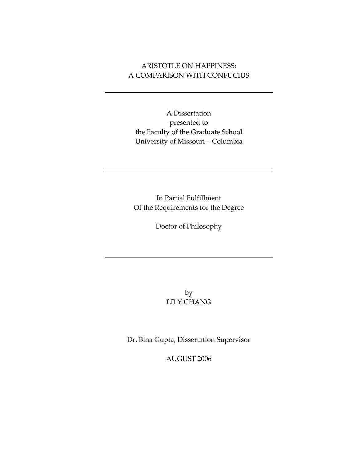# ARISTOTLE ON HAPPINESS: A COMPARISON WITH CONFUCIUS

A Dissertation presented to the Faculty of the Graduate School University of Missouri – Columbia

In Partial Fulfillment Of the Requirements for the Degree

Doctor of Philosophy

by LILY CHANG

Dr. Bina Gupta, Dissertation Supervisor

AUGUST 2006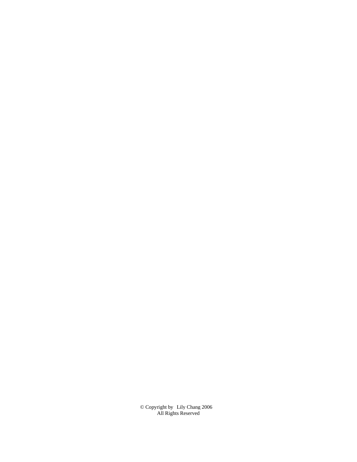© Copyright by All Rights Reserved Lily Chang 2006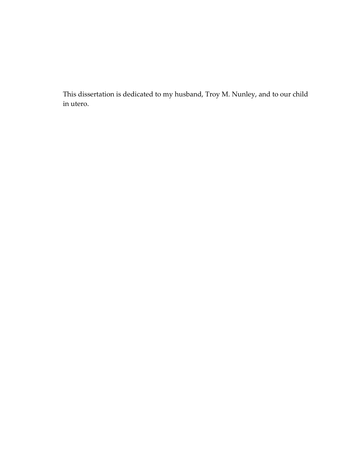This dissertation is dedicated to my husband, Troy M. Nunley, and to our child in utero.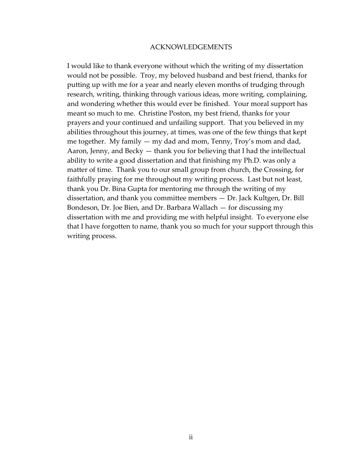#### ACKNOWLEDGEMENTS

I would like to thank everyone without which the writing of my dissertation would not be possible. Troy, my beloved husband and best friend, thanks for putting up with me for a year and nearly eleven months of trudging through research, writing, thinking through various ideas, more writing, complaining, and wondering whether this would ever be finished. Your moral support has meant so much to me. Christine Poston, my best friend, thanks for your prayers and your continued and unfailing support. That you believed in my abilities throughout this journey, at times, was one of the few things that kept me together. My family — my dad and mom, Tenny, Troy's mom and dad, Aaron, Jenny, and Becky — thank you for believing that I had the intellectual ability to write a good dissertation and that finishing my Ph.D. was only a matter of time. Thank you to our small group from church, the Crossing, for faithfully praying for me throughout my writing process. Last but not least, thank you Dr. Bina Gupta for mentoring me through the writing of my dissertation, and thank you committee members — Dr. Jack Kultgen, Dr. Bill Bondeson, Dr. Joe Bien, and Dr. Barbara Wallach — for discussing my dissertation with me and providing me with helpful insight. To everyone else that I have forgotten to name, thank you so much for your support through this writing process.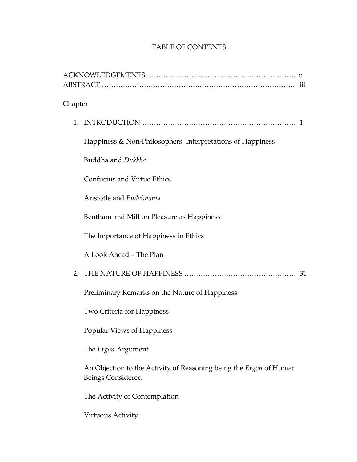# TABLE OF CONTENTS

| Chapter                                                                                        |
|------------------------------------------------------------------------------------------------|
|                                                                                                |
| Happiness & Non-Philosophers' Interpretations of Happiness                                     |
| Buddha and Dukkha                                                                              |
| Confucius and Virtue Ethics                                                                    |
| Aristotle and Eudaimonia                                                                       |
| Bentham and Mill on Pleasure as Happiness                                                      |
| The Importance of Happiness in Ethics                                                          |
| A Look Ahead - The Plan                                                                        |
| 31                                                                                             |
| Preliminary Remarks on the Nature of Happiness                                                 |
| Two Criteria for Happiness                                                                     |
| Popular Views of Happiness                                                                     |
| The <i>Ergon</i> Argument                                                                      |
| An Objection to the Activity of Reasoning being the <i>Ergon</i> of Human<br>Beings Considered |
| The Activity of Contemplation                                                                  |
| Virtuous Activity                                                                              |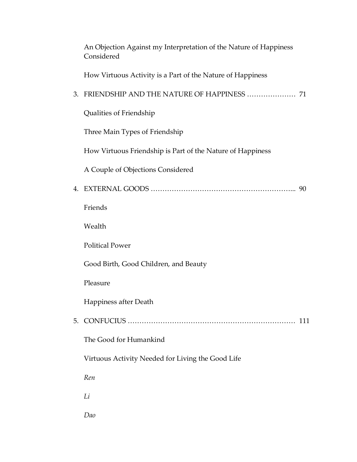|    | An Objection Against my Interpretation of the Nature of Happiness<br>Considered |     |
|----|---------------------------------------------------------------------------------|-----|
|    | How Virtuous Activity is a Part of the Nature of Happiness                      |     |
| 3. |                                                                                 |     |
|    | Qualities of Friendship                                                         |     |
|    | Three Main Types of Friendship                                                  |     |
|    | How Virtuous Friendship is Part of the Nature of Happiness                      |     |
|    | A Couple of Objections Considered                                               |     |
|    |                                                                                 |     |
|    | Friends                                                                         |     |
|    | Wealth                                                                          |     |
|    | <b>Political Power</b>                                                          |     |
|    | Good Birth, Good Children, and Beauty                                           |     |
|    | Pleasure                                                                        |     |
|    | Happiness after Death                                                           |     |
| 5. |                                                                                 | 111 |
|    | The Good for Humankind                                                          |     |
|    | Virtuous Activity Needed for Living the Good Life                               |     |
|    | Ren                                                                             |     |
|    | Li                                                                              |     |
|    | Dao                                                                             |     |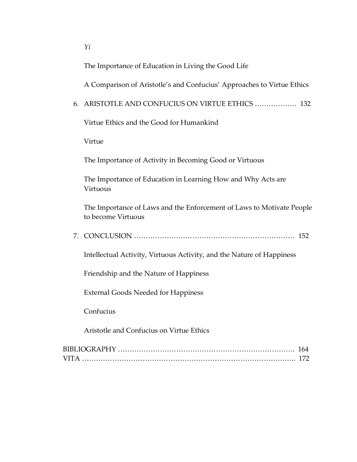The Importance of Education in Living the Good Life

A Comparison of Aristotle's and Confucius' Approaches to Virtue Ethics

6. ARISTOTLE AND CONFUCIUS ON VIRTUE ETHICS ……………… 132

Virtue Ethics and the Good for Humankind

Virtue

The Importance of Activity in Becoming Good or Virtuous

The Importance of Education in Learning How and Why Acts are Virtuous

The Importance of Laws and the Enforcement of Laws to Motivate People to become Virtuous

7. CONCLUSION …………………………………………………………… 152

Intellectual Activity, Virtuous Activity, and the Nature of Happiness

Friendship and the Nature of Happiness

External Goods Needed for Happiness

Confucius

Aristotle and Confucius on Virtue Ethics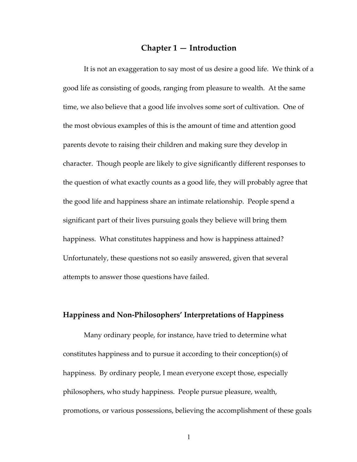# **Chapter 1 — Introduction**

It is not an exaggeration to say most of us desire a good life. We think of a good life as consisting of goods, ranging from pleasure to wealth. At the same time, we also believe that a good life involves some sort of cultivation. One of the most obvious examples of this is the amount of time and attention good parents devote to raising their children and making sure they develop in character. Though people are likely to give significantly different responses to the question of what exactly counts as a good life, they will probably agree that the good life and happiness share an intimate relationship. People spend a significant part of their lives pursuing goals they believe will bring them happiness. What constitutes happiness and how is happiness attained? Unfortunately, these questions not so easily answered, given that several attempts to answer those questions have failed.

## **Happiness and Non‐Philosophers' Interpretations of Happiness**

Many ordinary people, for instance, have tried to determine what constitutes happiness and to pursue it according to their conception(s) of happiness. By ordinary people, I mean everyone except those, especially philosophers, who study happiness. People pursue pleasure, wealth, promotions, or various possessions, believing the accomplishment of these goals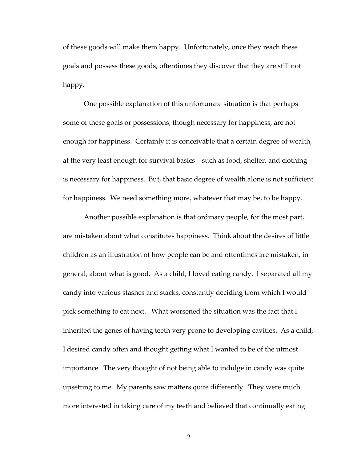of these goods will make them happy. Unfortunately, once they reach these goals and possess these goods, oftentimes they discover that they are still not happy.

One possible explanation of this unfortunate situation is that perhaps some of these goals or possessions, though necessary for happiness, are not enough for happiness. Certainly it is conceivable that a certain degree of wealth, at the very least enough for survival basics – such as food, shelter, and clothing – is necessary for happiness. But, that basic degree of wealth alone is not sufficient for happiness. We need something more, whatever that may be, to be happy.

Another possible explanation is that ordinary people, for the most part, are mistaken about what constitutes happiness. Think about the desires of little children as an illustration of how people can be and oftentimes are mistaken, in general, about what is good. As a child, I loved eating candy. I separated all my candy into various stashes and stacks, constantly deciding from which I would pick something to eat next. What worsened the situation was the fact that I inherited the genes of having teeth very prone to developing cavities. As a child, I desired candy often and thought getting what I wanted to be of the utmost importance. The very thought of not being able to indulge in candy was quite upsetting to me. My parents saw matters quite differently. They were much more interested in taking care of my teeth and believed that continually eating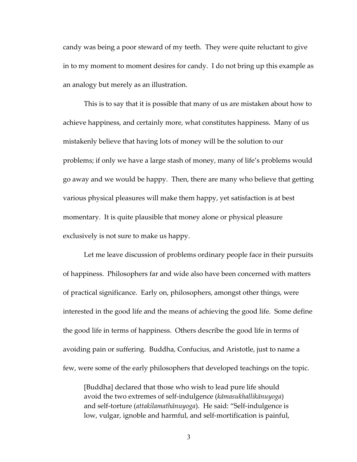candy was being a poor steward of my teeth. They were quite reluctant to give in to my moment to moment desires for candy. I do not bring up this example as an analogy but merely as an illustration.

This is to say that it is possible that many of us are mistaken about how to achieve happiness, and certainly more, what constitutes happiness. Many of us mistakenly believe that having lots of money will be the solution to our problems; if only we have a large stash of money, many of life's problems would go away and we would be happy. Then, there are many who believe that getting various physical pleasures will make them happy, yet satisfaction is at best momentary. It is quite plausible that money alone or physical pleasure exclusively is not sure to make us happy.

Let me leave discussion of problems ordinary people face in their pursuits of happiness. Philosophers far and wide also have been concerned with matters of practical significance. Early on, philosophers, amongst other things, were interested in the good life and the means of achieving the good life. Some define the good life in terms of happiness. Others describe the good life in terms of avoiding pain or suffering. Buddha, Confucius, and Aristotle, just to name a few, were some of the early philosophers that developed teachings on the topic.

[Buddha] declared that those who wish to lead pure life should avoid the two extremes of self‐indulgence (*kāmasukhallikānuyoga*) and self‐torture (*attakilamathānuyoga*). He said: "Self‐indulgence is low, vulgar, ignoble and harmful, and self-mortification is painful,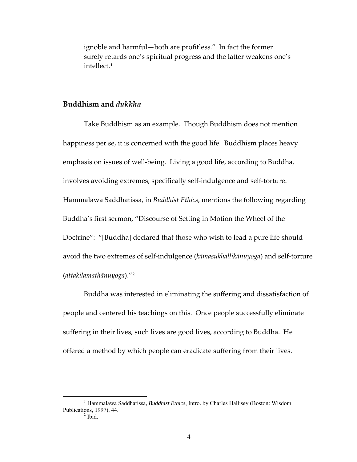ignoble and harmful—both are profitless." In fact the former surely retards one's spiritual progress and the latter weakens one's intellect.[1](#page-10-0)

# **Buddhism and** *dukkha*

Take Buddhism as an example. Though Buddhism does not mention happiness per se, it is concerned with the good life. Buddhism places heavy emphasis on issues of well-being. Living a good life, according to Buddha, involves avoiding extremes, specifically self‐indulgence and self‐torture. Hammalawa Saddhatissa, in *Buddhist Ethics*, mentions the following regarding Buddha's first sermon, "Discourse of Setting in Motion the Wheel of the Doctrine": "[Buddha] declared that those who wish to lead a pure life should avoid the two extremes of self‐indulgence (*kāmasukhallikānuyoga*) and self‐torture (*attakilamathānuyoga*)."[2](#page-10-1)

Buddha was interested in eliminating the suffering and dissatisfaction of people and centered his teachings on this. Once people successfully eliminate suffering in their lives, such lives are good lives, according to Buddha. He offered a method by which people can eradicate suffering from their lives.

<span id="page-10-1"></span><span id="page-10-0"></span> $\frac{1}{1}$ <sup>1</sup> Hammalawa Saddhatissa, *Buddhist Ethics*, Intro. by Charles Hallisey (Boston: Wisdom Publications, 1997), 44. 2

 $<sup>2</sup>$  Ibid.</sup>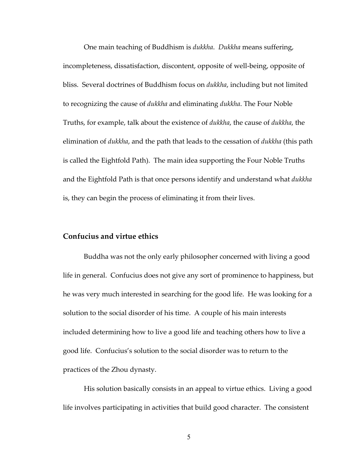One main teaching of Buddhism is *dukkha*. *Dukkha* means suffering, incompleteness, dissatisfaction, discontent, opposite of well‐being, opposite of bliss. Several doctrines of Buddhism focus on *dukkha*, including but not limited to recognizing the cause of *dukkha* and eliminating *dukkha*. The Four Noble Truths, for example, talk about the existence of *dukkha*, the cause of *dukkha*, the elimination of *dukkha*, and the path that leads to the cessation of *dukkha* (this path is called the Eightfold Path). The main idea supporting the Four Noble Truths and the Eightfold Path is that once persons identify and understand what *dukkha* is, they can begin the process of eliminating it from their lives.

## **Confucius and virtue ethics**

Buddha was not the only early philosopher concerned with living a good life in general. Confucius does not give any sort of prominence to happiness, but he was very much interested in searching for the good life. He was looking for a solution to the social disorder of his time. A couple of his main interests included determining how to live a good life and teaching others how to live a good life. Confucius's solution to the social disorder was to return to the practices of the Zhou dynasty.

His solution basically consists in an appeal to virtue ethics. Living a good life involves participating in activities that build good character. The consistent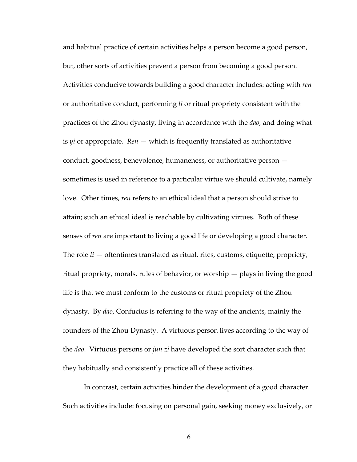and habitual practice of certain activities helps a person become a good person, but, other sorts of activities prevent a person from becoming a good person. Activities conducive towards building a good character includes: acting with *ren* or authoritative conduct, performing *li* or ritual propriety consistent with the practices of the Zhou dynasty, living in accordance with the *dao*, and doing what is  $yi$  or appropriate.  $Ren$  — which is frequently translated as authoritative conduct, goodness, benevolence, humaneness, or authoritative person sometimes is used in reference to a particular virtue we should cultivate, namely love. Other times, *ren* refers to an ethical ideal that a person should strive to attain; such an ethical ideal is reachable by cultivating virtues. Both of these senses of *ren* are important to living a good life or developing a good character. The role *li* — oftentimes translated as ritual, rites, customs, etiquette, propriety, ritual propriety, morals, rules of behavior, or worship — plays in living the good life is that we must conform to the customs or ritual propriety of the Zhou dynasty. By *dao*, Confucius is referring to the way of the ancients, mainly the founders of the Zhou Dynasty. A virtuous person lives according to the way of the *dao*. Virtuous persons or *jun zi* have developed the sort character such that they habitually and consistently practice all of these activities.

In contrast, certain activities hinder the development of a good character. Such activities include: focusing on personal gain, seeking money exclusively, or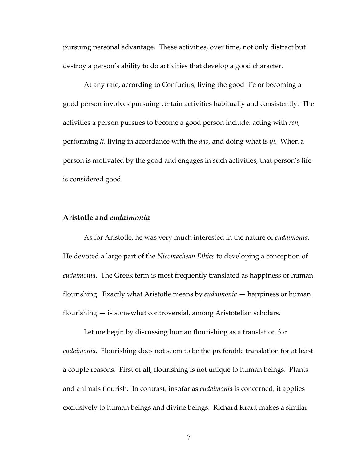pursuing personal advantage. These activities, over time, not only distract but destroy a person's ability to do activities that develop a good character.

At any rate, according to Confucius, living the good life or becoming a good person involves pursuing certain activities habitually and consistently. The activities a person pursues to become a good person include: acting with *ren*, performing *li*, living in accordance with the *dao*, and doing what is *yi*. When a person is motivated by the good and engages in such activities, that person's life is considered good.

### **Aristotle and** *eudaimonia*

As for Aristotle, he was very much interested in the nature of *eudaimonia*. He devoted a large part of the *Nicomachean Ethics* to developing a conception of *eudaimonia*. The Greek term is most frequently translated as happiness or human flourishing. Exactly what Aristotle means by *eudaimonia* — happiness or human flourishing — is somewhat controversial, among Aristotelian scholars.

Let me begin by discussing human flourishing as a translation for *eudaimonia*. Flourishing does not seem to be the preferable translation for at least a couple reasons. First of all, flourishing is not unique to human beings. Plants and animals flourish. In contrast, insofar as *eudaimonia* is concerned, it applies exclusively to human beings and divine beings. Richard Kraut makes a similar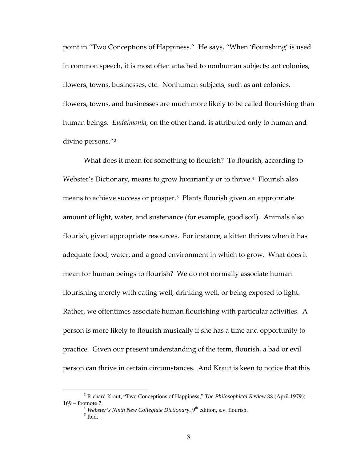point in "Two Conceptions of Happiness." He says, "When 'flourishing' is used in common speech, it is most often attached to nonhuman subjects: ant colonies, flowers, towns, businesses, etc. Nonhuman subjects, such as ant colonies, flowers, towns, and businesses are much more likely to be called flourishing than human beings. *Eudaimonia*, on the other hand, is attributed only to human and divine persons."[3](#page-14-0)

What does it mean for something to flourish? To flourish, according to Webster's Dictionary, means to grow luxuriantly or to thrive.<sup>[4](#page-14-1)</sup> Flourish also means to achieve success or prosper.<sup>[5](#page-14-2)</sup> Plants flourish given an appropriate amount of light, water, and sustenance (for example, good soil). Animals also flourish, given appropriate resources. For instance, a kitten thrives when it has adequate food, water, and a good environment in which to grow. What does it mean for human beings to flourish? We do not normally associate human flourishing merely with eating well, drinking well, or being exposed to light. Rather, we oftentimes associate human flourishing with particular activities. A person is more likely to flourish musically if she has a time and opportunity to practice. Given our present understanding of the term, flourish, a bad or evil person can thrive in certain circumstances. And Kraut is keen to notice that this

<span id="page-14-2"></span><span id="page-14-1"></span><span id="page-14-0"></span> <sup>3</sup> <sup>3</sup> Richard Kraut, "Two Conceptions of Happiness," *The Philosophical Review* 88 (April 1979): 169 – footnote 7.<br><sup>4</sup> *Webster's Ninth New Collegiate Dictionary*, 9<sup>th</sup> edition, s.v. flourish.

 $<sup>5</sup>$  Ibid.</sup>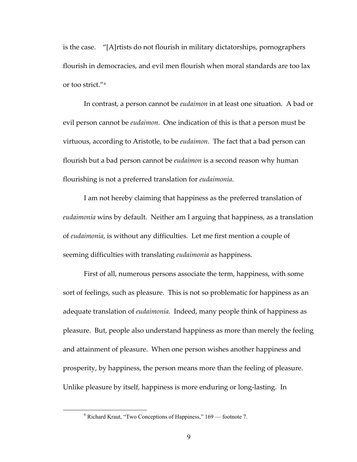is the case. "[A]rtists do not flourish in military dictatorships, pornographers flourish in democracies, and evil men flourish when moral standards are too lax or too strict."[6](#page-15-0)

In contrast, a person cannot be *eudaimon* in at least one situation. A bad or evil person cannot be *eudaimon*. One indication of this is that a person must be virtuous, according to Aristotle, to be *eudaimon*. The fact that a bad person can flourish but a bad person cannot be *eudaimon* is a second reason why human flourishing is not a preferred translation for *eudaimonia*.

I am not hereby claiming that happiness as the preferred translation of *eudaimonia* wins by default. Neither am I arguing that happiness, as a translation of *eudaimonia*, is without any difficulties. Let me first mention a couple of seeming difficulties with translating *eudaimonia* as happiness.

First of all, numerous persons associate the term, happiness, with some sort of feelings, such as pleasure. This is not so problematic for happiness as an adequate translation of *eudaimonia*. Indeed, many people think of happiness as pleasure. But, people also understand happiness as more than merely the feeling and attainment of pleasure. When one person wishes another happiness and prosperity, by happiness, the person means more than the feeling of pleasure. Unlike pleasure by itself, happiness is more enduring or long‐lasting. In

<span id="page-15-0"></span> <sup>6</sup>  $6$  Richard Kraut, "Two Conceptions of Happiness,"  $169$  — footnote 7.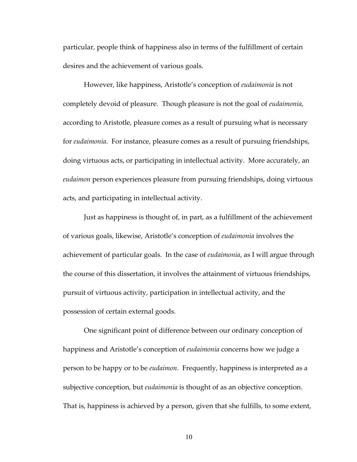particular, people think of happiness also in terms of the fulfillment of certain desires and the achievement of various goals.

However, like happiness, Aristotle's conception of *eudaimonia* is not completely devoid of pleasure. Though pleasure is not the goal of *eudaimonia*, according to Aristotle, pleasure comes as a result of pursuing what is necessary for *eudaimonia*. For instance, pleasure comes as a result of pursuing friendships, doing virtuous acts, or participating in intellectual activity. More accurately, an *eudaimon* person experiences pleasure from pursuing friendships, doing virtuous acts, and participating in intellectual activity.

Just as happiness is thought of, in part, as a fulfillment of the achievement of various goals, likewise, Aristotle's conception of *eudaimonia* involves the achievement of particular goals. In the case of *eudaimonia*, as I will argue through the course of this dissertation, it involves the attainment of virtuous friendships, pursuit of virtuous activity, participation in intellectual activity, and the possession of certain external goods.

One significant point of difference between our ordinary conception of happiness and Aristotle's conception of *eudaimonia* concerns how we judge a person to be happy or to be *eudaimon*. Frequently, happiness is interpreted as a subjective conception, but *eudaimonia* is thought of as an objective conception. That is, happiness is achieved by a person, given that she fulfills, to some extent,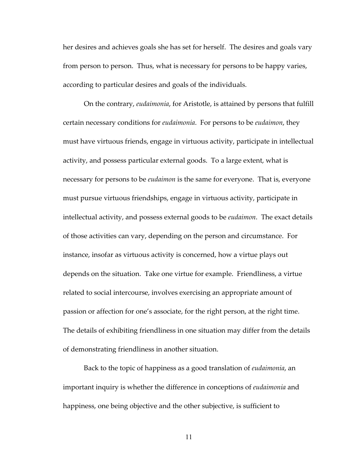her desires and achieves goals she has set for herself. The desires and goals vary from person to person. Thus, what is necessary for persons to be happy varies, according to particular desires and goals of the individuals.

On the contrary, *eudaimonia*, for Aristotle, is attained by persons that fulfill certain necessary conditions for *eudaimonia*. For persons to be *eudaimon*, they must have virtuous friends, engage in virtuous activity, participate in intellectual activity, and possess particular external goods. To a large extent, what is necessary for persons to be *eudaimon* is the same for everyone. That is, everyone must pursue virtuous friendships, engage in virtuous activity, participate in intellectual activity, and possess external goods to be *eudaimon*. The exact details of those activities can vary, depending on the person and circumstance. For instance, insofar as virtuous activity is concerned, how a virtue plays out depends on the situation. Take one virtue for example. Friendliness, a virtue related to social intercourse, involves exercising an appropriate amount of passion or affection for one's associate, for the right person, at the right time. The details of exhibiting friendliness in one situation may differ from the details of demonstrating friendliness in another situation.

Back to the topic of happiness as a good translation of *eudaimonia*, an important inquiry is whether the difference in conceptions of *eudaimonia* and happiness, one being objective and the other subjective, is sufficient to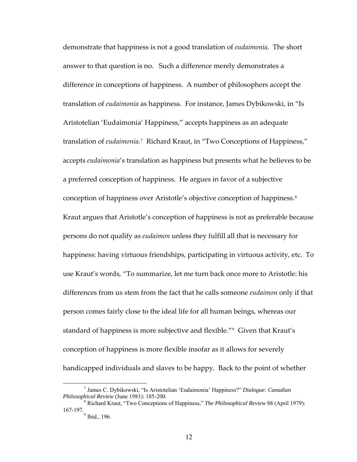demonstrate that happiness is not a good translation of *eudaimonia*. The short answer to that question is no. Such a difference merely demonstrates a difference in conceptions of happiness. A number of philosophers accept the translation of *eudaimonia* as happiness. For instance, James Dybikowski, in "Is Aristotelian 'Eudaimonia' Happiness," accepts happiness as an adequate translation of *eudaimonia*. [7](#page-18-0) Richard Kraut, in "Two Conceptions of Happiness," accepts *eudaimonia*'s translation as happiness but presents what he believes to be a preferred conception of happiness. He argues in favor of a subjective conception of happiness over Aristotle's objective conception of happiness.[8](#page-18-1) Kraut argues that Aristotle's conception of happiness is not as preferable because persons do not qualify as *eudaimon* unless they fulfill all that is necessary for happiness: having virtuous friendships, participating in virtuous activity, etc. To use Kraut's words, "To summarize, let me turn back once more to Aristotle: his differences from us stem from the fact that he calls someone *eudaimon* only if that person comes fairly close to the ideal life for all human beings, whereas our standard of happiness is more subjective and flexible."<sup>[9](#page-18-2)</sup> Given that Kraut's conception of happiness is more flexible insofar as it allows for severely handicapped individuals and slaves to be happy. Back to the point of whether

<span id="page-18-0"></span> $\overline{\phantom{a}}$  James C. Dybikowski, "Is Aristotelian 'Eudaimonia' Happiness?" *Dialogue: Canadian Philosophical Review* (June 1981): 185-200. 8

<span id="page-18-2"></span><span id="page-18-1"></span>Richard Kraut, "Two Conceptions of Happiness," *The Philosophical Review* 88 (April 1979):  $167-197.$ <sup>9</sup> Ibid., 196.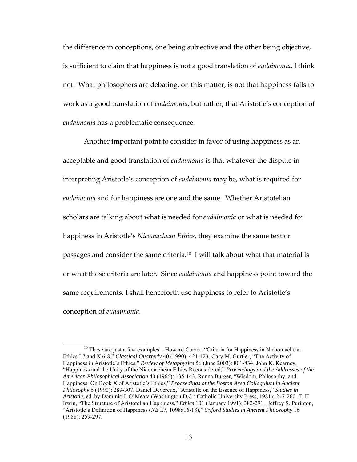the difference in conceptions, one being subjective and the other being objective, is sufficient to claim that happiness is not a good translation of *eudaimonia*, I think not. What philosophers are debating, on this matter, is not that happiness fails to work as a good translation of *eudaimonia*, but rather, that Aristotle's conception of *eudaimonia* has a problematic consequence.

Another important point to consider in favor of using happiness as an acceptable and good translation of *eudaimonia* is that whatever the dispute in interpreting Aristotle's conception of *eudaimonia* may be, what is required for *eudaimonia* and for happiness are one and the same. Whether Aristotelian scholars are talking about what is needed for *eudaimonia* or what is needed for happiness in Aristotle's *Nicomachean Ethics*, they examine the same text or passages and consider the same criteria.<sup>[10](#page-19-0)</sup> I will talk about what that material is or what those criteria are later. Since *eudaimonia* and happiness point toward the same requirements, I shall henceforth use happiness to refer to Aristotle's conception of *eudaimonia*.

<span id="page-19-0"></span><sup>&</sup>lt;sup>10</sup> These are just a few examples – Howard Curzer, "Criteria for Happiness in Nichomachean Ethics I.7 and X.6-8," *Classical Quarterly* 40 (1990): 421-423. Gary M. Gurtler, "The Activity of Happiness in Aristotle's Ethics," *Review of Metaphysics* 56 (June 2003): 801-834. John K. Kearney, "Happiness and the Unity of the Nicomachean Ethics Reconsidered," *Proceedings and the Addresses of the American Philosophical Association* 40 (1966): 135-143. Ronna Burger, "Wisdom, Philosophy, and Happiness: On Book X of Aristotle's Ethics," *Proceedings of the Boston Area Colloquium in Ancient Philosophy* 6 (1990): 289-307. Daniel Devereux, "Aristotle on the Essence of Happiness," *Studies in Aristotle*, ed. by Dominic J. O'Meara (Washington D.C.: Catholic University Press, 1981): 247-260. T. H. Irwin, "The Structure of Aristotelian Happiness," *Ethics* 101 (January 1991): 382-291. Jeffrey S. Purinton, "Aristotle's Definition of Happiness (*NE* I.7, 1098a16-18)," *Oxford Studies in Ancient Philosophy* 16 (1988): 259-297.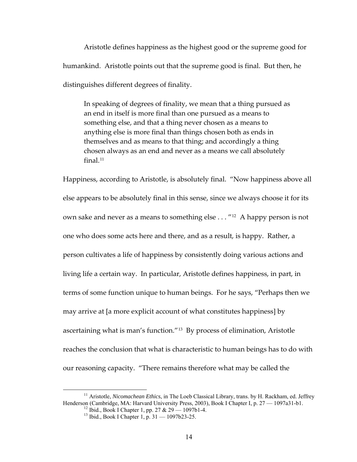Aristotle defines happiness as the highest good or the supreme good for humankind. Aristotle points out that the supreme good is final. But then, he distinguishes different degrees of finality.

In speaking of degrees of finality, we mean that a thing pursued as an end in itself is more final than one pursued as a means to something else, and that a thing never chosen as a means to anything else is more final than things chosen both as ends in themselves and as means to that thing; and accordingly a thing chosen always as an end and never as a means we call absolutely final.<sup>[11](#page-20-0)</sup>

Happiness, according to Aristotle, is absolutely final. "Now happiness above all else appears to be absolutely final in this sense, since we always choose it for its own sake and never as a means to something else . . . "[12](#page-20-1) A happy person is not one who does some acts here and there, and as a result, is happy. Rather, a person cultivates a life of happiness by consistently doing various actions and living life a certain way. In particular, Aristotle defines happiness, in part, in terms of some function unique to human beings. For he says, "Perhaps then we may arrive at [a more explicit account of what constitutes happiness] by ascertaining what is man's function."[13](#page-20-2) By process of elimination, Aristotle reaches the conclusion that what is characteristic to human beings has to do with our reasoning capacity. "There remains therefore what may be called the

<span id="page-20-2"></span><span id="page-20-1"></span><span id="page-20-0"></span><sup>&</sup>lt;sup>11</sup> Aristotle, *Nicomachean Ethics*, in The Loeb Classical Library, trans. by H. Rackham, ed. Jeffrey Henderson (Cambridge, MA: Harvard University Press, 2003), Book I Chapter I, p. 27 — 1097a31-b1.<br><sup>12</sup> Ibid., Book I Chapter 1, pp. 27 & 29 — 1097b1-4.

<sup>&</sup>lt;sup>13</sup> Ibid., Book I Chapter 1, p. 31 — 1097b23-25.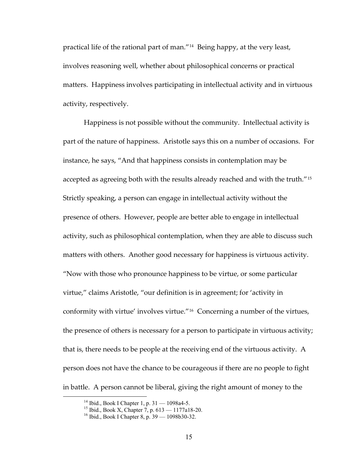practical life of the rational part of man."[14](#page-21-0) Being happy, at the very least, involves reasoning well, whether about philosophical concerns or practical matters. Happiness involves participating in intellectual activity and in virtuous activity, respectively.

Happiness is not possible without the community. Intellectual activity is part of the nature of happiness. Aristotle says this on a number of occasions. For instance, he says, "And that happiness consists in contemplation may be accepted as agreeing both with the results already reached and with the truth."<sup>[15](#page-21-1)</sup> Strictly speaking, a person can engage in intellectual activity without the presence of others. However, people are better able to engage in intellectual activity, such as philosophical contemplation, when they are able to discuss such matters with others. Another good necessary for happiness is virtuous activity. "Now with those who pronounce happiness to be virtue, or some particular virtue," claims Aristotle, "our definition is in agreement; for 'activity in conformity with virtue' involves virtue."[16](#page-21-2) Concerning a number of the virtues, the presence of others is necessary for a person to participate in virtuous activity; that is, there needs to be people at the receiving end of the virtuous activity. A person does not have the chance to be courageous if there are no people to fight in battle. A person cannot be liberal, giving the right amount of money to the

<span id="page-21-2"></span><span id="page-21-1"></span><span id="page-21-0"></span> <sup>14</sup> Ibid., Book I Chapter 1, p. 31 — 1098a4-5.

<sup>15</sup> Ibid., Book X, Chapter 7, p. 613 — 1177a18-20.

<sup>16</sup> Ibid., Book I Chapter 8, p. 39 — 1098b30-32.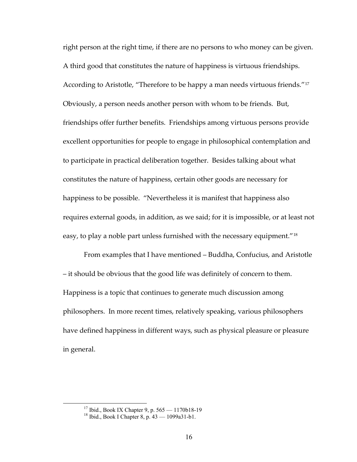right person at the right time, if there are no persons to who money can be given. A third good that constitutes the nature of happiness is virtuous friendships. According to Aristotle, "Therefore to be happy a man needs virtuous friends."[17](#page-22-0) Obviously, a person needs another person with whom to be friends. But, friendships offer further benefits. Friendships among virtuous persons provide excellent opportunities for people to engage in philosophical contemplation and to participate in practical deliberation together. Besides talking about what constitutes the nature of happiness, certain other goods are necessary for happiness to be possible. "Nevertheless it is manifest that happiness also requires external goods, in addition, as we said; for it is impossible, or at least not easy, to play a noble part unless furnished with the necessary equipment."<sup>[18](#page-22-1)</sup>

From examples that I have mentioned – Buddha, Confucius, and Aristotle – it should be obvious that the good life was definitely of concern to them. Happiness is a topic that continues to generate much discussion among philosophers. In more recent times, relatively speaking, various philosophers have defined happiness in different ways, such as physical pleasure or pleasure in general.

 <sup>17</sup> Ibid., Book IX Chapter 9, p. 565 — 1170b18-19

<span id="page-22-1"></span><span id="page-22-0"></span><sup>18</sup> Ibid., Book I Chapter 8, p. 43 — 1099a31-b1.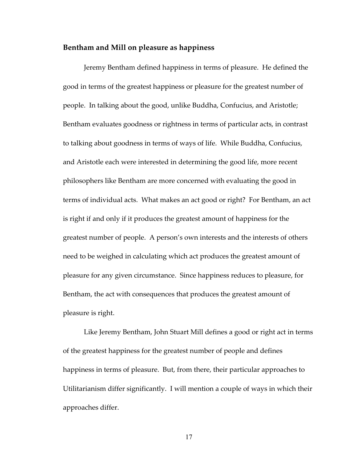### **Bentham and Mill on pleasure as happiness**

Jeremy Bentham defined happiness in terms of pleasure. He defined the good in terms of the greatest happiness or pleasure for the greatest number of people. In talking about the good, unlike Buddha, Confucius, and Aristotle; Bentham evaluates goodness or rightness in terms of particular acts, in contrast to talking about goodness in terms of ways of life. While Buddha, Confucius, and Aristotle each were interested in determining the good life, more recent philosophers like Bentham are more concerned with evaluating the good in terms of individual acts. What makes an act good or right? For Bentham, an act is right if and only if it produces the greatest amount of happiness for the greatest number of people. A person's own interests and the interests of others need to be weighed in calculating which act produces the greatest amount of pleasure for any given circumstance. Since happiness reduces to pleasure, for Bentham, the act with consequences that produces the greatest amount of pleasure is right.

Like Jeremy Bentham, John Stuart Mill defines a good or right act in terms of the greatest happiness for the greatest number of people and defines happiness in terms of pleasure. But, from there, their particular approaches to Utilitarianism differ significantly. I will mention a couple of ways in which their approaches differ.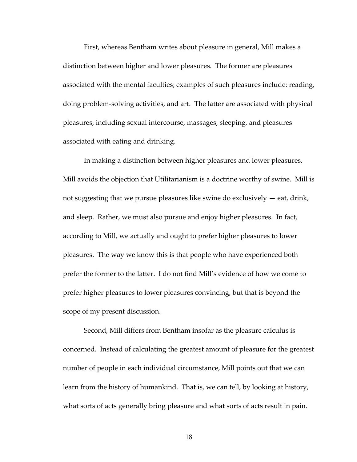First, whereas Bentham writes about pleasure in general, Mill makes a distinction between higher and lower pleasures. The former are pleasures associated with the mental faculties; examples of such pleasures include: reading, doing problem‐solving activities, and art. The latter are associated with physical pleasures, including sexual intercourse, massages, sleeping, and pleasures associated with eating and drinking.

In making a distinction between higher pleasures and lower pleasures, Mill avoids the objection that Utilitarianism is a doctrine worthy of swine. Mill is not suggesting that we pursue pleasures like swine do exclusively — eat, drink, and sleep. Rather, we must also pursue and enjoy higher pleasures. In fact, according to Mill, we actually and ought to prefer higher pleasures to lower pleasures. The way we know this is that people who have experienced both prefer the former to the latter. I do not find Mill's evidence of how we come to prefer higher pleasures to lower pleasures convincing, but that is beyond the scope of my present discussion.

Second, Mill differs from Bentham insofar as the pleasure calculus is concerned. Instead of calculating the greatest amount of pleasure for the greatest number of people in each individual circumstance, Mill points out that we can learn from the history of humankind. That is, we can tell, by looking at history, what sorts of acts generally bring pleasure and what sorts of acts result in pain.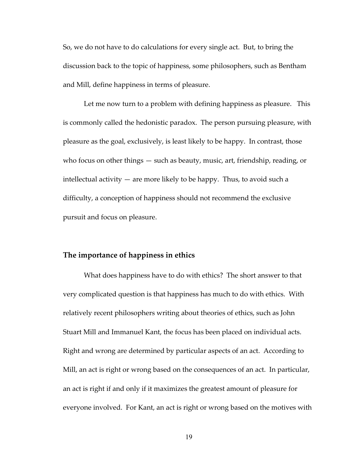So, we do not have to do calculations for every single act. But, to bring the discussion back to the topic of happiness, some philosophers, such as Bentham and Mill, define happiness in terms of pleasure.

Let me now turn to a problem with defining happiness as pleasure. This is commonly called the hedonistic paradox. The person pursuing pleasure, with pleasure as the goal, exclusively, is least likely to be happy. In contrast, those who focus on other things — such as beauty, music, art, friendship, reading, or intellectual activity — are more likely to be happy. Thus, to avoid such a difficulty, a conception of happiness should not recommend the exclusive pursuit and focus on pleasure.

### **The importance of happiness in ethics**

What does happiness have to do with ethics? The short answer to that very complicated question is that happiness has much to do with ethics. With relatively recent philosophers writing about theories of ethics, such as John Stuart Mill and Immanuel Kant, the focus has been placed on individual acts. Right and wrong are determined by particular aspects of an act. According to Mill, an act is right or wrong based on the consequences of an act. In particular, an act is right if and only if it maximizes the greatest amount of pleasure for everyone involved. For Kant, an act is right or wrong based on the motives with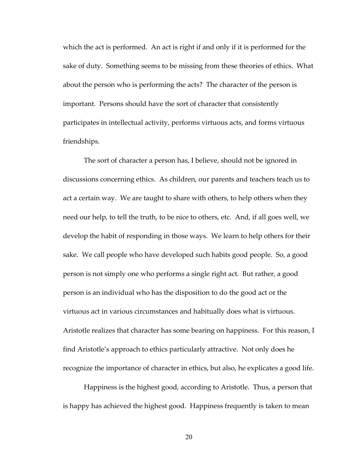which the act is performed. An act is right if and only if it is performed for the sake of duty. Something seems to be missing from these theories of ethics. What about the person who is performing the acts? The character of the person is important. Persons should have the sort of character that consistently participates in intellectual activity, performs virtuous acts, and forms virtuous friendships.

The sort of character a person has, I believe, should not be ignored in discussions concerning ethics. As children, our parents and teachers teach us to act a certain way. We are taught to share with others, to help others when they need our help, to tell the truth, to be nice to others, etc. And, if all goes well, we develop the habit of responding in those ways. We learn to help others for their sake. We call people who have developed such habits good people. So, a good person is not simply one who performs a single right act. But rather, a good person is an individual who has the disposition to do the good act or the virtuous act in various circumstances and habitually does what is virtuous. Aristotle realizes that character has some bearing on happiness. For this reason, I find Aristotle's approach to ethics particularly attractive. Not only does he recognize the importance of character in ethics, but also, he explicates a good life.

Happiness is the highest good, according to Aristotle. Thus, a person that is happy has achieved the highest good. Happiness frequently is taken to mean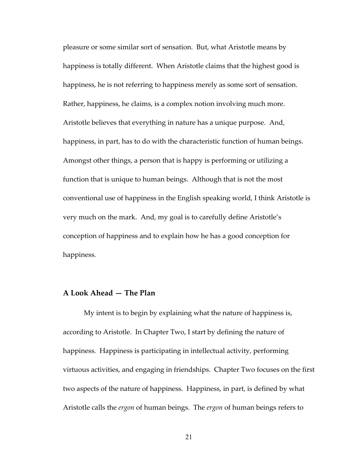pleasure or some similar sort of sensation. But, what Aristotle means by happiness is totally different. When Aristotle claims that the highest good is happiness, he is not referring to happiness merely as some sort of sensation. Rather, happiness, he claims, is a complex notion involving much more. Aristotle believes that everything in nature has a unique purpose. And, happiness, in part, has to do with the characteristic function of human beings. Amongst other things, a person that is happy is performing or utilizing a function that is unique to human beings. Although that is not the most conventional use of happiness in the English speaking world, I think Aristotle is very much on the mark. And, my goal is to carefully define Aristotle's conception of happiness and to explain how he has a good conception for happiness.

## **A Look Ahead — The Plan**

My intent is to begin by explaining what the nature of happiness is, according to Aristotle. In Chapter Two, I start by defining the nature of happiness. Happiness is participating in intellectual activity, performing virtuous activities, and engaging in friendships. Chapter Two focuses on the first two aspects of the nature of happiness. Happiness, in part, is defined by what Aristotle calls the *ergon* of human beings. The *ergon* of human beings refers to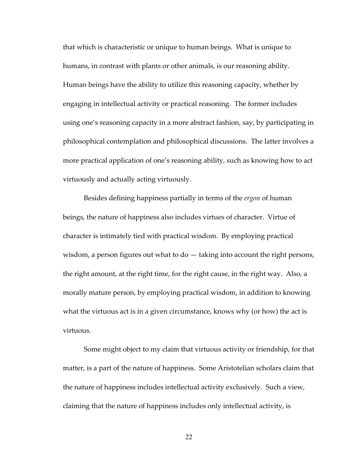that which is characteristic or unique to human beings. What is unique to humans, in contrast with plants or other animals, is our reasoning ability. Human beings have the ability to utilize this reasoning capacity, whether by engaging in intellectual activity or practical reasoning. The former includes using one's reasoning capacity in a more abstract fashion, say, by participating in philosophical contemplation and philosophical discussions. The latter involves a more practical application of one's reasoning ability, such as knowing how to act virtuously and actually acting virtuously.

Besides defining happiness partially in terms of the *ergon* of human beings, the nature of happiness also includes virtues of character. Virtue of character is intimately tied with practical wisdom. By employing practical wisdom, a person figures out what to do  $-$  taking into account the right persons, the right amount, at the right time, for the right cause, in the right way. Also, a morally mature person, by employing practical wisdom, in addition to knowing what the virtuous act is in a given circumstance, knows why (or how) the act is virtuous.

Some might object to my claim that virtuous activity or friendship, for that matter, is a part of the nature of happiness. Some Aristotelian scholars claim that the nature of happiness includes intellectual activity exclusively. Such a view, claiming that the nature of happiness includes only intellectual activity, is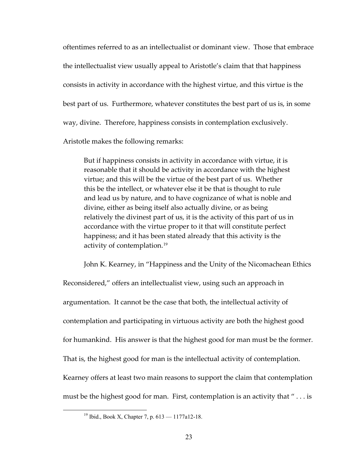oftentimes referred to as an intellectualist or dominant view. Those that embrace the intellectualist view usually appeal to Aristotle's claim that that happiness consists in activity in accordance with the highest virtue, and this virtue is the best part of us. Furthermore, whatever constitutes the best part of us is, in some way, divine. Therefore, happiness consists in contemplation exclusively.

Aristotle makes the following remarks:

But if happiness consists in activity in accordance with virtue, it is reasonable that it should be activity in accordance with the highest virtue; and this will be the virtue of the best part of us. Whether this be the intellect, or whatever else it be that is thought to rule and lead us by nature, and to have cognizance of what is noble and divine, either as being itself also actually divine, or as being relatively the divinest part of us, it is the activity of this part of us in accordance with the virtue proper to it that will constitute perfect happiness; and it has been stated already that this activity is the activity of contemplation.[19](#page-29-0)

John K. Kearney, in "Happiness and the Unity of the Nicomachean Ethics

Reconsidered," offers an intellectualist view, using such an approach in argumentation. It cannot be the case that both, the intellectual activity of contemplation and participating in virtuous activity are both the highest good for humankind. His answer is that the highest good for man must be the former. That is, the highest good for man is the intellectual activity of contemplation. Kearney offers at least two main reasons to support the claim that contemplation must be the highest good for man. First, contemplation is an activity that " . . . is

<span id="page-29-0"></span><sup>&</sup>lt;sup>19</sup> Ibid., Book X, Chapter 7, p.  $613 - 1177a12-18$ .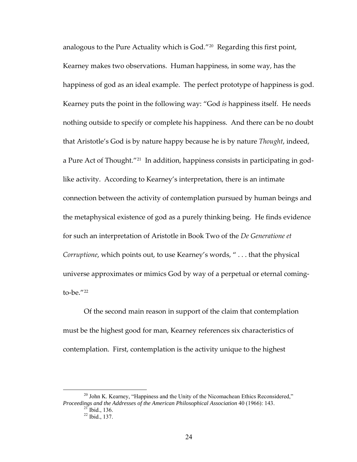analogous to the Pure Actuality which is God."<sup>[20](#page-30-0)</sup> Regarding this first point, Kearney makes two observations. Human happiness, in some way, has the happiness of god as an ideal example. The perfect prototype of happiness is god. Kearney puts the point in the following way: "God *is* happiness itself. He needs nothing outside to specify or complete his happiness. And there can be no doubt that Aristotle's God is by nature happy because he is by nature *Thought*, indeed, a Pure Act of Thought."<sup>[21](#page-30-1)</sup> In addition, happiness consists in participating in godlike activity. According to Kearney's interpretation, there is an intimate connection between the activity of contemplation pursued by human beings and the metaphysical existence of god as a purely thinking being. He finds evidence for such an interpretation of Aristotle in Book Two of the *De Generatione et Corruptione*, which points out, to use Kearney's words, " . . . that the physical universe approximates or mimics God by way of a perpetual or eternal coming‐ to-be. $''^{22}$  $''^{22}$  $''^{22}$ 

Of the second main reason in support of the claim that contemplation must be the highest good for man, Kearney references six characteristics of contemplation. First, contemplation is the activity unique to the highest

<span id="page-30-2"></span><span id="page-30-1"></span><span id="page-30-0"></span> $20$  John K. Kearney, "Happiness and the Unity of the Nicomachean Ethics Reconsidered," *Proceedings and the Addresses of the American Philosophical Association* 40 (1966): 143.

 $\frac{21}{21}$  Ibid., 136.<br> $\frac{22}{1}$  Ibid., 137.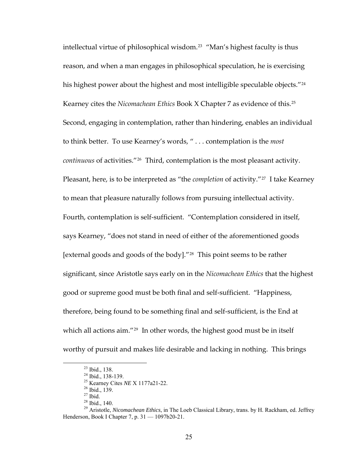intellectual virtue of philosophical wisdom.<sup>[23](#page-31-0)</sup> "Man's highest faculty is thus reason, and when a man engages in philosophical speculation, he is exercising his highest power about the highest and most intelligible speculable objects."<sup>[24](#page-31-1)</sup> Kearney cites the *Nicomachean Ethics* Book X Chapter 7 as evidence of this.[25](#page-31-2) Second, engaging in contemplation, rather than hindering, enables an individual to think better. To use Kearney's words, " . . . contemplation is the *most continuous* of activities."[26](#page-31-3) Third, contemplation is the most pleasant activity. Pleasant, here, is to be interpreted as "the *completion* of activity."<sup>[27](#page-31-4)</sup> I take Kearney to mean that pleasure naturally follows from pursuing intellectual activity. Fourth, contemplation is self-sufficient. "Contemplation considered in itself, says Kearney, "does not stand in need of either of the aforementioned goods [external goods and goods of the body]."[28](#page-31-5) This point seems to be rather significant, since Aristotle says early on in the *Nicomachean Ethics* that the highest good or supreme good must be both final and self‐sufficient. "Happiness, therefore, being found to be something final and self‐sufficient, is the End at which all actions aim."<sup>[29](#page-31-6)</sup> In other words, the highest good must be in itself worthy of pursuit and makes life desirable and lacking in nothing. This brings

 <sup>23</sup> Ibid., 138.

 $^{24}$  Ibid., 138-139.

<sup>&</sup>lt;sup>25</sup> Kearney Cites *NE* X 1177a21-22.<br><sup>26</sup> Ibid., 139.

 $27$  Ibid.

 $28$  Ibid., 140.

<span id="page-31-6"></span><span id="page-31-5"></span><span id="page-31-4"></span><span id="page-31-3"></span><span id="page-31-2"></span><span id="page-31-1"></span><span id="page-31-0"></span><sup>29</sup> Aristotle, *Nicomachean Ethics*, in The Loeb Classical Library, trans. by H. Rackham, ed. Jeffrey Henderson, Book I Chapter 7, p. 31 — 1097b20-21.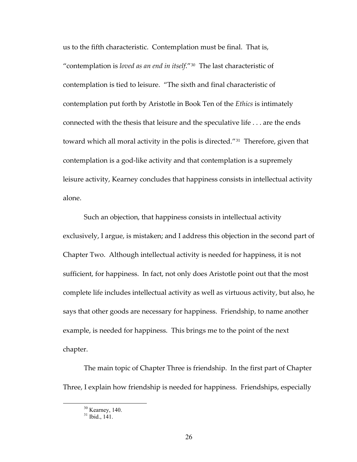us to the fifth characteristic. Contemplation must be final. That is, "contemplation is *loved as an end in itself*."[30](#page-32-0) The last characteristic of contemplation is tied to leisure. "The sixth and final characteristic of contemplation put forth by Aristotle in Book Ten of the *Ethics* is intimately connected with the thesis that leisure and the speculative life . . . are the ends toward which all moral activity in the polis is directed."[31](#page-32-1) Therefore, given that contemplation is a god‐like activity and that contemplation is a supremely leisure activity, Kearney concludes that happiness consists in intellectual activity alone.

Such an objection, that happiness consists in intellectual activity exclusively, I argue, is mistaken; and I address this objection in the second part of Chapter Two. Although intellectual activity is needed for happiness, it is not sufficient, for happiness. In fact, not only does Aristotle point out that the most complete life includes intellectual activity as well as virtuous activity, but also, he says that other goods are necessary for happiness. Friendship, to name another example, is needed for happiness. This brings me to the point of the next chapter.

The main topic of Chapter Three is friendship. In the first part of Chapter Three, I explain how friendship is needed for happiness. Friendships, especially

<span id="page-32-1"></span><span id="page-32-0"></span><sup>&</sup>lt;sup>30</sup> Kearney, 140.

 $31$  Ibid., 141.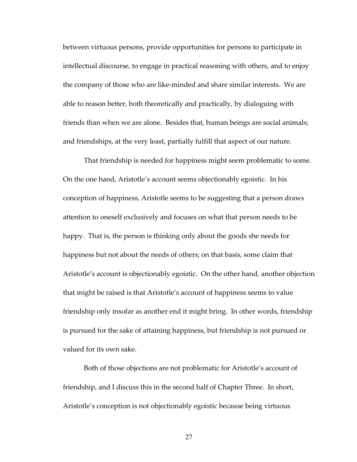between virtuous persons, provide opportunities for persons to participate in intellectual discourse, to engage in practical reasoning with others, and to enjoy the company of those who are like‐minded and share similar interests. We are able to reason better, both theoretically and practically, by dialoguing with friends than when we are alone. Besides that, human beings are social animals; and friendships, at the very least, partially fulfill that aspect of our nature.

That friendship is needed for happiness might seem problematic to some. On the one hand, Aristotle's account seems objectionably egoistic. In his conception of happiness, Aristotle seems to be suggesting that a person draws attention to oneself exclusively and focuses on what that person needs to be happy. That is, the person is thinking only about the goods she needs for happiness but not about the needs of others; on that basis, some claim that Aristotle's account is objectionably egoistic. On the other hand, another objection that might be raised is that Aristotle's account of happiness seems to value friendship only insofar as another end it might bring. In other words, friendship is pursued for the sake of attaining happiness, but friendship is not pursued or valued for its own sake.

Both of those objections are not problematic for Aristotle's account of friendship, and I discuss this in the second half of Chapter Three. In short, Aristotle's conception is not objectionably egoistic because being virtuous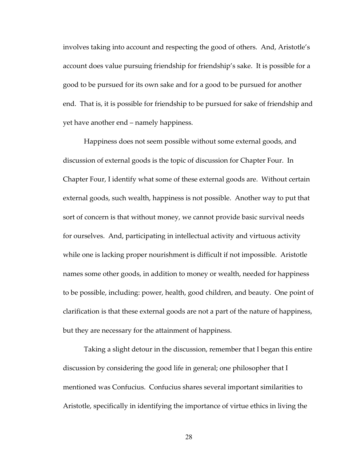involves taking into account and respecting the good of others. And, Aristotle's account does value pursuing friendship for friendship's sake. It is possible for a good to be pursued for its own sake and for a good to be pursued for another end. That is, it is possible for friendship to be pursued for sake of friendship and yet have another end – namely happiness.

Happiness does not seem possible without some external goods, and discussion of external goods is the topic of discussion for Chapter Four. In Chapter Four, I identify what some of these external goods are. Without certain external goods, such wealth, happiness is not possible. Another way to put that sort of concern is that without money, we cannot provide basic survival needs for ourselves. And, participating in intellectual activity and virtuous activity while one is lacking proper nourishment is difficult if not impossible. Aristotle names some other goods, in addition to money or wealth, needed for happiness to be possible, including: power, health, good children, and beauty. One point of clarification is that these external goods are not a part of the nature of happiness, but they are necessary for the attainment of happiness.

Taking a slight detour in the discussion, remember that I began this entire discussion by considering the good life in general; one philosopher that I mentioned was Confucius. Confucius shares several important similarities to Aristotle, specifically in identifying the importance of virtue ethics in living the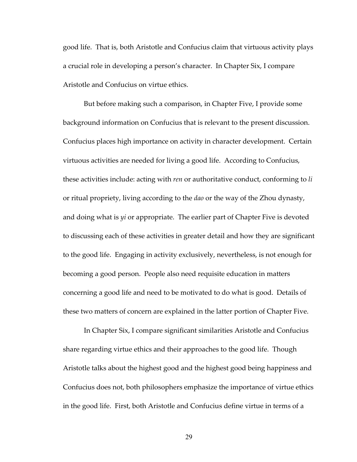good life. That is, both Aristotle and Confucius claim that virtuous activity plays a crucial role in developing a person's character. In Chapter Six, I compare Aristotle and Confucius on virtue ethics.

But before making such a comparison, in Chapter Five, I provide some background information on Confucius that is relevant to the present discussion. Confucius places high importance on activity in character development. Certain virtuous activities are needed for living a good life. According to Confucius, these activities include: acting with *ren* or authoritative conduct, conforming to *li* or ritual propriety, living according to the *dao* or the way of the Zhou dynasty, and doing what is *yi* or appropriate. The earlier part of Chapter Five is devoted to discussing each of these activities in greater detail and how they are significant to the good life. Engaging in activity exclusively, nevertheless, is not enough for becoming a good person. People also need requisite education in matters concerning a good life and need to be motivated to do what is good. Details of these two matters of concern are explained in the latter portion of Chapter Five.

In Chapter Six, I compare significant similarities Aristotle and Confucius share regarding virtue ethics and their approaches to the good life. Though Aristotle talks about the highest good and the highest good being happiness and Confucius does not, both philosophers emphasize the importance of virtue ethics in the good life. First, both Aristotle and Confucius define virtue in terms of a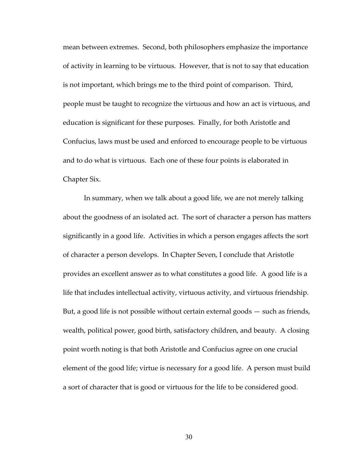mean between extremes. Second, both philosophers emphasize the importance of activity in learning to be virtuous. However, that is not to say that education is not important, which brings me to the third point of comparison. Third, people must be taught to recognize the virtuous and how an act is virtuous, and education is significant for these purposes. Finally, for both Aristotle and Confucius, laws must be used and enforced to encourage people to be virtuous and to do what is virtuous. Each one of these four points is elaborated in Chapter Six.

In summary, when we talk about a good life, we are not merely talking about the goodness of an isolated act. The sort of character a person has matters significantly in a good life. Activities in which a person engages affects the sort of character a person develops. In Chapter Seven, I conclude that Aristotle provides an excellent answer as to what constitutes a good life. A good life is a life that includes intellectual activity, virtuous activity, and virtuous friendship. But, a good life is not possible without certain external goods — such as friends, wealth, political power, good birth, satisfactory children, and beauty. A closing point worth noting is that both Aristotle and Confucius agree on one crucial element of the good life; virtue is necessary for a good life. A person must build a sort of character that is good or virtuous for the life to be considered good.

30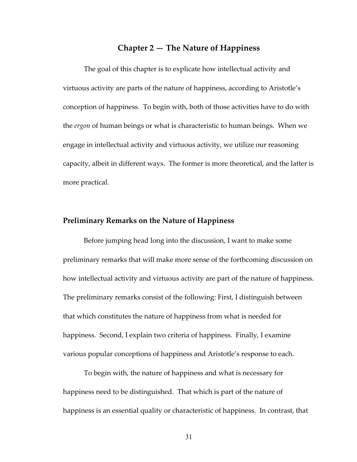## **Chapter 2 — The Nature of Happiness**

The goal of this chapter is to explicate how intellectual activity and virtuous activity are parts of the nature of happiness, according to Aristotle's conception of happiness. To begin with, both of those activities have to do with the *ergon* of human beings or what is characteristic to human beings. When we engage in intellectual activity and virtuous activity, we utilize our reasoning capacity, albeit in different ways. The former is more theoretical, and the latter is more practical.

#### **Preliminary Remarks on the Nature of Happiness**

Before jumping head long into the discussion, I want to make some preliminary remarks that will make more sense of the forthcoming discussion on how intellectual activity and virtuous activity are part of the nature of happiness. The preliminary remarks consist of the following: First, I distinguish between that which constitutes the nature of happiness from what is needed for happiness. Second, I explain two criteria of happiness. Finally, I examine various popular conceptions of happiness and Aristotle's response to each.

To begin with, the nature of happiness and what is necessary for happiness need to be distinguished. That which is part of the nature of happiness is an essential quality or characteristic of happiness. In contrast, that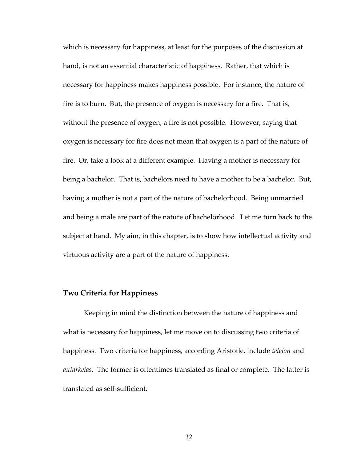which is necessary for happiness, at least for the purposes of the discussion at hand, is not an essential characteristic of happiness. Rather, that which is necessary for happiness makes happiness possible. For instance, the nature of fire is to burn. But, the presence of oxygen is necessary for a fire. That is, without the presence of oxygen, a fire is not possible. However, saying that oxygen is necessary for fire does not mean that oxygen is a part of the nature of fire. Or, take a look at a different example. Having a mother is necessary for being a bachelor. That is, bachelors need to have a mother to be a bachelor. But, having a mother is not a part of the nature of bachelorhood. Being unmarried and being a male are part of the nature of bachelorhood. Let me turn back to the subject at hand. My aim, in this chapter, is to show how intellectual activity and virtuous activity are a part of the nature of happiness.

## **Two Criteria for Happiness**

Keeping in mind the distinction between the nature of happiness and what is necessary for happiness, let me move on to discussing two criteria of happiness. Two criteria for happiness, according Aristotle, include *teleion* and *autarkeias*. The former is oftentimes translated as final or complete. The latter is translated as self‐sufficient.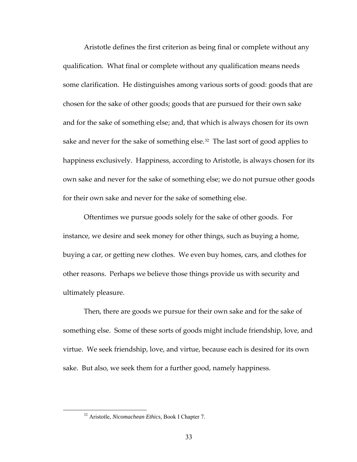Aristotle defines the first criterion as being final or complete without any qualification. What final or complete without any qualification means needs some clarification. He distinguishes among various sorts of good: goods that are chosen for the sake of other goods; goods that are pursued for their own sake and for the sake of something else; and, that which is always chosen for its own sake and never for the sake of something else.<sup>[32](#page-39-0)</sup> The last sort of good applies to happiness exclusively. Happiness, according to Aristotle, is always chosen for its own sake and never for the sake of something else; we do not pursue other goods for their own sake and never for the sake of something else.

Oftentimes we pursue goods solely for the sake of other goods. For instance, we desire and seek money for other things, such as buying a home, buying a car, or getting new clothes. We even buy homes, cars, and clothes for other reasons. Perhaps we believe those things provide us with security and ultimately pleasure.

Then, there are goods we pursue for their own sake and for the sake of something else. Some of these sorts of goods might include friendship, love, and virtue. We seek friendship, love, and virtue, because each is desired for its own sake. But also, we seek them for a further good, namely happiness.

<span id="page-39-0"></span> <sup>32</sup> Aristotle, *Nicomachean Ethics*, Book I Chapter 7.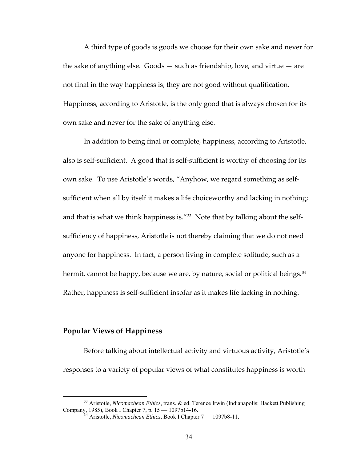A third type of goods is goods we choose for their own sake and never for the sake of anything else. Goods — such as friendship, love, and virtue — are not final in the way happiness is; they are not good without qualification. Happiness, according to Aristotle, is the only good that is always chosen for its own sake and never for the sake of anything else.

In addition to being final or complete, happiness, according to Aristotle, also is self‐sufficient. A good that is self‐sufficient is worthy of choosing for its own sake. To use Aristotle's words, "Anyhow, we regard something as self‐ sufficient when all by itself it makes a life choiceworthy and lacking in nothing; and that is what we think happiness is."<sup>[33](#page-40-0)</sup> Note that by talking about the selfsufficiency of happiness, Aristotle is not thereby claiming that we do not need anyone for happiness. In fact, a person living in complete solitude, such as a hermit, cannot be happy, because we are, by nature, social or political beings.<sup>[34](#page-40-1)</sup> Rather, happiness is self-sufficient insofar as it makes life lacking in nothing.

## **Popular Views of Happiness**

Before talking about intellectual activity and virtuous activity, Aristotle's responses to a variety of popular views of what constitutes happiness is worth

<span id="page-40-1"></span><span id="page-40-0"></span> <sup>33</sup> Aristotle, *Nicomachean Ethics*, trans. & ed. Terence Irwin (Indianapolis: Hackett Publishing Company, 1985), Book I Chapter 7, p. 15 — 1097b14-16. 34 Aristotle, *Nicomachean Ethics*, Book I Chapter 7 — 1097b8-11.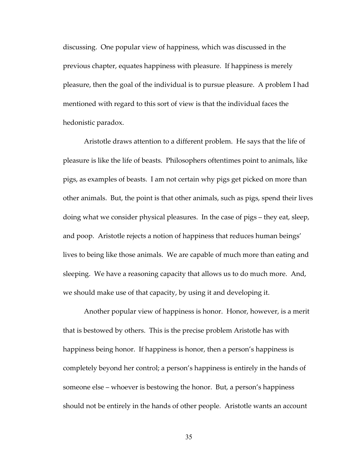discussing. One popular view of happiness, which was discussed in the previous chapter, equates happiness with pleasure. If happiness is merely pleasure, then the goal of the individual is to pursue pleasure. A problem I had mentioned with regard to this sort of view is that the individual faces the hedonistic paradox.

Aristotle draws attention to a different problem. He says that the life of pleasure is like the life of beasts. Philosophers oftentimes point to animals, like pigs, as examples of beasts. I am not certain why pigs get picked on more than other animals. But, the point is that other animals, such as pigs, spend their lives doing what we consider physical pleasures. In the case of pigs – they eat, sleep, and poop. Aristotle rejects a notion of happiness that reduces human beings' lives to being like those animals. We are capable of much more than eating and sleeping. We have a reasoning capacity that allows us to do much more. And, we should make use of that capacity, by using it and developing it.

Another popular view of happiness is honor. Honor, however, is a merit that is bestowed by others. This is the precise problem Aristotle has with happiness being honor. If happiness is honor, then a person's happiness is completely beyond her control; a person's happiness is entirely in the hands of someone else – whoever is bestowing the honor. But, a person's happiness should not be entirely in the hands of other people. Aristotle wants an account

35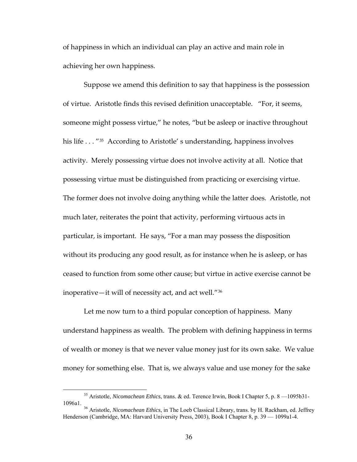of happiness in which an individual can play an active and main role in achieving her own happiness.

Suppose we amend this definition to say that happiness is the possession of virtue. Aristotle finds this revised definition unacceptable. "For, it seems, someone might possess virtue," he notes, "but be asleep or inactive throughout his life . . . "<sup>[35](#page-42-0)</sup> According to Aristotle' s understanding, happiness involves activity. Merely possessing virtue does not involve activity at all. Notice that possessing virtue must be distinguished from practicing or exercising virtue. The former does not involve doing anything while the latter does. Aristotle, not much later, reiterates the point that activity, performing virtuous acts in particular, is important. He says, "For a man may possess the disposition without its producing any good result, as for instance when he is asleep, or has ceased to function from some other cause; but virtue in active exercise cannot be inoperative—it will of necessity act, and act well."[36](#page-42-1)

Let me now turn to a third popular conception of happiness. Many understand happiness as wealth. The problem with defining happiness in terms of wealth or money is that we never value money just for its own sake. We value money for something else. That is, we always value and use money for the sake

<span id="page-42-0"></span> <sup>35</sup> Aristotle, *Nicomachean Ethics*, trans. & ed. Terence Irwin, Book I Chapter 5, p. 8 —1095b31- 1096a1. 36 Aristotle, *Nicomachean Ethics*, in The Loeb Classical Library, trans. by H. Rackham, ed. Jeffrey

<span id="page-42-1"></span>Henderson (Cambridge, MA: Harvard University Press, 2003), Book I Chapter 8, p. 39 — 1099a1-4.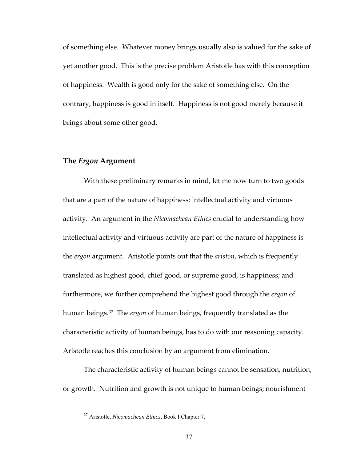of something else. Whatever money brings usually also is valued for the sake of yet another good. This is the precise problem Aristotle has with this conception of happiness. Wealth is good only for the sake of something else. On the contrary, happiness is good in itself. Happiness is not good merely because it brings about some other good.

#### **The** *Ergon* **Argument**

With these preliminary remarks in mind, let me now turn to two goods that are a part of the nature of happiness: intellectual activity and virtuous activity. An argument in the *Nicomachean Ethics* crucial to understanding how intellectual activity and virtuous activity are part of the nature of happiness is the *ergon* argument. Aristotle points out that the *ariston*, which is frequently translated as highest good, chief good, or supreme good, is happiness; and furthermore, we further comprehend the highest good through the *ergon* of human beings.[37](#page-43-0) The *ergon* of human beings, frequently translated as the characteristic activity of human beings, has to do with our reasoning capacity. Aristotle reaches this conclusion by an argument from elimination.

<span id="page-43-0"></span>The characteristic activity of human beings cannot be sensation, nutrition, or growth. Nutrition and growth is not unique to human beings; nourishment

 <sup>37</sup> Aristotle, *Nicomachean Ethics*, Book I Chapter 7.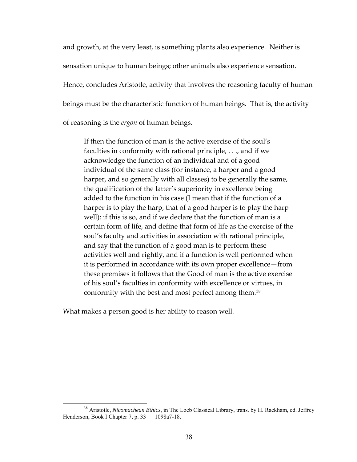and growth, at the very least, is something plants also experience. Neither is sensation unique to human beings; other animals also experience sensation. Hence, concludes Aristotle, activity that involves the reasoning faculty of human beings must be the characteristic function of human beings. That is, the activity of reasoning is the *ergon* of human beings.

If then the function of man is the active exercise of the soul's faculties in conformity with rational principle, . . ., and if we acknowledge the function of an individual and of a good individual of the same class (for instance, a harper and a good harper, and so generally with all classes) to be generally the same, the qualification of the latter's superiority in excellence being added to the function in his case (I mean that if the function of a harper is to play the harp, that of a good harper is to play the harp well): if this is so, and if we declare that the function of man is a certain form of life, and define that form of life as the exercise of the soul's faculty and activities in association with rational principle, and say that the function of a good man is to perform these activities well and rightly, and if a function is well performed when it is performed in accordance with its own proper excellence—from these premises it follows that the Good of man is the active exercise of his soul's faculties in conformity with excellence or virtues, in conformity with the best and most perfect among them.<sup>[38](#page-44-0)</sup>

What makes a person good is her ability to reason well.

<span id="page-44-0"></span> <sup>38</sup> Aristotle, *Nicomachean Ethics*, in The Loeb Classical Library, trans. by H. Rackham, ed. Jeffrey Henderson, Book I Chapter 7, p. 33 — 1098a7-18.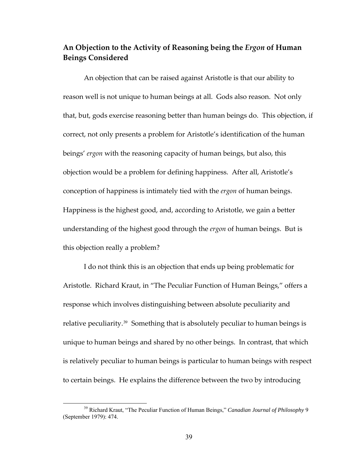# **An Objection to the Activity of Reasoning being the** *Ergon* **of Human Beings Considered**

An objection that can be raised against Aristotle is that our ability to reason well is not unique to human beings at all. Gods also reason. Not only that, but, gods exercise reasoning better than human beings do. This objection, if correct, not only presents a problem for Aristotle's identification of the human beings' *ergon* with the reasoning capacity of human beings, but also, this objection would be a problem for defining happiness. After all, Aristotle's conception of happiness is intimately tied with the *ergon* of human beings. Happiness is the highest good, and, according to Aristotle, we gain a better understanding of the highest good through the *ergon* of human beings. But is this objection really a problem?

I do not think this is an objection that ends up being problematic for Aristotle. Richard Kraut, in "The Peculiar Function of Human Beings," offers a response which involves distinguishing between absolute peculiarity and relative peculiarity.<sup>[39](#page-45-0)</sup> Something that is absolutely peculiar to human beings is unique to human beings and shared by no other beings. In contrast, that which is relatively peculiar to human beings is particular to human beings with respect to certain beings. He explains the difference between the two by introducing

<span id="page-45-0"></span><sup>&</sup>lt;sup>39</sup> Richard Kraut, "The Peculiar Function of Human Beings," *Canadian Journal of Philosophy* 9 (September 1979): 474.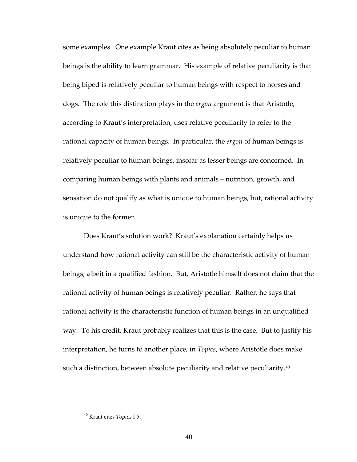some examples. One example Kraut cites as being absolutely peculiar to human beings is the ability to learn grammar. His example of relative peculiarity is that being biped is relatively peculiar to human beings with respect to horses and dogs. The role this distinction plays in the *ergon* argument is that Aristotle, according to Kraut's interpretation, uses relative peculiarity to refer to the rational capacity of human beings. In particular, the *ergon* of human beings is relatively peculiar to human beings, insofar as lesser beings are concerned. In comparing human beings with plants and animals – nutrition, growth, and sensation do not qualify as what is unique to human beings, but, rational activity is unique to the former.

Does Kraut's solution work? Kraut's explanation certainly helps us understand how rational activity can still be the characteristic activity of human beings, albeit in a qualified fashion. But, Aristotle himself does not claim that the rational activity of human beings is relatively peculiar. Rather, he says that rational activity is the characteristic function of human beings in an unqualified way. To his credit, Kraut probably realizes that this is the case. But to justify his interpretation, he turns to another place, in *Topics*, where Aristotle does make such a distinction, between absolute peculiarity and relative peculiarity.<sup>[40](#page-46-0)</sup>

<span id="page-46-0"></span> <sup>40</sup> Kraut cites *Topics* I 5.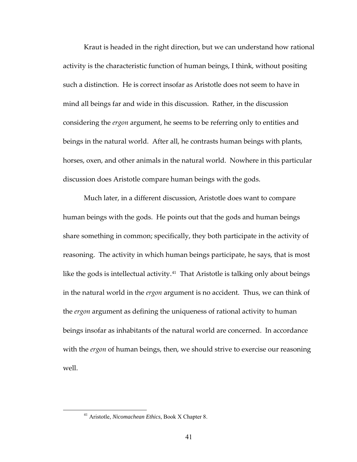Kraut is headed in the right direction, but we can understand how rational activity is the characteristic function of human beings, I think, without positing such a distinction. He is correct insofar as Aristotle does not seem to have in mind all beings far and wide in this discussion. Rather, in the discussion considering the *ergon* argument, he seems to be referring only to entities and beings in the natural world. After all, he contrasts human beings with plants, horses, oxen, and other animals in the natural world. Nowhere in this particular discussion does Aristotle compare human beings with the gods.

Much later, in a different discussion, Aristotle does want to compare human beings with the gods. He points out that the gods and human beings share something in common; specifically, they both participate in the activity of reasoning. The activity in which human beings participate, he says, that is most like the gods is intellectual activity.<sup>[41](#page-47-0)</sup> That Aristotle is talking only about beings in the natural world in the *ergon* argument is no accident. Thus, we can think of the *ergon* argument as defining the uniqueness of rational activity to human beings insofar as inhabitants of the natural world are concerned. In accordance with the *ergon* of human beings, then, we should strive to exercise our reasoning well.

<span id="page-47-0"></span> <sup>41</sup> Aristotle, *Nicomachean Ethics*, Book X Chapter 8.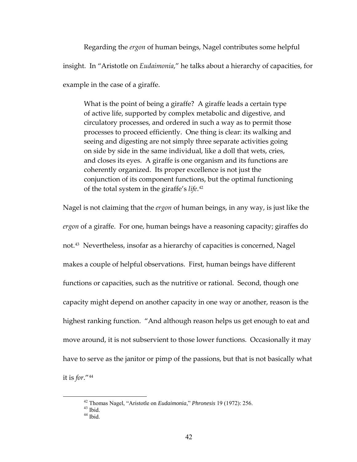Regarding the *ergon* of human beings, Nagel contributes some helpful insight. In "Aristotle on *Eudaimonia*," he talks about a hierarchy of capacities, for example in the case of a giraffe.

What is the point of being a giraffe? A giraffe leads a certain type of active life, supported by complex metabolic and digestive, and circulatory processes, and ordered in such a way as to permit those processes to proceed efficiently. One thing is clear: its walking and seeing and digesting are not simply three separate activities going on side by side in the same individual, like a doll that wets, cries, and closes its eyes. A giraffe is one organism and its functions are coherently organized. Its proper excellence is not just the conjunction of its component functions, but the optimal functioning of the total system in the giraffe's *life*. [42](#page-48-0)

Nagel is not claiming that the *ergon* of human beings, in any way, is just like the *ergon* of a giraffe. For one, human beings have a reasoning capacity; giraffes do not.[43](#page-48-1) Nevertheless, insofar as a hierarchy of capacities is concerned, Nagel makes a couple of helpful observations. First, human beings have different functions or capacities, such as the nutritive or rational. Second, though one capacity might depend on another capacity in one way or another, reason is the highest ranking function. "And although reason helps us get enough to eat and move around, it is not subservient to those lower functions. Occasionally it may have to serve as the janitor or pimp of the passions, but that is not basically what it is *for*."[44](#page-48-2)

<span id="page-48-2"></span><span id="page-48-1"></span><span id="page-48-0"></span> <sup>42</sup> Thomas Nagel, "Aristotle on *Eudaimonia*," *Phronesis* 19 (1972): 256. 43 Ibid.

 $44$  Ibid.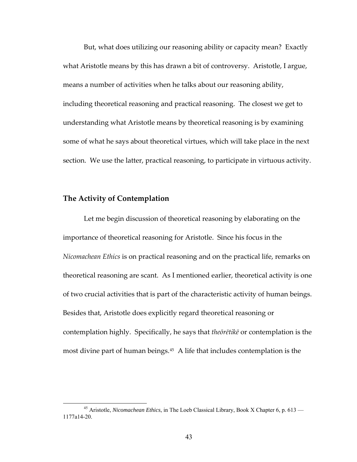But, what does utilizing our reasoning ability or capacity mean? Exactly what Aristotle means by this has drawn a bit of controversy. Aristotle, I argue, means a number of activities when he talks about our reasoning ability, including theoretical reasoning and practical reasoning. The closest we get to understanding what Aristotle means by theoretical reasoning is by examining some of what he says about theoretical virtues, which will take place in the next section. We use the latter, practical reasoning, to participate in virtuous activity.

### **The Activity of Contemplation**

Let me begin discussion of theoretical reasoning by elaborating on the importance of theoretical reasoning for Aristotle. Since his focus in the *Nicomachean Ethics* is on practical reasoning and on the practical life, remarks on theoretical reasoning are scant. As I mentioned earlier, theoretical activity is one of two crucial activities that is part of the characteristic activity of human beings. Besides that, Aristotle does explicitly regard theoretical reasoning or contemplation highly. Specifically, he says that *theōrētikē* or contemplation is the most divine part of human beings.[45](#page-49-0) A life that includes contemplation is the

<span id="page-49-0"></span> <sup>45</sup> Aristotle, *Nicomachean Ethics*, in The Loeb Classical Library, Book X Chapter 6, p. 613 — 1177a14-20.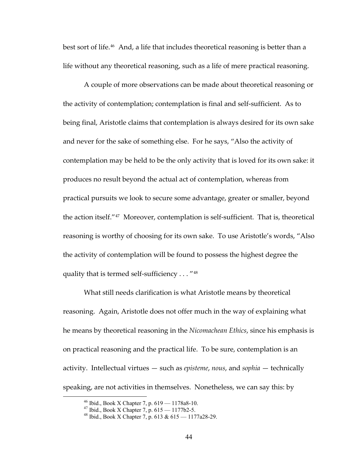best sort of life.<sup>[46](#page-50-0)</sup> And, a life that includes theoretical reasoning is better than a life without any theoretical reasoning, such as a life of mere practical reasoning.

A couple of more observations can be made about theoretical reasoning or the activity of contemplation; contemplation is final and self‐sufficient. As to being final, Aristotle claims that contemplation is always desired for its own sake and never for the sake of something else. For he says, "Also the activity of contemplation may be held to be the only activity that is loved for its own sake: it produces no result beyond the actual act of contemplation, whereas from practical pursuits we look to secure some advantage, greater or smaller, beyond the action itself."[47](#page-50-1) Moreover, contemplation is self‐sufficient. That is, theoretical reasoning is worthy of choosing for its own sake. To use Aristotle's words, "Also the activity of contemplation will be found to possess the highest degree the quality that is termed self-sufficiency . . . "[48](#page-50-2)

What still needs clarification is what Aristotle means by theoretical reasoning. Again, Aristotle does not offer much in the way of explaining what he means by theoretical reasoning in the *Nicomachean Ethics*, since his emphasis is on practical reasoning and the practical life. To be sure, contemplation is an activity. Intellectual virtues — such as *episteme*, *nous*, and *sophia* — technically speaking, are not activities in themselves. Nonetheless, we can say this: by

<span id="page-50-2"></span><span id="page-50-1"></span><span id="page-50-0"></span> <sup>46</sup> Ibid., Book X Chapter 7, p. 619 — 1178a8-10.

 $47$  Ibid., Book X Chapter 7, p.  $615 - 1177b2 - 5$ .

 $48$  Ibid., Book X Chapter 7, p. 613 & 615 — 1177a28-29.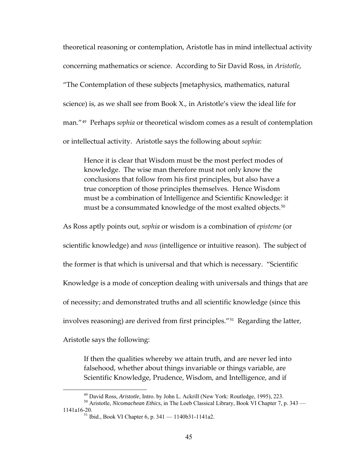theoretical reasoning or contemplation, Aristotle has in mind intellectual activity concerning mathematics or science. According to Sir David Ross, in *Aristotle*, "The Contemplation of these subjects [metaphysics, mathematics, natural science) is, as we shall see from Book X., in Aristotle's view the ideal life for man."[49](#page-51-0) Perhaps *sophia* or theoretical wisdom comes as a result of contemplation or intellectual activity. Aristotle says the following about *sophia*:

Hence it is clear that Wisdom must be the most perfect modes of knowledge. The wise man therefore must not only know the conclusions that follow from his first principles, but also have a true conception of those principles themselves. Hence Wisdom must be a combination of Intelligence and Scientific Knowledge: it must be a consummated knowledge of the most exalted objects.<sup>[50](#page-51-1)</sup>

As Ross aptly points out, *sophia* or wisdom is a combination of *episteme* (or scientific knowledge) and *nous* (intelligence or intuitive reason). The subject of the former is that which is universal and that which is necessary. "Scientific Knowledge is a mode of conception dealing with universals and things that are of necessity; and demonstrated truths and all scientific knowledge (since this involves reasoning) are derived from first principles."[51](#page-51-2) Regarding the latter, Aristotle says the following:

If then the qualities whereby we attain truth, and are never led into falsehood, whether about things invariable or things variable, are Scientific Knowledge, Prudence, Wisdom, and Intelligence, and if

<span id="page-51-2"></span><span id="page-51-1"></span><span id="page-51-0"></span><sup>&</sup>lt;sup>49</sup> David Ross, *Aristotle*, Intro. by John L. Ackrill (New York: Routledge, 1995), 223.<br><sup>50</sup> Aristotle, *Nicomachean Ethics*, in The Loeb Classical Library, Book VI Chapter 7, p. 343 —<br>1141a16-20.

<sup>&</sup>lt;sup>51</sup> Ibid., Book VI Chapter 6, p.  $341 - 1140b31 - 1141a2$ .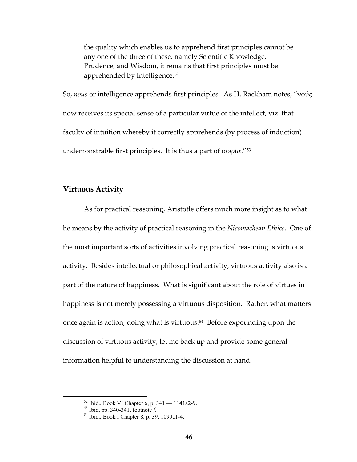the quality which enables us to apprehend first principles cannot be any one of the three of these, namely Scientific Knowledge, Prudence, and Wisdom, it remains that first principles must be apprehended by Intelligence.<sup>[52](#page-52-0)</sup>

So, *nous* or intelligence apprehends first principles. As H. Rackham notes, "νούς now receives its special sense of a particular virtue of the intellect, viz. that faculty of intuition whereby it correctly apprehends (by process of induction) undemonstrable first principles. It is thus a part of  $\sigma$ οφία."<sup>[53](#page-52-1)</sup>

### **Virtuous Activity**

As for practical reasoning, Aristotle offers much more insight as to what he means by the activity of practical reasoning in the *Nicomachean Ethics*. One of the most important sorts of activities involving practical reasoning is virtuous activity. Besides intellectual or philosophical activity, virtuous activity also is a part of the nature of happiness. What is significant about the role of virtues in happiness is not merely possessing a virtuous disposition. Rather, what matters once again is action, doing what is virtuous.<sup>[54](#page-52-2)</sup> Before expounding upon the discussion of virtuous activity, let me back up and provide some general information helpful to understanding the discussion at hand.

<span id="page-52-2"></span><span id="page-52-1"></span><span id="page-52-0"></span> <sup>52</sup> Ibid., Book VI Chapter 6, p. 341 — 1141a2-9.

<sup>&</sup>lt;sup>53</sup> Ibid, pp. 340-341, footnote *f*.<br><sup>54</sup> Ibid., Book I Chapter 8, p. 39, 1099a1-4.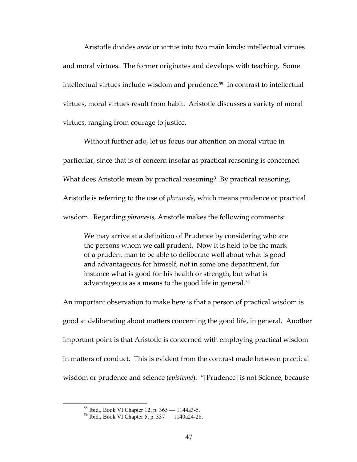Aristotle divides *aretē* or virtue into two main kinds: intellectual virtues and moral virtues. The former originates and develops with teaching. Some intellectual virtues include wisdom and prudence.<sup>[55](#page-53-0)</sup> In contrast to intellectual virtues, moral virtues result from habit. Aristotle discusses a variety of moral virtues, ranging from courage to justice.

Without further ado, let us focus our attention on moral virtue in particular, since that is of concern insofar as practical reasoning is concerned. What does Aristotle mean by practical reasoning? By practical reasoning, Aristotle is referring to the use of *phronesis*, which means prudence or practical wisdom. Regarding *phronesis*, Aristotle makes the following comments:

We may arrive at a definition of Prudence by considering who are the persons whom we call prudent. Now it is held to be the mark of a prudent man to be able to deliberate well about what is good and advantageous for himself, not in some one department, for instance what is good for his health or strength, but what is advantageous as a means to the good life in general.<sup>[56](#page-53-1)</sup>

An important observation to make here is that a person of practical wisdom is good at deliberating about matters concerning the good life, in general. Another important point is that Aristotle is concerned with employing practical wisdom in matters of conduct. This is evident from the contrast made between practical wisdom or prudence and science (*episteme*). "[Prudence] is not Science, because

<span id="page-53-1"></span><span id="page-53-0"></span> <sup>55</sup> Ibid., Book VI Chapter 12, p. 365 — 1144a3-5.

<sup>56</sup> Ibid., Book VI Chapter 5, p. 337 — 1140a24-28.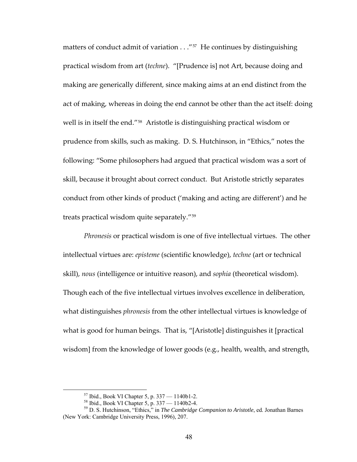matters of conduct admit of variation  $\ldots$ "<sup>[57](#page-54-0)</sup> He continues by distinguishing practical wisdom from art (*techne*). "[Prudence is] not Art, because doing and making are generically different, since making aims at an end distinct from the act of making, whereas in doing the end cannot be other than the act itself: doing well is in itself the end."[58](#page-54-1) Aristotle is distinguishing practical wisdom or prudence from skills, such as making. D. S. Hutchinson, in "Ethics," notes the following: "Some philosophers had argued that practical wisdom was a sort of skill, because it brought about correct conduct. But Aristotle strictly separates conduct from other kinds of product ('making and acting are different') and he treats practical wisdom quite separately."[59](#page-54-2)

*Phronesis* or practical wisdom is one of five intellectual virtues. The other intellectual virtues are: *episteme* (scientific knowledge), *techne* (art or technical skill), *nous* (intelligence or intuitive reason), and *sophia* (theoretical wisdom). Though each of the five intellectual virtues involves excellence in deliberation, what distinguishes *phronesis* from the other intellectual virtues is knowledge of what is good for human beings. That is, "[Aristotle] distinguishes it [practical wisdom] from the knowledge of lower goods (e.g., health, wealth, and strength,

 <sup>57</sup> Ibid., Book VI Chapter 5, p. 337 — 1140b1-2.

 $58$  Ibid., Book VI Chapter 5, p. 337 — 1140b2-4.

<span id="page-54-2"></span><span id="page-54-1"></span><span id="page-54-0"></span><sup>59</sup> D. S. Hutchinson, "Ethics," in *The Cambridge Companion to Aristotle*, ed. Jonathan Barnes (New York: Cambridge University Press, 1996), 207.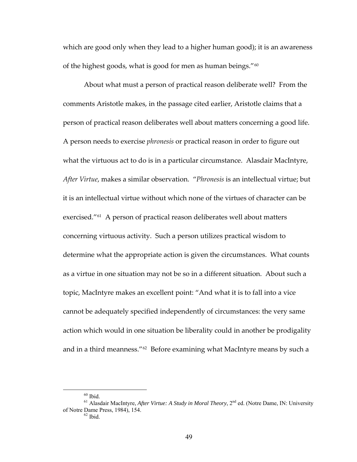which are good only when they lead to a higher human good); it is an awareness of the highest goods, what is good for men as human beings."[60](#page-55-0)

About what must a person of practical reason deliberate well? From the comments Aristotle makes, in the passage cited earlier, Aristotle claims that a person of practical reason deliberates well about matters concerning a good life. A person needs to exercise *phronesis* or practical reason in order to figure out what the virtuous act to do is in a particular circumstance. Alasdair MacIntyre, *After Virtue*, makes a similar observation. "*Phronesis* is an intellectual virtue; but it is an intellectual virtue without which none of the virtues of character can be exercised."<sup>[61](#page-55-1)</sup> A person of practical reason deliberates well about matters concerning virtuous activity. Such a person utilizes practical wisdom to determine what the appropriate action is given the circumstances. What counts as a virtue in one situation may not be so in a different situation. About such a topic, MacIntyre makes an excellent point: "And what it is to fall into a vice cannot be adequately specified independently of circumstances: the very same action which would in one situation be liberality could in another be prodigality and in a third meanness."<sup>[62](#page-55-2)</sup> Before examining what MacIntyre means by such a

 $60$  Ibid.

<span id="page-55-2"></span><span id="page-55-1"></span><span id="page-55-0"></span><sup>&</sup>lt;sup>61</sup> Alasdair MacIntyre, *After Virtue: A Study in Moral Theory*, 2<sup>nd</sup> ed. (Notre Dame, IN: University of Notre Dame Press, 1984), 154.<br><sup>62</sup> Ibid.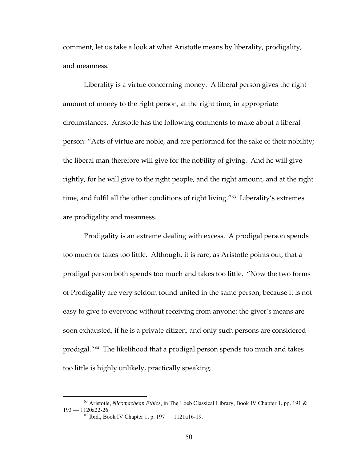comment, let us take a look at what Aristotle means by liberality, prodigality, and meanness.

Liberality is a virtue concerning money. A liberal person gives the right amount of money to the right person, at the right time, in appropriate circumstances. Aristotle has the following comments to make about a liberal person: "Acts of virtue are noble, and are performed for the sake of their nobility; the liberal man therefore will give for the nobility of giving. And he will give rightly, for he will give to the right people, and the right amount, and at the right time, and fulfil all the other conditions of right living."<sup>[63](#page-56-0)</sup> Liberality's extremes are prodigality and meanness.

Prodigality is an extreme dealing with excess. A prodigal person spends too much or takes too little. Although, it is rare, as Aristotle points out, that a prodigal person both spends too much and takes too little. "Now the two forms of Prodigality are very seldom found united in the same person, because it is not easy to give to everyone without receiving from anyone: the giver's means are soon exhausted, if he is a private citizen, and only such persons are considered prodigal."[64](#page-56-1) The likelihood that a prodigal person spends too much and takes too little is highly unlikely, practically speaking.

<span id="page-56-1"></span><span id="page-56-0"></span> <sup>63</sup> Aristotle, *Nicomachean Ethics*, in The Loeb Classical Library, Book IV Chapter 1, pp. 191 & 193 — 1120a22-26.<br><sup>64</sup> Ibid., Book IV Chapter 1, p. 197 — 1121a16-19.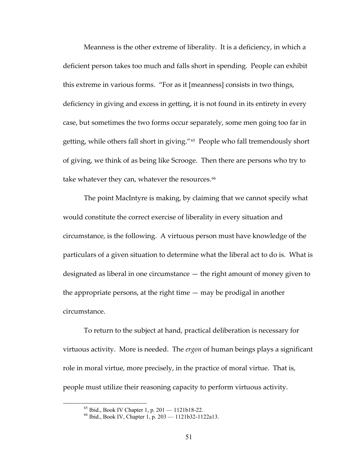Meanness is the other extreme of liberality. It is a deficiency, in which a deficient person takes too much and falls short in spending. People can exhibit this extreme in various forms. "For as it [meanness] consists in two things, deficiency in giving and excess in getting, it is not found in its entirety in every case, but sometimes the two forms occur separately, some men going too far in getting, while others fall short in giving."<sup>[65](#page-57-0)</sup> People who fall tremendously short of giving, we think of as being like Scrooge. Then there are persons who try to take whatever they can, whatever the resources.<sup>[66](#page-57-1)</sup>

The point MacIntyre is making, by claiming that we cannot specify what would constitute the correct exercise of liberality in every situation and circumstance, is the following. A virtuous person must have knowledge of the particulars of a given situation to determine what the liberal act to do is. What is designated as liberal in one circumstance — the right amount of money given to the appropriate persons, at the right time — may be prodigal in another circumstance.

To return to the subject at hand, practical deliberation is necessary for virtuous activity. More is needed. The *ergon* of human beings plays a significant role in moral virtue, more precisely, in the practice of moral virtue. That is, people must utilize their reasoning capacity to perform virtuous activity.

 $65$  Ibid., Book IV Chapter 1, p. 201 — 1121b18-22.

<span id="page-57-1"></span><span id="page-57-0"></span><sup>66</sup> Ibid., Book IV, Chapter 1, p. 203 — 1121b32-1122a13.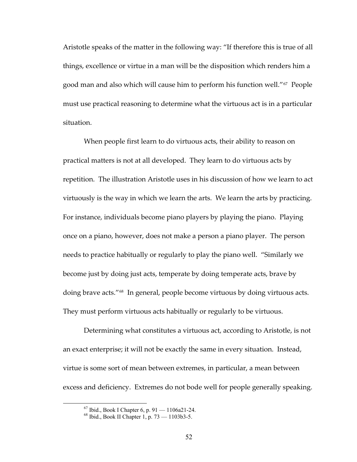Aristotle speaks of the matter in the following way: "If therefore this is true of all things, excellence or virtue in a man will be the disposition which renders him a good man and also which will cause him to perform his function well."[67](#page-58-0) People must use practical reasoning to determine what the virtuous act is in a particular situation.

When people first learn to do virtuous acts, their ability to reason on practical matters is not at all developed. They learn to do virtuous acts by repetition. The illustration Aristotle uses in his discussion of how we learn to act virtuously is the way in which we learn the arts. We learn the arts by practicing. For instance, individuals become piano players by playing the piano. Playing once on a piano, however, does not make a person a piano player. The person needs to practice habitually or regularly to play the piano well. "Similarly we become just by doing just acts, temperate by doing temperate acts, brave by doing brave acts."[68](#page-58-1) In general, people become virtuous by doing virtuous acts. They must perform virtuous acts habitually or regularly to be virtuous.

Determining what constitutes a virtuous act, according to Aristotle, is not an exact enterprise; it will not be exactly the same in every situation. Instead, virtue is some sort of mean between extremes, in particular, a mean between excess and deficiency. Extremes do not bode well for people generally speaking.

 $67$  Ibid., Book I Chapter 6, p. 91 — 1106a21-24.

<span id="page-58-1"></span><span id="page-58-0"></span><sup>68</sup> Ibid., Book II Chapter 1, p. 73 — 1103b3-5.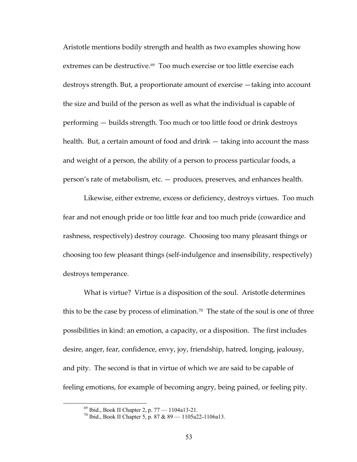Aristotle mentions bodily strength and health as two examples showing how extremes can be destructive.<sup>[69](#page-59-0)</sup> Too much exercise or too little exercise each destroys strength. But, a proportionate amount of exercise —taking into account the size and build of the person as well as what the individual is capable of performing — builds strength. Too much or too little food or drink destroys health. But, a certain amount of food and drink — taking into account the mass and weight of a person, the ability of a person to process particular foods, a person's rate of metabolism, etc. — produces, preserves, and enhances health.

Likewise, either extreme, excess or deficiency, destroys virtues. Too much fear and not enough pride or too little fear and too much pride (cowardice and rashness, respectively) destroy courage. Choosing too many pleasant things or choosing too few pleasant things (self‐indulgence and insensibility, respectively) destroys temperance.

What is virtue? Virtue is a disposition of the soul. Aristotle determines this to be the case by process of elimination.<sup>[70](#page-59-1)</sup> The state of the soul is one of three possibilities in kind: an emotion, a capacity, or a disposition. The first includes desire, anger, fear, confidence, envy, joy, friendship, hatred, longing, jealousy, and pity. The second is that in virtue of which we are said to be capable of feeling emotions, for example of becoming angry, being pained, or feeling pity.

<span id="page-59-0"></span> <sup>69</sup> Ibid., Book II Chapter 2, p. 77 — 1104a13-21.

<span id="page-59-1"></span><sup>70</sup> Ibid., Book II Chapter 5, p. 87 & 89 — 1105a22-1106a13.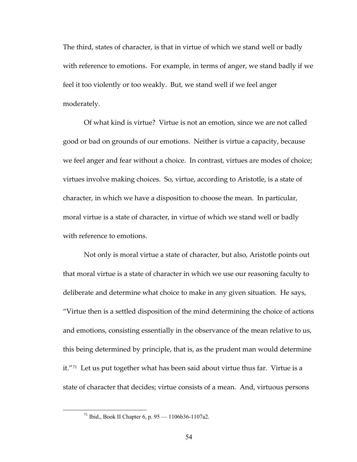The third, states of character, is that in virtue of which we stand well or badly with reference to emotions. For example, in terms of anger, we stand badly if we feel it too violently or too weakly. But, we stand well if we feel anger moderately.

Of what kind is virtue? Virtue is not an emotion, since we are not called good or bad on grounds of our emotions. Neither is virtue a capacity, because we feel anger and fear without a choice. In contrast, virtues are modes of choice; virtues involve making choices. So, virtue, according to Aristotle, is a state of character, in which we have a disposition to choose the mean. In particular, moral virtue is a state of character, in virtue of which we stand well or badly with reference to emotions.

Not only is moral virtue a state of character, but also, Aristotle points out that moral virtue is a state of character in which we use our reasoning faculty to deliberate and determine what choice to make in any given situation. He says, "Virtue then is a settled disposition of the mind determining the choice of actions and emotions, consisting essentially in the observance of the mean relative to us, this being determined by principle, that is, as the prudent man would determine it."[71](#page-60-0) Let us put together what has been said about virtue thus far. Virtue is a state of character that decides; virtue consists of a mean. And, virtuous persons

<span id="page-60-0"></span> $71$  Ibid., Book II Chapter 6, p. 95 — 1106b36-1107a2.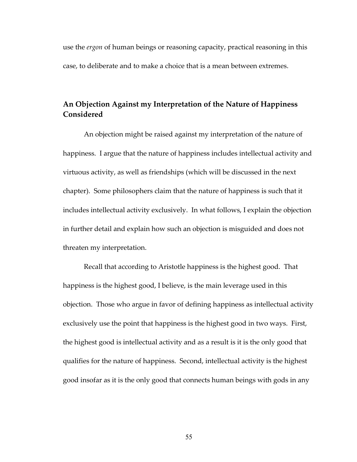use the *ergon* of human beings or reasoning capacity, practical reasoning in this case, to deliberate and to make a choice that is a mean between extremes.

# **An Objection Against my Interpretation of the Nature of Happiness Considered**

An objection might be raised against my interpretation of the nature of happiness. I argue that the nature of happiness includes intellectual activity and virtuous activity, as well as friendships (which will be discussed in the next chapter). Some philosophers claim that the nature of happiness is such that it includes intellectual activity exclusively. In what follows, I explain the objection in further detail and explain how such an objection is misguided and does not threaten my interpretation.

Recall that according to Aristotle happiness is the highest good. That happiness is the highest good, I believe, is the main leverage used in this objection. Those who argue in favor of defining happiness as intellectual activity exclusively use the point that happiness is the highest good in two ways. First, the highest good is intellectual activity and as a result is it is the only good that qualifies for the nature of happiness. Second, intellectual activity is the highest good insofar as it is the only good that connects human beings with gods in any

55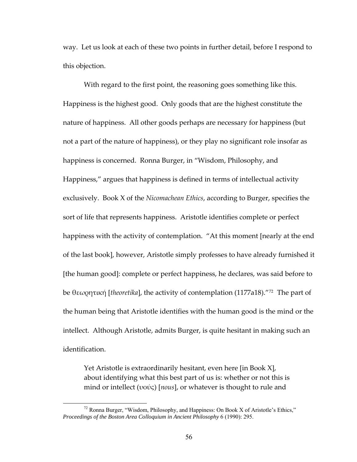way. Let us look at each of these two points in further detail, before I respond to this objection.

With regard to the first point, the reasoning goes something like this. Happiness is the highest good. Only goods that are the highest constitute the nature of happiness. All other goods perhaps are necessary for happiness (but not a part of the nature of happiness), or they play no significant role insofar as happiness is concerned. Ronna Burger, in "Wisdom, Philosophy, and Happiness," argues that happiness is defined in terms of intellectual activity exclusively. Book X of the *Nicomachean Ethics*, according to Burger, specifies the sort of life that represents happiness. Aristotle identifies complete or perfect happiness with the activity of contemplation. "At this moment [nearly at the end of the last book], however, Aristotle simply professes to have already furnished it [the human good]: complete or perfect happiness, he declares, was said before to be θεωρητική [*theoretika*], the activity of contemplation (1177a18)."[72](#page-62-0) The part of the human being that Aristotle identifies with the human good is the mind or the intellect. Although Aristotle, admits Burger, is quite hesitant in making such an identification.

Yet Aristotle is extraordinarily hesitant, even here [in Book X], about identifying what this best part of us is: whether or not this is mind or intellect (υούς) [*nous*], or whatever is thought to rule and

<span id="page-62-0"></span> $72$  Ronna Burger, "Wisdom, Philosophy, and Happiness: On Book X of Aristotle's Ethics," *Proceedings of the Boston Area Colloquium in Ancient Philosophy* 6 (1990): 295.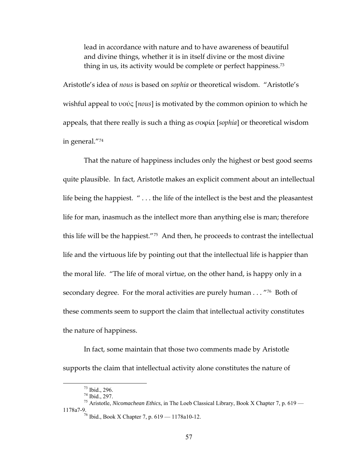lead in accordance with nature and to have awareness of beautiful and divine things, whether it is in itself divine or the most divine thing in us, its activity would be complete or perfect happiness.<sup>[73](#page-63-0)</sup>

Aristotle's idea of *nous* is based on *sophia* or theoretical wisdom. "Aristotle's wishful appeal to υούς [*nous*] is motivated by the common opinion to which he appeals, that there really is such a thing as σοϕία [*sophia*] or theoretical wisdom in general."[74](#page-63-1)

That the nature of happiness includes only the highest or best good seems quite plausible. In fact, Aristotle makes an explicit comment about an intellectual life being the happiest. " . . . the life of the intellect is the best and the pleasantest life for man, inasmuch as the intellect more than anything else is man; therefore this life will be the happiest."[75](#page-63-2) And then, he proceeds to contrast the intellectual life and the virtuous life by pointing out that the intellectual life is happier than the moral life. "The life of moral virtue, on the other hand, is happy only in a secondary degree. For the moral activities are purely human . . . "[76](#page-63-3) Both of these comments seem to support the claim that intellectual activity constitutes the nature of happiness.

In fact, some maintain that those two comments made by Aristotle supports the claim that intellectual activity alone constitutes the nature of

<span id="page-63-0"></span> $^{73}$  Ibid., 296.

 $74$  Ibid., 297.

<span id="page-63-3"></span><span id="page-63-2"></span><span id="page-63-1"></span><sup>75</sup> Aristotle, *Nicomachean Ethics*, in The Loeb Classical Library, Book X Chapter 7, p. 619 — 1178a7-9. 76 Ibid., Book X Chapter 7, p. 619 — 1178a10-12.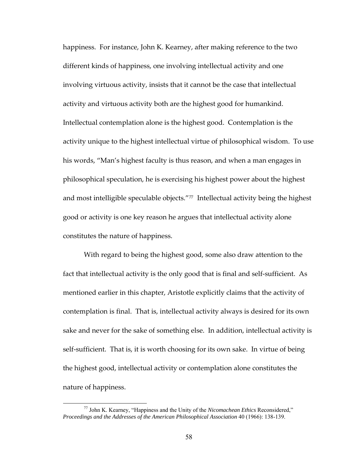happiness. For instance, John K. Kearney, after making reference to the two different kinds of happiness, one involving intellectual activity and one involving virtuous activity, insists that it cannot be the case that intellectual activity and virtuous activity both are the highest good for humankind. Intellectual contemplation alone is the highest good. Contemplation is the activity unique to the highest intellectual virtue of philosophical wisdom. To use his words, "Man's highest faculty is thus reason, and when a man engages in philosophical speculation, he is exercising his highest power about the highest and most intelligible speculable objects."<sup>[77](#page-64-0)</sup> Intellectual activity being the highest good or activity is one key reason he argues that intellectual activity alone constitutes the nature of happiness.

With regard to being the highest good, some also draw attention to the fact that intellectual activity is the only good that is final and self-sufficient. As mentioned earlier in this chapter, Aristotle explicitly claims that the activity of contemplation is final. That is, intellectual activity always is desired for its own sake and never for the sake of something else. In addition, intellectual activity is self-sufficient. That is, it is worth choosing for its own sake. In virtue of being the highest good, intellectual activity or contemplation alone constitutes the nature of happiness.

<span id="page-64-0"></span> <sup>77</sup> John K. Kearney, "Happiness and the Unity of the *Nicomachean Ethics* Reconsidered," *Proceedings and the Addresses of the American Philosophical Association* 40 (1966): 138-139.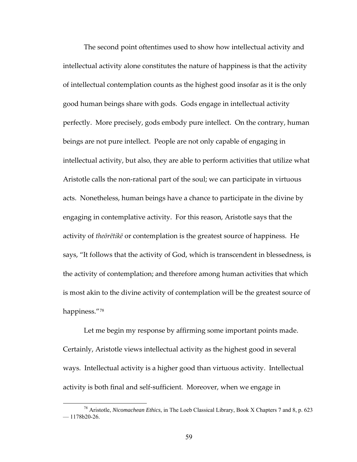The second point oftentimes used to show how intellectual activity and intellectual activity alone constitutes the nature of happiness is that the activity of intellectual contemplation counts as the highest good insofar as it is the only good human beings share with gods. Gods engage in intellectual activity perfectly. More precisely, gods embody pure intellect. On the contrary, human beings are not pure intellect. People are not only capable of engaging in intellectual activity, but also, they are able to perform activities that utilize what Aristotle calls the non‐rational part of the soul; we can participate in virtuous acts. Nonetheless, human beings have a chance to participate in the divine by engaging in contemplative activity. For this reason, Aristotle says that the activity of *theōrētikē* or contemplation is the greatest source of happiness. He says, "It follows that the activity of God, which is transcendent in blessedness, is the activity of contemplation; and therefore among human activities that which is most akin to the divine activity of contemplation will be the greatest source of happiness."[78](#page-65-0)

Let me begin my response by affirming some important points made. Certainly, Aristotle views intellectual activity as the highest good in several ways. Intellectual activity is a higher good than virtuous activity. Intellectual activity is both final and self‐sufficient. Moreover, when we engage in

<span id="page-65-0"></span> <sup>78</sup> Aristotle, *Nicomachean Ethics*, in The Loeb Classical Library, Book X Chapters 7 and 8, p. 623  $-1178b20-26.$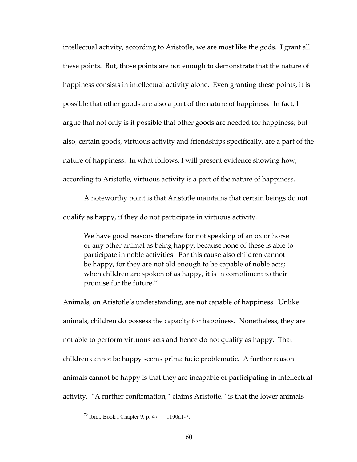intellectual activity, according to Aristotle, we are most like the gods. I grant all these points. But, those points are not enough to demonstrate that the nature of happiness consists in intellectual activity alone. Even granting these points, it is possible that other goods are also a part of the nature of happiness. In fact, I argue that not only is it possible that other goods are needed for happiness; but also, certain goods, virtuous activity and friendships specifically, are a part of the nature of happiness. In what follows, I will present evidence showing how, according to Aristotle, virtuous activity is a part of the nature of happiness.

A noteworthy point is that Aristotle maintains that certain beings do not qualify as happy, if they do not participate in virtuous activity.

We have good reasons therefore for not speaking of an ox or horse or any other animal as being happy, because none of these is able to participate in noble activities. For this cause also children cannot be happy, for they are not old enough to be capable of noble acts; when children are spoken of as happy, it is in compliment to their promise for the future.[79](#page-66-0)

Animals, on Aristotle's understanding, are not capable of happiness. Unlike animals, children do possess the capacity for happiness. Nonetheless, they are not able to perform virtuous acts and hence do not qualify as happy. That children cannot be happy seems prima facie problematic. A further reason animals cannot be happy is that they are incapable of participating in intellectual activity. "A further confirmation," claims Aristotle, "is that the lower animals

<span id="page-66-0"></span> $79$  Ibid., Book I Chapter 9, p. 47 — 1100a1-7.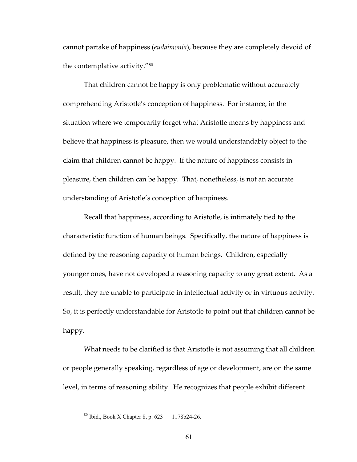cannot partake of happiness (*eudaimonia*), because they are completely devoid of the contemplative activity."[80](#page-67-0)

That children cannot be happy is only problematic without accurately comprehending Aristotle's conception of happiness. For instance, in the situation where we temporarily forget what Aristotle means by happiness and believe that happiness is pleasure, then we would understandably object to the claim that children cannot be happy. If the nature of happiness consists in pleasure, then children can be happy. That, nonetheless, is not an accurate understanding of Aristotle's conception of happiness.

Recall that happiness, according to Aristotle, is intimately tied to the characteristic function of human beings. Specifically, the nature of happiness is defined by the reasoning capacity of human beings. Children, especially younger ones, have not developed a reasoning capacity to any great extent. As a result, they are unable to participate in intellectual activity or in virtuous activity. So, it is perfectly understandable for Aristotle to point out that children cannot be happy.

What needs to be clarified is that Aristotle is not assuming that all children or people generally speaking, regardless of age or development, are on the same level, in terms of reasoning ability. He recognizes that people exhibit different

<span id="page-67-0"></span> <sup>80</sup> Ibid., Book X Chapter 8, p. 623 — 1178b24-26.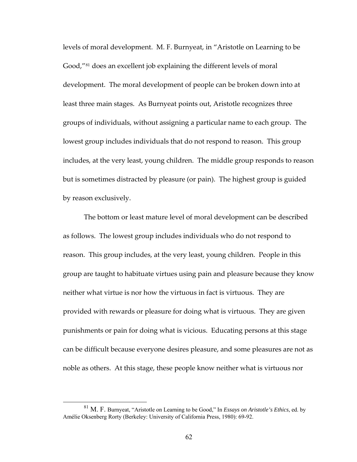levels of moral development. M. F. Burnyeat, in "Aristotle on Learning to be Good,"[81](#page-68-0) does an excellent job explaining the different levels of moral development. The moral development of people can be broken down into at least three main stages. As Burnyeat points out, Aristotle recognizes three groups of individuals, without assigning a particular name to each group. The lowest group includes individuals that do not respond to reason. This group includes, at the very least, young children. The middle group responds to reason but is sometimes distracted by pleasure (or pain). The highest group is guided by reason exclusively.

The bottom or least mature level of moral development can be described as follows. The lowest group includes individuals who do not respond to reason. This group includes, at the very least, young children. People in this group are taught to habituate virtues using pain and pleasure because they know neither what virtue is nor how the virtuous in fact is virtuous. They are provided with rewards or pleasure for doing what is virtuous. They are given punishments or pain for doing what is vicious. Educating persons at this stage can be difficult because everyone desires pleasure, and some pleasures are not as noble as others. At this stage, these people know neither what is virtuous nor

<span id="page-68-0"></span> <sup>81</sup> M. F. Burnyeat, "Aristotle on Learning to be Good," In *Essays on Aristotle's Ethics*, ed. by Amélie Oksenberg Rorty (Berkeley: University of California Press, 1980): 69-92.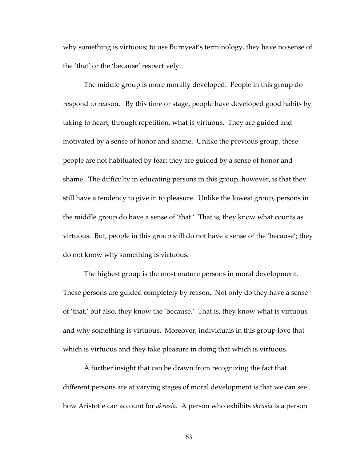why something is virtuous; to use Burnyeat's terminology, they have no sense of the 'that' or the 'because' respectively.

The middle group is more morally developed. People in this group do respond to reason. By this time or stage, people have developed good habits by taking to heart, through repetition, what is virtuous. They are guided and motivated by a sense of honor and shame. Unlike the previous group, these people are not habituated by fear; they are guided by a sense of honor and shame. The difficulty in educating persons in this group, however, is that they still have a tendency to give in to pleasure. Unlike the lowest group, persons in the middle group do have a sense of 'that.' That is, they know what counts as virtuous. But, people in this group still do not have a sense of the 'because'; they do not know why something is virtuous.

The highest group is the most mature persons in moral development. These persons are guided completely by reason. Not only do they have a sense of 'that,' but also, they know the 'because.' That is, they know what is virtuous and why something is virtuous. Moreover, individuals in this group love that which is virtuous and they take pleasure in doing that which is virtuous.

A further insight that can be drawn from recognizing the fact that different persons are at varying stages of moral development is that we can see how Aristotle can account for *akrasia*. A person who exhibits *akrasia* is a person

63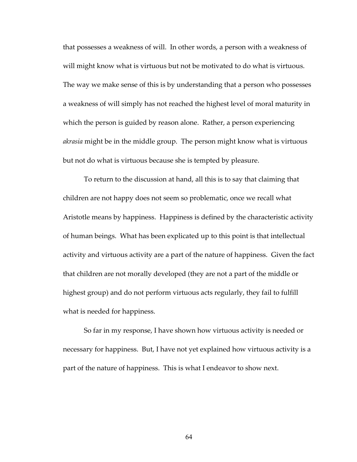that possesses a weakness of will. In other words, a person with a weakness of will might know what is virtuous but not be motivated to do what is virtuous. The way we make sense of this is by understanding that a person who possesses a weakness of will simply has not reached the highest level of moral maturity in which the person is guided by reason alone. Rather, a person experiencing *akrasia* might be in the middle group. The person might know what is virtuous but not do what is virtuous because she is tempted by pleasure.

To return to the discussion at hand, all this is to say that claiming that children are not happy does not seem so problematic, once we recall what Aristotle means by happiness. Happiness is defined by the characteristic activity of human beings. What has been explicated up to this point is that intellectual activity and virtuous activity are a part of the nature of happiness. Given the fact that children are not morally developed (they are not a part of the middle or highest group) and do not perform virtuous acts regularly, they fail to fulfill what is needed for happiness.

So far in my response, I have shown how virtuous activity is needed or necessary for happiness. But, I have not yet explained how virtuous activity is a part of the nature of happiness. This is what I endeavor to show next.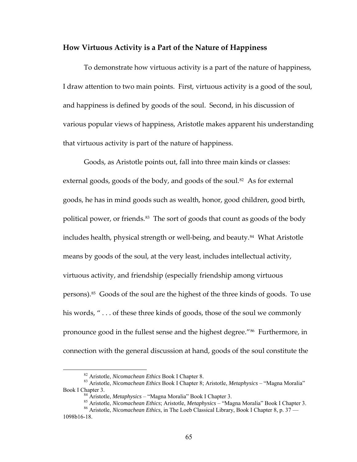## **How Virtuous Activity is a Part of the Nature of Happiness**

To demonstrate how virtuous activity is a part of the nature of happiness, I draw attention to two main points. First, virtuous activity is a good of the soul, and happiness is defined by goods of the soul. Second, in his discussion of various popular views of happiness, Aristotle makes apparent his understanding that virtuous activity is part of the nature of happiness.

Goods, as Aristotle points out, fall into three main kinds or classes: external goods, goods of the body, and goods of the soul.<sup>[82](#page-71-0)</sup> As for external goods, he has in mind goods such as wealth, honor, good children, good birth, political power, or friends.<sup>[83](#page-71-1)</sup> The sort of goods that count as goods of the body includes health, physical strength or well-being, and beauty.<sup>[84](#page-71-2)</sup> What Aristotle means by goods of the soul, at the very least, includes intellectual activity, virtuous activity, and friendship (especially friendship among virtuous persons).[85](#page-71-3) Goods of the soul are the highest of the three kinds of goods. To use his words, "... of these three kinds of goods, those of the soul we commonly pronounce good in the fullest sense and the highest degree."[86](#page-71-4) Furthermore, in connection with the general discussion at hand, goods of the soul constitute the

<span id="page-71-1"></span><span id="page-71-0"></span> <sup>82</sup> Aristotle, *Nicomachean Ethics* Book I Chapter 8. 83 Aristotle, *Nicomachean Ethics* Book I Chapter 8; Aristotle, *Metaphysics* – "Magna Moralia" Book I Chapter 3.<br><sup>84</sup> Aristotle, *Metaphysics* – "Magna Moralia" Book I Chapter 3.<br><sup>85</sup> Aristotle, *Nicomachean Ethics*; Aristotle, *Metaphysics* – "Magna Moralia" Book I Chapter 3.<br><sup>86</sup> Aristotle, *Nicomachean Ethics*, i

<span id="page-71-4"></span><span id="page-71-3"></span><span id="page-71-2"></span><sup>1098</sup>b16-18.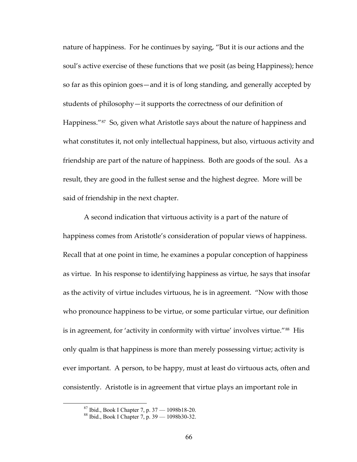nature of happiness. For he continues by saying, "But it is our actions and the soul's active exercise of these functions that we posit (as being Happiness); hence so far as this opinion goes—and it is of long standing, and generally accepted by students of philosophy—it supports the correctness of our definition of Happiness."<sup>[87](#page-72-0)</sup> So, given what Aristotle says about the nature of happiness and what constitutes it, not only intellectual happiness, but also, virtuous activity and friendship are part of the nature of happiness. Both are goods of the soul. As a result, they are good in the fullest sense and the highest degree. More will be said of friendship in the next chapter.

A second indication that virtuous activity is a part of the nature of happiness comes from Aristotle's consideration of popular views of happiness. Recall that at one point in time, he examines a popular conception of happiness as virtue. In his response to identifying happiness as virtue, he says that insofar as the activity of virtue includes virtuous, he is in agreement. "Now with those who pronounce happiness to be virtue, or some particular virtue, our definition is in agreement, for 'activity in conformity with virtue' involves virtue."<sup>[88](#page-72-1)</sup> His only qualm is that happiness is more than merely possessing virtue; activity is ever important. A person, to be happy, must at least do virtuous acts, often and consistently. Aristotle is in agreement that virtue plays an important role in

 <sup>87</sup> Ibid., Book I Chapter 7, p. 37 — 1098b18-20.

<span id="page-72-1"></span><span id="page-72-0"></span><sup>88</sup> Ibid., Book I Chapter 7, p. 39 — 1098b30-32.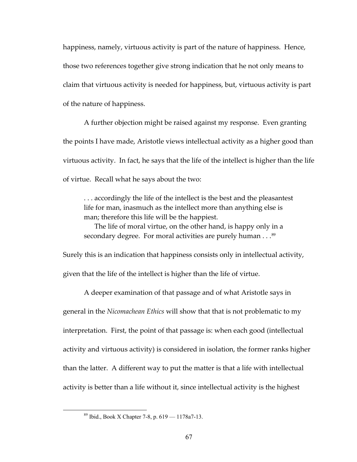happiness, namely, virtuous activity is part of the nature of happiness. Hence, those two references together give strong indication that he not only means to claim that virtuous activity is needed for happiness, but, virtuous activity is part of the nature of happiness.

A further objection might be raised against my response. Even granting the points I have made, Aristotle views intellectual activity as a higher good than virtuous activity. In fact, he says that the life of the intellect is higher than the life of virtue. Recall what he says about the two:

. . . accordingly the life of the intellect is the best and the pleasantest life for man, inasmuch as the intellect more than anything else is man; therefore this life will be the happiest.

The life of moral virtue, on the other hand, is happy only in a secondary degree. For moral activities are purely human . . . [89](#page-73-0)

Surely this is an indication that happiness consists only in intellectual activity, given that the life of the intellect is higher than the life of virtue.

A deeper examination of that passage and of what Aristotle says in general in the *Nicomachean Ethics* will show that that is not problematic to my interpretation. First, the point of that passage is: when each good (intellectual activity and virtuous activity) is considered in isolation, the former ranks higher than the latter. A different way to put the matter is that a life with intellectual activity is better than a life without it, since intellectual activity is the highest

<span id="page-73-0"></span> <sup>89</sup> Ibid., Book X Chapter 7-8, p. 619 — 1178a7-13.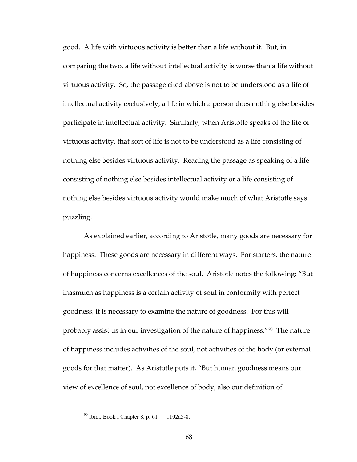good. A life with virtuous activity is better than a life without it. But, in comparing the two, a life without intellectual activity is worse than a life without virtuous activity. So, the passage cited above is not to be understood as a life of intellectual activity exclusively, a life in which a person does nothing else besides participate in intellectual activity. Similarly, when Aristotle speaks of the life of virtuous activity, that sort of life is not to be understood as a life consisting of nothing else besides virtuous activity. Reading the passage as speaking of a life consisting of nothing else besides intellectual activity or a life consisting of nothing else besides virtuous activity would make much of what Aristotle says puzzling.

As explained earlier, according to Aristotle, many goods are necessary for happiness. These goods are necessary in different ways. For starters, the nature of happiness concerns excellences of the soul. Aristotle notes the following: "But inasmuch as happiness is a certain activity of soul in conformity with perfect goodness, it is necessary to examine the nature of goodness. For this will probably assist us in our investigation of the nature of happiness."[90](#page-74-0) The nature of happiness includes activities of the soul, not activities of the body (or external goods for that matter). As Aristotle puts it, "But human goodness means our view of excellence of soul, not excellence of body; also our definition of

<span id="page-74-0"></span> $90$  Ibid., Book I Chapter 8, p.  $61 - 1102a5 - 8$ .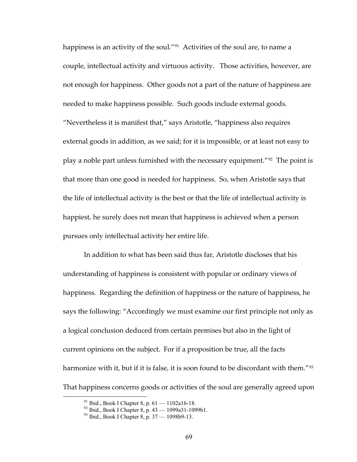happiness is an activity of the soul."<sup>[91](#page-75-0)</sup> Activities of the soul are, to name a couple, intellectual activity and virtuous activity. Those activities, however, are not enough for happiness. Other goods not a part of the nature of happiness are needed to make happiness possible. Such goods include external goods. "Nevertheless it is manifest that," says Aristotle, "happiness also requires external goods in addition, as we said; for it is impossible, or at least not easy to play a noble part unless furnished with the necessary equipment."[92](#page-75-1) The point is that more than one good is needed for happiness. So, when Aristotle says that the life of intellectual activity is the best or that the life of intellectual activity is happiest, he surely does not mean that happiness is achieved when a person pursues only intellectual activity her entire life.

In addition to what has been said thus far, Aristotle discloses that his understanding of happiness is consistent with popular or ordinary views of happiness. Regarding the definition of happiness or the nature of happiness, he says the following: "Accordingly we must examine our first principle not only as a logical conclusion deduced from certain premises but also in the light of current opinions on the subject. For if a proposition be true, all the facts harmonize with it, but if it is false, it is soon found to be discordant with them."<sup>[93](#page-75-2)</sup> That happiness concerns goods or activities of the soul are generally agreed upon

<span id="page-75-0"></span><sup>&</sup>lt;sup>91</sup> Ibid., Book I Chapter 8, p. 61 – 1102a16-18.

<span id="page-75-1"></span> $^{92}$  Ibid., Book I Chapter 8, p. 43 — 1099a31-1099b1.

<span id="page-75-2"></span><sup>93</sup> Ibid., Book I Chapter 8, p. 37 — 1098b9-13.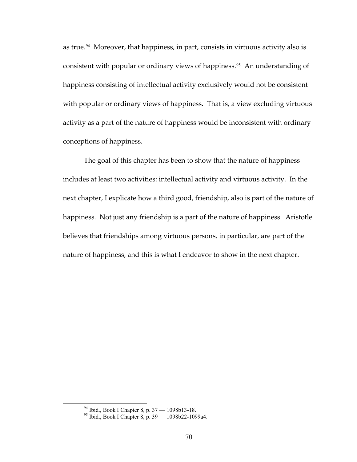as true.<sup>[94](#page-76-0)</sup> Moreover, that happiness, in part, consists in virtuous activity also is consistent with popular or ordinary views of happiness.<sup>[95](#page-76-1)</sup> An understanding of happiness consisting of intellectual activity exclusively would not be consistent with popular or ordinary views of happiness. That is, a view excluding virtuous activity as a part of the nature of happiness would be inconsistent with ordinary conceptions of happiness.

The goal of this chapter has been to show that the nature of happiness includes at least two activities: intellectual activity and virtuous activity. In the next chapter, I explicate how a third good, friendship, also is part of the nature of happiness. Not just any friendship is a part of the nature of happiness. Aristotle believes that friendships among virtuous persons, in particular, are part of the nature of happiness, and this is what I endeavor to show in the next chapter.

<span id="page-76-1"></span><span id="page-76-0"></span> <sup>94</sup> Ibid., Book I Chapter 8, p. 37 — 1098b13-18.

<sup>&</sup>lt;sup>95</sup> Ibid., Book I Chapter 8, p. 39 – 1098b22-1099a4.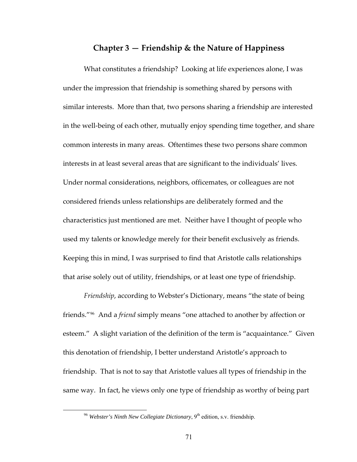## **Chapter 3 — Friendship & the Nature of Happiness**

What constitutes a friendship? Looking at life experiences alone, I was under the impression that friendship is something shared by persons with similar interests. More than that, two persons sharing a friendship are interested in the well‐being of each other, mutually enjoy spending time together, and share common interests in many areas. Oftentimes these two persons share common interests in at least several areas that are significant to the individuals' lives. Under normal considerations, neighbors, officemates, or colleagues are not considered friends unless relationships are deliberately formed and the characteristics just mentioned are met. Neither have I thought of people who used my talents or knowledge merely for their benefit exclusively as friends. Keeping this in mind, I was surprised to find that Aristotle calls relationships that arise solely out of utility, friendships, or at least one type of friendship.

*Friendship*, according to Webster's Dictionary, means "the state of being friends."[96](#page-77-0) And a *friend* simply means "one attached to another by affection or esteem." A slight variation of the definition of the term is "acquaintance." Given this denotation of friendship, I better understand Aristotle's approach to friendship. That is not to say that Aristotle values all types of friendship in the same way. In fact, he views only one type of friendship as worthy of being part

<span id="page-77-0"></span><sup>&</sup>lt;sup>96</sup> Webster's Ninth New Collegiate Dictionary, 9<sup>th</sup> edition, s.v. friendship.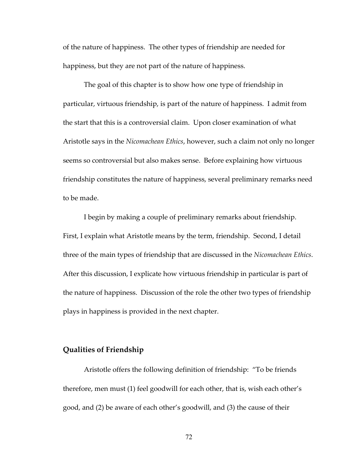of the nature of happiness. The other types of friendship are needed for happiness, but they are not part of the nature of happiness.

The goal of this chapter is to show how one type of friendship in particular, virtuous friendship, is part of the nature of happiness. I admit from the start that this is a controversial claim. Upon closer examination of what Aristotle says in the *Nicomachean Ethics*, however, such a claim not only no longer seems so controversial but also makes sense. Before explaining how virtuous friendship constitutes the nature of happiness, several preliminary remarks need to be made.

I begin by making a couple of preliminary remarks about friendship. First, I explain what Aristotle means by the term, friendship. Second, I detail three of the main types of friendship that are discussed in the *Nicomachean Ethics*. After this discussion, I explicate how virtuous friendship in particular is part of the nature of happiness. Discussion of the role the other two types of friendship plays in happiness is provided in the next chapter.

## **Qualities of Friendship**

Aristotle offers the following definition of friendship: "To be friends therefore, men must (1) feel goodwill for each other, that is, wish each other's good, and (2) be aware of each other's goodwill, and (3) the cause of their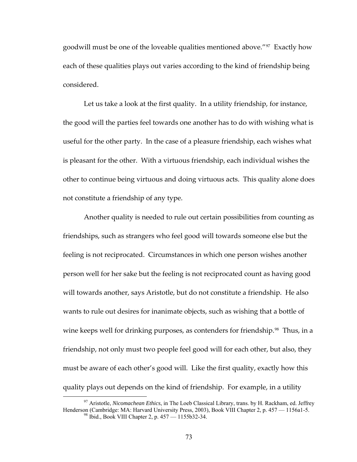goodwill must be one of the loveable qualities mentioned above."<sup>[97](#page-79-0)</sup> Exactly how each of these qualities plays out varies according to the kind of friendship being considered.

Let us take a look at the first quality. In a utility friendship, for instance, the good will the parties feel towards one another has to do with wishing what is useful for the other party. In the case of a pleasure friendship, each wishes what is pleasant for the other. With a virtuous friendship, each individual wishes the other to continue being virtuous and doing virtuous acts. This quality alone does not constitute a friendship of any type.

Another quality is needed to rule out certain possibilities from counting as friendships, such as strangers who feel good will towards someone else but the feeling is not reciprocated. Circumstances in which one person wishes another person well for her sake but the feeling is not reciprocated count as having good will towards another, says Aristotle, but do not constitute a friendship. He also wants to rule out desires for inanimate objects, such as wishing that a bottle of wine keeps well for drinking purposes, as contenders for friendship.<sup>[98](#page-79-1)</sup> Thus, in a friendship, not only must two people feel good will for each other, but also, they must be aware of each other's good will. Like the first quality, exactly how this quality plays out depends on the kind of friendship. For example, in a utility

<span id="page-79-1"></span><span id="page-79-0"></span> <sup>97</sup> Aristotle, *Nicomachean Ethics*, in The Loeb Classical Library, trans. by H. Rackham, ed. Jeffrey Henderson (Cambridge: MA: Harvard University Press, 2003), Book VIII Chapter 2, p. 457 — 1156a1-5.<br><sup>98</sup> Ibid., Book VIII Chapter 2, p. 457 — 1155b32-34.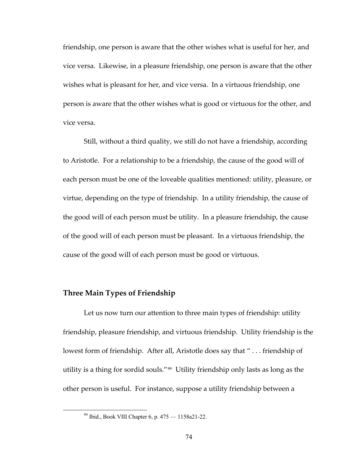friendship, one person is aware that the other wishes what is useful for her, and vice versa. Likewise, in a pleasure friendship, one person is aware that the other wishes what is pleasant for her, and vice versa. In a virtuous friendship, one person is aware that the other wishes what is good or virtuous for the other, and vice versa.

Still, without a third quality, we still do not have a friendship, according to Aristotle. For a relationship to be a friendship, the cause of the good will of each person must be one of the loveable qualities mentioned: utility, pleasure, or virtue, depending on the type of friendship. In a utility friendship, the cause of the good will of each person must be utility. In a pleasure friendship, the cause of the good will of each person must be pleasant. In a virtuous friendship, the cause of the good will of each person must be good or virtuous.

# **Three Main Types of Friendship**

Let us now turn our attention to three main types of friendship: utility friendship, pleasure friendship, and virtuous friendship. Utility friendship is the lowest form of friendship. After all, Aristotle does say that " . . . friendship of utility is a thing for sordid souls."[99](#page-80-0) Utility friendship only lasts as long as the other person is useful. For instance, suppose a utility friendship between a

<span id="page-80-0"></span> <sup>99</sup> Ibid., Book VIII Chapter 6, p. 475 — 1158a21-22.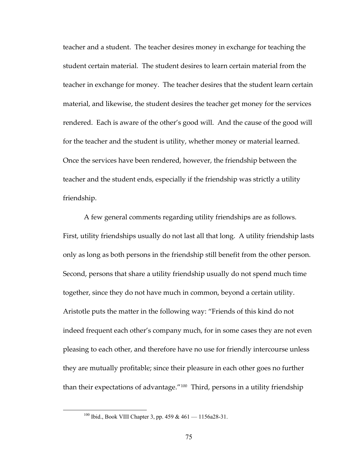teacher and a student. The teacher desires money in exchange for teaching the student certain material. The student desires to learn certain material from the teacher in exchange for money. The teacher desires that the student learn certain material, and likewise, the student desires the teacher get money for the services rendered. Each is aware of the other's good will. And the cause of the good will for the teacher and the student is utility, whether money or material learned. Once the services have been rendered, however, the friendship between the teacher and the student ends, especially if the friendship was strictly a utility friendship.

A few general comments regarding utility friendships are as follows. First, utility friendships usually do not last all that long. A utility friendship lasts only as long as both persons in the friendship still benefit from the other person. Second, persons that share a utility friendship usually do not spend much time together, since they do not have much in common, beyond a certain utility. Aristotle puts the matter in the following way: "Friends of this kind do not indeed frequent each other's company much, for in some cases they are not even pleasing to each other, and therefore have no use for friendly intercourse unless they are mutually profitable; since their pleasure in each other goes no further than their expectations of advantage."<sup>[100](#page-81-0)</sup> Third, persons in a utility friendship

<span id="page-81-0"></span><sup>&</sup>lt;sup>100</sup> Ibid., Book VIII Chapter 3, pp. 459 & 461 - 1156a28-31.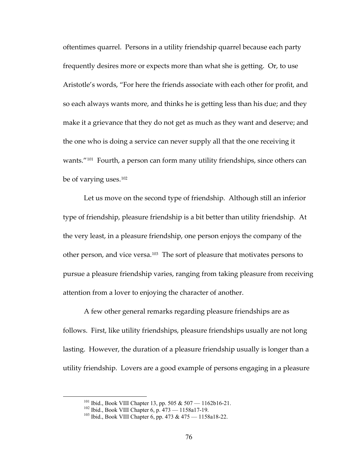oftentimes quarrel. Persons in a utility friendship quarrel because each party frequently desires more or expects more than what she is getting. Or, to use Aristotle's words, "For here the friends associate with each other for profit, and so each always wants more, and thinks he is getting less than his due; and they make it a grievance that they do not get as much as they want and deserve; and the one who is doing a service can never supply all that the one receiving it wants."<sup>[101](#page-82-0)</sup> Fourth, a person can form many utility friendships, since others can be of varying uses.[102](#page-82-1)

Let us move on the second type of friendship. Although still an inferior type of friendship, pleasure friendship is a bit better than utility friendship. At the very least, in a pleasure friendship, one person enjoys the company of the other person, and vice versa.[103](#page-82-2) The sort of pleasure that motivates persons to pursue a pleasure friendship varies, ranging from taking pleasure from receiving attention from a lover to enjoying the character of another.

A few other general remarks regarding pleasure friendships are as follows. First, like utility friendships, pleasure friendships usually are not long lasting. However, the duration of a pleasure friendship usually is longer than a utility friendship. Lovers are a good example of persons engaging in a pleasure

<span id="page-82-2"></span><span id="page-82-1"></span>

<span id="page-82-0"></span><sup>&</sup>lt;sup>101</sup> Ibid., Book VIII Chapter 13, pp. 505 & 507 — 1162b16-21.<br><sup>102</sup> Ibid., Book VIII Chapter 6, p. 473 — 1158a17-19.<br><sup>103</sup> Ibid., Book VIII Chapter 6, pp. 473 & 475 — 1158a18-22.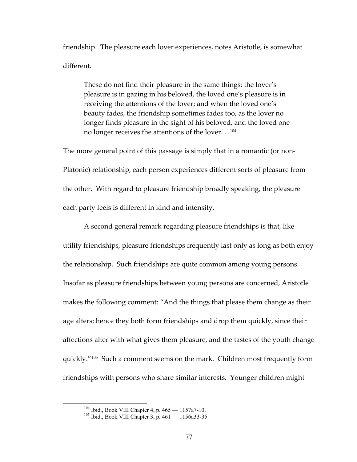friendship. The pleasure each lover experiences, notes Aristotle, is somewhat different.

These do not find their pleasure in the same things: the lover's pleasure is in gazing in his beloved, the loved one's pleasure is in receiving the attentions of the lover; and when the loved one's beauty fades, the friendship sometimes fades too, as the lover no longer finds pleasure in the sight of his beloved, and the loved one no longer receives the attentions of the lover. . .<sup>[104](#page-83-0)</sup>

The more general point of this passage is simply that in a romantic (or non-Platonic) relationship, each person experiences different sorts of pleasure from the other. With regard to pleasure friendship broadly speaking, the pleasure each party feels is different in kind and intensity.

A second general remark regarding pleasure friendships is that, like utility friendships, pleasure friendships frequently last only as long as both enjoy the relationship. Such friendships are quite common among young persons. Insofar as pleasure friendships between young persons are concerned, Aristotle makes the following comment: "And the things that please them change as their age alters; hence they both form friendships and drop them quickly, since their affections alter with what gives them pleasure, and the tastes of the youth change quickly."[105](#page-83-1) Such a comment seems on the mark. Children most frequently form friendships with persons who share similar interests. Younger children might

<span id="page-83-1"></span><span id="page-83-0"></span><sup>&</sup>lt;sup>104</sup> Ibid., Book VIII Chapter 4, p.  $465 - 1157a7-10$ .<br><sup>105</sup> Ibid., Book VIII Chapter 3, p.  $461 - 1156a33-35$ .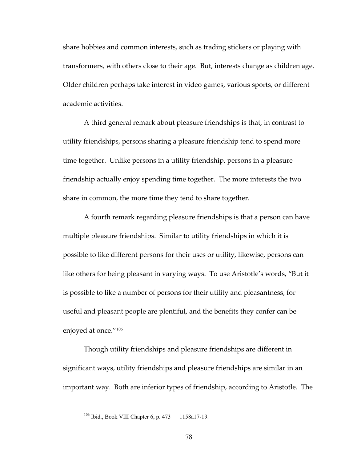share hobbies and common interests, such as trading stickers or playing with transformers, with others close to their age. But, interests change as children age. Older children perhaps take interest in video games, various sports, or different academic activities.

A third general remark about pleasure friendships is that, in contrast to utility friendships, persons sharing a pleasure friendship tend to spend more time together. Unlike persons in a utility friendship, persons in a pleasure friendship actually enjoy spending time together. The more interests the two share in common, the more time they tend to share together.

A fourth remark regarding pleasure friendships is that a person can have multiple pleasure friendships. Similar to utility friendships in which it is possible to like different persons for their uses or utility, likewise, persons can like others for being pleasant in varying ways. To use Aristotle's words, "But it is possible to like a number of persons for their utility and pleasantness, for useful and pleasant people are plentiful, and the benefits they confer can be enjoyed at once."[106](#page-84-0)

Though utility friendships and pleasure friendships are different in significant ways, utility friendships and pleasure friendships are similar in an important way. Both are inferior types of friendship, according to Aristotle. The

<span id="page-84-0"></span><sup>&</sup>lt;sup>106</sup> Ibid., Book VIII Chapter 6, p. 473 — 1158a17-19.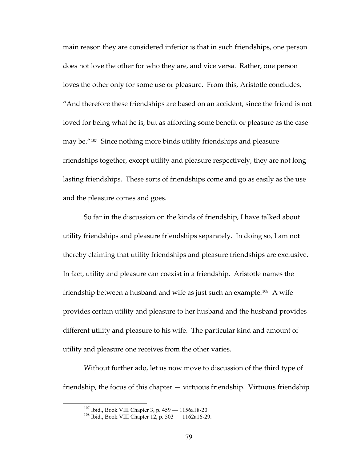main reason they are considered inferior is that in such friendships, one person does not love the other for who they are, and vice versa. Rather, one person loves the other only for some use or pleasure. From this, Aristotle concludes, "And therefore these friendships are based on an accident, since the friend is not loved for being what he is, but as affording some benefit or pleasure as the case may be."[107](#page-85-0) Since nothing more binds utility friendships and pleasure friendships together, except utility and pleasure respectively, they are not long lasting friendships. These sorts of friendships come and go as easily as the use and the pleasure comes and goes.

So far in the discussion on the kinds of friendship, I have talked about utility friendships and pleasure friendships separately. In doing so, I am not thereby claiming that utility friendships and pleasure friendships are exclusive. In fact, utility and pleasure can coexist in a friendship. Aristotle names the friendship between a husband and wife as just such an example.<sup>[108](#page-85-1)</sup> A wife provides certain utility and pleasure to her husband and the husband provides different utility and pleasure to his wife. The particular kind and amount of utility and pleasure one receives from the other varies.

<span id="page-85-1"></span><span id="page-85-0"></span>Without further ado, let us now move to discussion of the third type of friendship, the focus of this chapter — virtuous friendship. Virtuous friendship

<sup>&</sup>lt;sup>107</sup> Ibid., Book VIII Chapter 3, p. 459 — 1156a18-20.<br><sup>108</sup> Ibid., Book VIII Chapter 12, p. 503 — 1162a16-29.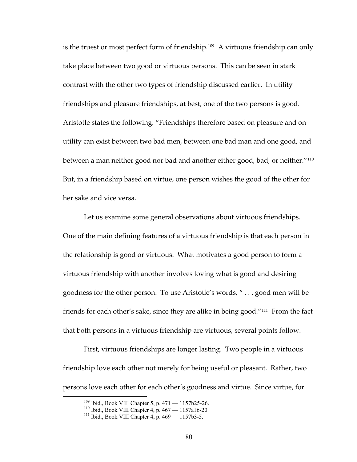is the truest or most perfect form of friendship.<sup>[109](#page-86-0)</sup> A virtuous friendship can only take place between two good or virtuous persons. This can be seen in stark contrast with the other two types of friendship discussed earlier. In utility friendships and pleasure friendships, at best, one of the two persons is good. Aristotle states the following: "Friendships therefore based on pleasure and on utility can exist between two bad men, between one bad man and one good, and between a man neither good nor bad and another either good, bad, or neither."[110](#page-86-1) But, in a friendship based on virtue, one person wishes the good of the other for her sake and vice versa.

Let us examine some general observations about virtuous friendships. One of the main defining features of a virtuous friendship is that each person in the relationship is good or virtuous. What motivates a good person to form a virtuous friendship with another involves loving what is good and desiring goodness for the other person. To use Aristotle's words, " . . . good men will be friends for each other's sake, since they are alike in being good."[111](#page-86-2) From the fact that both persons in a virtuous friendship are virtuous, several points follow.

<span id="page-86-0"></span>First, virtuous friendships are longer lasting. Two people in a virtuous friendship love each other not merely for being useful or pleasant. Rather, two persons love each other for each other's goodness and virtue. Since virtue, for

<span id="page-86-2"></span><span id="page-86-1"></span><sup>&</sup>lt;sup>109</sup> Ibid., Book VIII Chapter 5, p. 471 — 1157b25-26.<br><sup>110</sup> Ibid., Book VIII Chapter 4, p. 467 — 1157a16-20.<br><sup>111</sup> Ibid., Book VIII Chapter 4, p. 469 — 1157b3-5.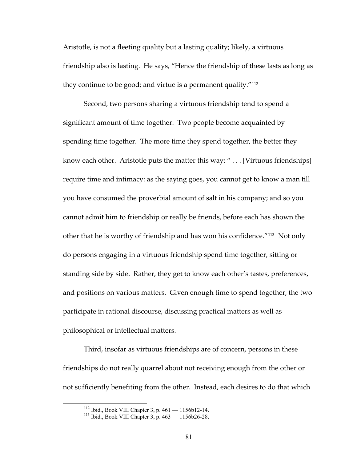Aristotle, is not a fleeting quality but a lasting quality; likely, a virtuous friendship also is lasting. He says, "Hence the friendship of these lasts as long as they continue to be good; and virtue is a permanent quality."[112](#page-87-0)

Second, two persons sharing a virtuous friendship tend to spend a significant amount of time together. Two people become acquainted by spending time together. The more time they spend together, the better they know each other. Aristotle puts the matter this way: "... [Virtuous friendships] require time and intimacy: as the saying goes, you cannot get to know a man till you have consumed the proverbial amount of salt in his company; and so you cannot admit him to friendship or really be friends, before each has shown the other that he is worthy of friendship and has won his confidence."[113](#page-87-1) Not only do persons engaging in a virtuous friendship spend time together, sitting or standing side by side. Rather, they get to know each other's tastes, preferences, and positions on various matters. Given enough time to spend together, the two participate in rational discourse, discussing practical matters as well as philosophical or intellectual matters.

Third, insofar as virtuous friendships are of concern, persons in these friendships do not really quarrel about not receiving enough from the other or not sufficiently benefiting from the other. Instead, each desires to do that which

<span id="page-87-1"></span><span id="page-87-0"></span><sup>&</sup>lt;sup>112</sup> Ibid., Book VIII Chapter 3, p.  $461 - 1156b12-14$ .<br><sup>113</sup> Ibid., Book VIII Chapter 3, p.  $463 - 1156b26-28$ .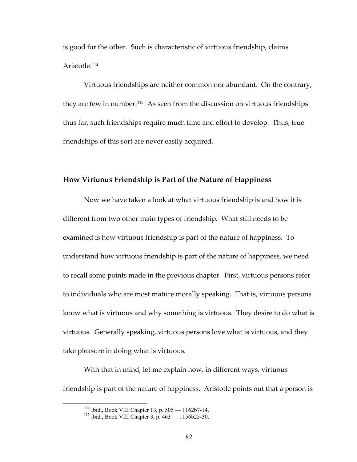is good for the other. Such is characteristic of virtuous friendship, claims Aristotle.[114](#page-88-0)

Virtuous friendships are neither common nor abundant. On the contrary, they are few in number.[115](#page-88-1) As seen from the discussion on virtuous friendships thus far, such friendships require much time and effort to develop. Thus, true friendships of this sort are never easily acquired.

## **How Virtuous Friendship is Part of the Nature of Happiness**

Now we have taken a look at what virtuous friendship is and how it is different from two other main types of friendship. What still needs to be examined is how virtuous friendship is part of the nature of happiness. To understand how virtuous friendship is part of the nature of happiness, we need to recall some points made in the previous chapter. First, virtuous persons refer to individuals who are most mature morally speaking. That is, virtuous persons know what is virtuous and why something is virtuous. They desire to do what is virtuous. Generally speaking, virtuous persons love what is virtuous, and they take pleasure in doing what is virtuous.

<span id="page-88-1"></span><span id="page-88-0"></span>With that in mind, let me explain how, in different ways, virtuous friendship is part of the nature of happiness. Aristotle points out that a person is

<sup>&</sup>lt;sup>114</sup> Ibid., Book VIII Chapter 13, p. 505 — 1162b7-14.<br><sup>115</sup> Ibid., Book VIII Chapter 3, p. 463 — 1156b25-30.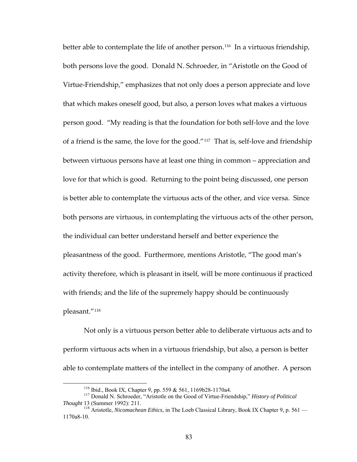better able to contemplate the life of another person.<sup>[116](#page-89-0)</sup> In a virtuous friendship, both persons love the good. Donald N. Schroeder, in "Aristotle on the Good of Virtue‐Friendship," emphasizes that not only does a person appreciate and love that which makes oneself good, but also, a person loves what makes a virtuous person good. "My reading is that the foundation for both self‐love and the love of a friend is the same, the love for the good."[117](#page-89-1) That is, self‐love and friendship between virtuous persons have at least one thing in common – appreciation and love for that which is good. Returning to the point being discussed, one person is better able to contemplate the virtuous acts of the other, and vice versa. Since both persons are virtuous, in contemplating the virtuous acts of the other person, the individual can better understand herself and better experience the pleasantness of the good. Furthermore, mentions Aristotle, "The good man's activity therefore, which is pleasant in itself, will be more continuous if practiced with friends; and the life of the supremely happy should be continuously pleasant."[118](#page-89-2)

Not only is a virtuous person better able to deliberate virtuous acts and to perform virtuous acts when in a virtuous friendship, but also, a person is better able to contemplate matters of the intellect in the company of another. A person

<span id="page-89-1"></span><span id="page-89-0"></span><sup>&</sup>lt;sup>116</sup> Ibid., Book IX, Chapter 9, pp. 559 & 561, 1169b28-1170a4.<br><sup>117</sup> Donald N. Schroeder, "Aristotle on the Good of Virtue-Friendship," *History of Political Thought* 13 (Summer 1992): 211.

<span id="page-89-2"></span><sup>&</sup>lt;sup>118</sup> Aristotle, *Nicomachean Ethics*, in The Loeb Classical Library, Book IX Chapter 9, p. 561 — 1170a8-10.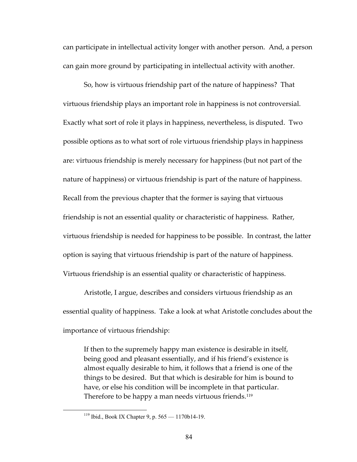can participate in intellectual activity longer with another person. And, a person can gain more ground by participating in intellectual activity with another.

So, how is virtuous friendship part of the nature of happiness? That virtuous friendship plays an important role in happiness is not controversial. Exactly what sort of role it plays in happiness, nevertheless, is disputed. Two possible options as to what sort of role virtuous friendship plays in happiness are: virtuous friendship is merely necessary for happiness (but not part of the nature of happiness) or virtuous friendship is part of the nature of happiness. Recall from the previous chapter that the former is saying that virtuous friendship is not an essential quality or characteristic of happiness. Rather, virtuous friendship is needed for happiness to be possible. In contrast, the latter option is saying that virtuous friendship is part of the nature of happiness. Virtuous friendship is an essential quality or characteristic of happiness.

Aristotle, I argue, describes and considers virtuous friendship as an essential quality of happiness. Take a look at what Aristotle concludes about the importance of virtuous friendship:

If then to the supremely happy man existence is desirable in itself, being good and pleasant essentially, and if his friend's existence is almost equally desirable to him, it follows that a friend is one of the things to be desired. But that which is desirable for him is bound to have, or else his condition will be incomplete in that particular. Therefore to be happy a man needs virtuous friends.<sup>[119](#page-90-0)</sup>

<span id="page-90-0"></span> <sup>119</sup> Ibid., Book IX Chapter 9, p. 565 — 1170b14-19.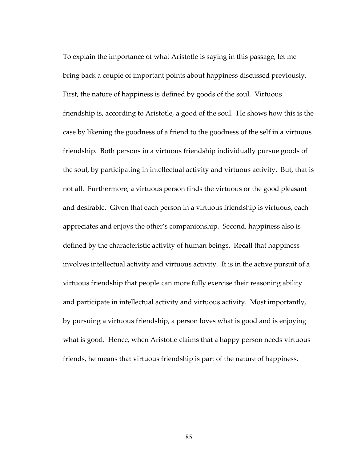To explain the importance of what Aristotle is saying in this passage, let me bring back a couple of important points about happiness discussed previously. First, the nature of happiness is defined by goods of the soul. Virtuous friendship is, according to Aristotle, a good of the soul. He shows how this is the case by likening the goodness of a friend to the goodness of the self in a virtuous friendship. Both persons in a virtuous friendship individually pursue goods of the soul, by participating in intellectual activity and virtuous activity. But, that is not all. Furthermore, a virtuous person finds the virtuous or the good pleasant and desirable. Given that each person in a virtuous friendship is virtuous, each appreciates and enjoys the other's companionship. Second, happiness also is defined by the characteristic activity of human beings. Recall that happiness involves intellectual activity and virtuous activity. It is in the active pursuit of a virtuous friendship that people can more fully exercise their reasoning ability and participate in intellectual activity and virtuous activity. Most importantly, by pursuing a virtuous friendship, a person loves what is good and is enjoying what is good. Hence, when Aristotle claims that a happy person needs virtuous friends, he means that virtuous friendship is part of the nature of happiness.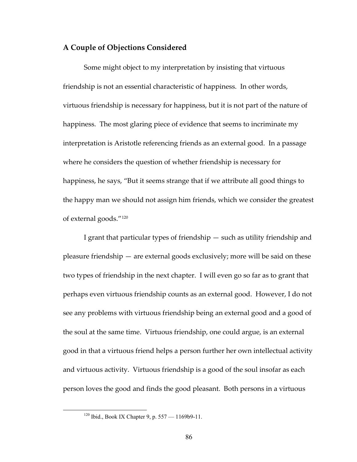## **A Couple of Objections Considered**

Some might object to my interpretation by insisting that virtuous friendship is not an essential characteristic of happiness. In other words, virtuous friendship is necessary for happiness, but it is not part of the nature of happiness. The most glaring piece of evidence that seems to incriminate my interpretation is Aristotle referencing friends as an external good. In a passage where he considers the question of whether friendship is necessary for happiness, he says, "But it seems strange that if we attribute all good things to the happy man we should not assign him friends, which we consider the greatest of external goods."[120](#page-92-0)

I grant that particular types of friendship — such as utility friendship and pleasure friendship — are external goods exclusively; more will be said on these two types of friendship in the next chapter. I will even go so far as to grant that perhaps even virtuous friendship counts as an external good. However, I do not see any problems with virtuous friendship being an external good and a good of the soul at the same time. Virtuous friendship, one could argue, is an external good in that a virtuous friend helps a person further her own intellectual activity and virtuous activity. Virtuous friendship is a good of the soul insofar as each person loves the good and finds the good pleasant. Both persons in a virtuous

<span id="page-92-0"></span> $120$  Ibid., Book IX Chapter 9, p. 557 — 1169b9-11.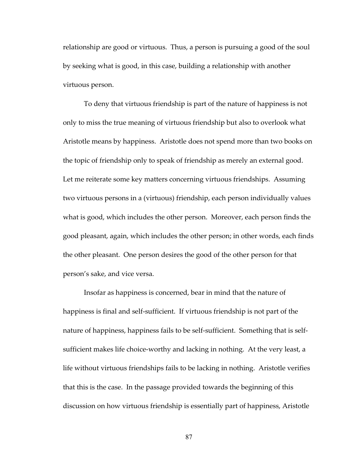relationship are good or virtuous. Thus, a person is pursuing a good of the soul by seeking what is good, in this case, building a relationship with another virtuous person.

To deny that virtuous friendship is part of the nature of happiness is not only to miss the true meaning of virtuous friendship but also to overlook what Aristotle means by happiness. Aristotle does not spend more than two books on the topic of friendship only to speak of friendship as merely an external good. Let me reiterate some key matters concerning virtuous friendships. Assuming two virtuous persons in a (virtuous) friendship, each person individually values what is good, which includes the other person. Moreover, each person finds the good pleasant, again, which includes the other person; in other words, each finds the other pleasant. One person desires the good of the other person for that person's sake, and vice versa.

Insofar as happiness is concerned, bear in mind that the nature of happiness is final and self-sufficient. If virtuous friendship is not part of the nature of happiness, happiness fails to be self‐sufficient. Something that is self‐ sufficient makes life choice-worthy and lacking in nothing. At the very least, a life without virtuous friendships fails to be lacking in nothing. Aristotle verifies that this is the case. In the passage provided towards the beginning of this discussion on how virtuous friendship is essentially part of happiness, Aristotle

87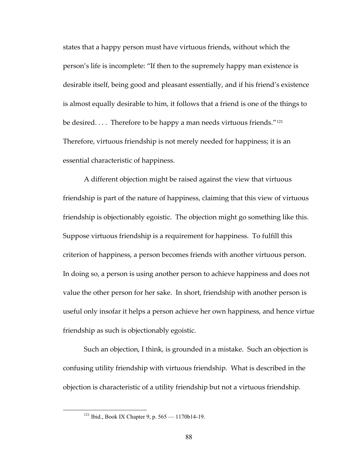states that a happy person must have virtuous friends, without which the person's life is incomplete: "If then to the supremely happy man existence is desirable itself, being good and pleasant essentially, and if his friend's existence is almost equally desirable to him, it follows that a friend is one of the things to be desired. . . . Therefore to be happy a man needs virtuous friends."<sup>[121](#page-94-0)</sup> Therefore, virtuous friendship is not merely needed for happiness; it is an essential characteristic of happiness.

A different objection might be raised against the view that virtuous friendship is part of the nature of happiness, claiming that this view of virtuous friendship is objectionably egoistic. The objection might go something like this. Suppose virtuous friendship is a requirement for happiness. To fulfill this criterion of happiness, a person becomes friends with another virtuous person. In doing so, a person is using another person to achieve happiness and does not value the other person for her sake. In short, friendship with another person is useful only insofar it helps a person achieve her own happiness, and hence virtue friendship as such is objectionably egoistic.

Such an objection, I think, is grounded in a mistake. Such an objection is confusing utility friendship with virtuous friendship. What is described in the objection is characteristic of a utility friendship but not a virtuous friendship.

<span id="page-94-0"></span> <sup>121</sup> Ibid., Book IX Chapter 9, p. 565 — 1170b14-19.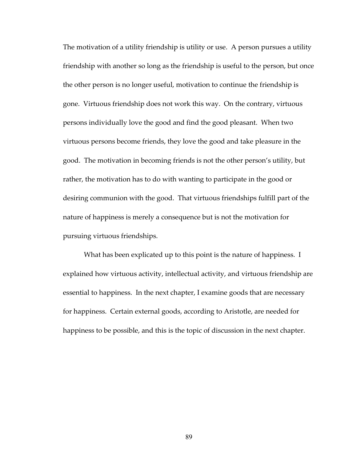The motivation of a utility friendship is utility or use. A person pursues a utility friendship with another so long as the friendship is useful to the person, but once the other person is no longer useful, motivation to continue the friendship is gone. Virtuous friendship does not work this way. On the contrary, virtuous persons individually love the good and find the good pleasant. When two virtuous persons become friends, they love the good and take pleasure in the good. The motivation in becoming friends is not the other person's utility, but rather, the motivation has to do with wanting to participate in the good or desiring communion with the good. That virtuous friendships fulfill part of the nature of happiness is merely a consequence but is not the motivation for pursuing virtuous friendships.

What has been explicated up to this point is the nature of happiness. I explained how virtuous activity, intellectual activity, and virtuous friendship are essential to happiness. In the next chapter, I examine goods that are necessary for happiness. Certain external goods, according to Aristotle, are needed for happiness to be possible, and this is the topic of discussion in the next chapter.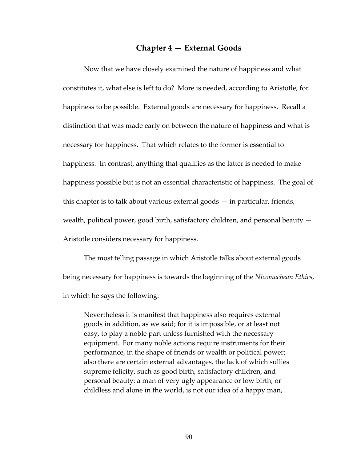## **Chapter 4 — External Goods**

Now that we have closely examined the nature of happiness and what constitutes it, what else is left to do? More is needed, according to Aristotle, for happiness to be possible. External goods are necessary for happiness. Recall a distinction that was made early on between the nature of happiness and what is necessary for happiness. That which relates to the former is essential to happiness. In contrast, anything that qualifies as the latter is needed to make happiness possible but is not an essential characteristic of happiness. The goal of this chapter is to talk about various external goods — in particular, friends, wealth, political power, good birth, satisfactory children, and personal beauty — Aristotle considers necessary for happiness.

The most telling passage in which Aristotle talks about external goods being necessary for happiness is towards the beginning of the *Nicomachean Ethics*, in which he says the following:

Nevertheless it is manifest that happiness also requires external goods in addition, as we said; for it is impossible, or at least not easy, to play a noble part unless furnished with the necessary equipment. For many noble actions require instruments for their performance, in the shape of friends or wealth or political power; also there are certain external advantages, the lack of which sullies supreme felicity, such as good birth, satisfactory children, and personal beauty: a man of very ugly appearance or low birth, or childless and alone in the world, is not our idea of a happy man,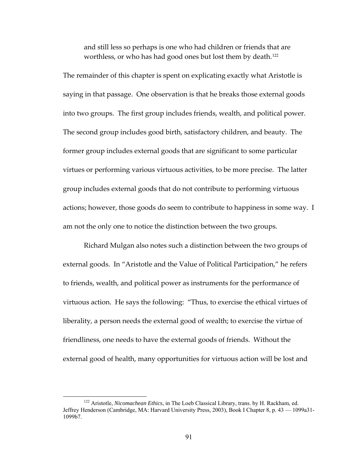and still less so perhaps is one who had children or friends that are worthless, or who has had good ones but lost them by death.<sup>[122](#page-97-0)</sup>

The remainder of this chapter is spent on explicating exactly what Aristotle is saying in that passage. One observation is that he breaks those external goods into two groups. The first group includes friends, wealth, and political power. The second group includes good birth, satisfactory children, and beauty. The former group includes external goods that are significant to some particular virtues or performing various virtuous activities, to be more precise. The latter group includes external goods that do not contribute to performing virtuous actions; however, those goods do seem to contribute to happiness in some way. I am not the only one to notice the distinction between the two groups.

Richard Mulgan also notes such a distinction between the two groups of external goods. In "Aristotle and the Value of Political Participation," he refers to friends, wealth, and political power as instruments for the performance of virtuous action. He says the following: "Thus, to exercise the ethical virtues of liberality, a person needs the external good of wealth; to exercise the virtue of friendliness, one needs to have the external goods of friends. Without the external good of health, many opportunities for virtuous action will be lost and

<span id="page-97-0"></span> <sup>122</sup> Aristotle, *Nicomachean Ethics*, in The Loeb Classical Library, trans. by H. Rackham, ed. Jeffrey Henderson (Cambridge, MA: Harvard University Press, 2003), Book I Chapter 8, p. 43 — 1099a31- 1099b7.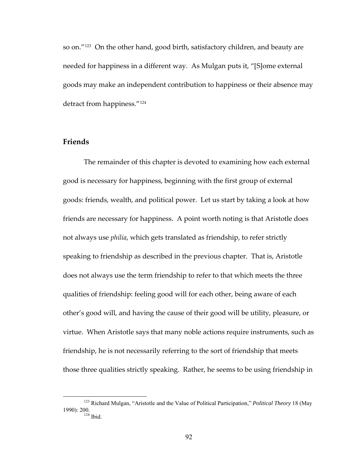so on."[123](#page-98-0) On the other hand, good birth, satisfactory children, and beauty are needed for happiness in a different way. As Mulgan puts it, "[S]ome external goods may make an independent contribution to happiness or their absence may detract from happiness."[124](#page-98-1)

## **Friends**

The remainder of this chapter is devoted to examining how each external good is necessary for happiness, beginning with the first group of external goods: friends, wealth, and political power. Let us start by taking a look at how friends are necessary for happiness. A point worth noting is that Aristotle does not always use *philia*, which gets translated as friendship, to refer strictly speaking to friendship as described in the previous chapter. That is, Aristotle does not always use the term friendship to refer to that which meets the three qualities of friendship: feeling good will for each other, being aware of each other's good will, and having the cause of their good will be utility, pleasure, or virtue. When Aristotle says that many noble actions require instruments, such as friendship, he is not necessarily referring to the sort of friendship that meets those three qualities strictly speaking. Rather, he seems to be using friendship in

<span id="page-98-1"></span><span id="page-98-0"></span> <sup>123</sup> Richard Mulgan, "Aristotle and the Value of Political Participation," *Political Theory* 18 (May 1990): 200.<br><sup>124</sup> Ibid.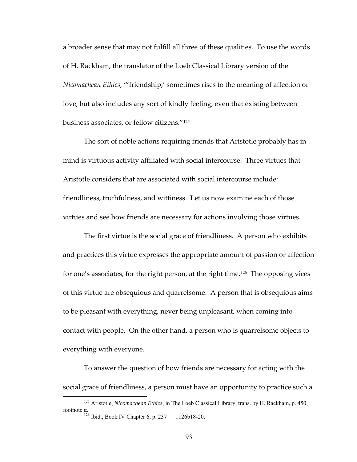a broader sense that may not fulfill all three of these qualities. To use the words of H. Rackham, the translator of the Loeb Classical Library version of the *Nicomachean Ethics*, "'friendship,' sometimes rises to the meaning of affection or love, but also includes any sort of kindly feeling, even that existing between business associates, or fellow citizens."[125](#page-99-0)

The sort of noble actions requiring friends that Aristotle probably has in mind is virtuous activity affiliated with social intercourse. Three virtues that Aristotle considers that are associated with social intercourse include: friendliness, truthfulness, and wittiness. Let us now examine each of those virtues and see how friends are necessary for actions involving those virtues.

The first virtue is the social grace of friendliness. A person who exhibits and practices this virtue expresses the appropriate amount of passion or affection for one's associates, for the right person, at the right time.<sup>[126](#page-99-1)</sup> The opposing vices of this virtue are obsequious and quarrelsome. A person that is obsequious aims to be pleasant with everything, never being unpleasant, when coming into contact with people. On the other hand, a person who is quarrelsome objects to everything with everyone.

To answer the question of how friends are necessary for acting with the social grace of friendliness, a person must have an opportunity to practice such a

<span id="page-99-1"></span><span id="page-99-0"></span> <sup>125</sup> Aristotle, *Nicomachean Ethics*, in The Loeb Classical Library, trans. by H. Rackham, p. 450, footnote α.

 $126$  Ibid., Book IV Chapter 6, p. 237 — 1126b18-20.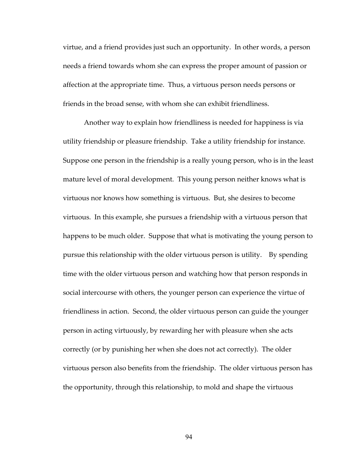virtue, and a friend provides just such an opportunity. In other words, a person needs a friend towards whom she can express the proper amount of passion or affection at the appropriate time. Thus, a virtuous person needs persons or friends in the broad sense, with whom she can exhibit friendliness.

Another way to explain how friendliness is needed for happiness is via utility friendship or pleasure friendship. Take a utility friendship for instance. Suppose one person in the friendship is a really young person, who is in the least mature level of moral development. This young person neither knows what is virtuous nor knows how something is virtuous. But, she desires to become virtuous. In this example, she pursues a friendship with a virtuous person that happens to be much older. Suppose that what is motivating the young person to pursue this relationship with the older virtuous person is utility. By spending time with the older virtuous person and watching how that person responds in social intercourse with others, the younger person can experience the virtue of friendliness in action. Second, the older virtuous person can guide the younger person in acting virtuously, by rewarding her with pleasure when she acts correctly (or by punishing her when she does not act correctly). The older virtuous person also benefits from the friendship. The older virtuous person has the opportunity, through this relationship, to mold and shape the virtuous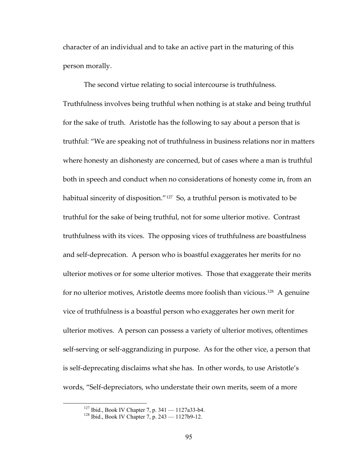character of an individual and to take an active part in the maturing of this person morally.

The second virtue relating to social intercourse is truthfulness. Truthfulness involves being truthful when nothing is at stake and being truthful for the sake of truth. Aristotle has the following to say about a person that is truthful: "We are speaking not of truthfulness in business relations nor in matters where honesty an dishonesty are concerned, but of cases where a man is truthful both in speech and conduct when no considerations of honesty come in, from an habitual sincerity of disposition."<sup>[127](#page-101-0)</sup> So, a truthful person is motivated to be truthful for the sake of being truthful, not for some ulterior motive. Contrast truthfulness with its vices. The opposing vices of truthfulness are boastfulness and self‐deprecation. A person who is boastful exaggerates her merits for no ulterior motives or for some ulterior motives. Those that exaggerate their merits for no ulterior motives, Aristotle deems more foolish than vicious.[128](#page-101-1) A genuine vice of truthfulness is a boastful person who exaggerates her own merit for ulterior motives. A person can possess a variety of ulterior motives, oftentimes self-serving or self-aggrandizing in purpose. As for the other vice, a person that is self‐deprecating disclaims what she has. In other words, to use Aristotle's words, "Self‐depreciators, who understate their own merits, seem of a more

<span id="page-101-1"></span><span id="page-101-0"></span><sup>&</sup>lt;sup>127</sup> Ibid., Book IV Chapter 7, p.  $341 - 1127a33-b4$ .<br><sup>128</sup> Ibid., Book IV Chapter 7, p.  $243 - 1127b9-12$ .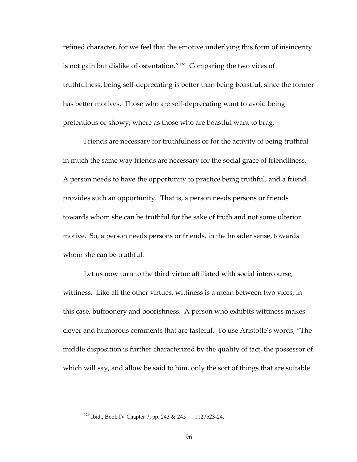refined character, for we feel that the emotive underlying this form of insincerity is not gain but dislike of ostentation."[129](#page-102-0) Comparing the two vices of truthfulness, being self‐deprecating is better than being boastful, since the former has better motives. Those who are self-deprecating want to avoid being pretentious or showy, where as those who are boastful want to brag.

Friends are necessary for truthfulness or for the activity of being truthful in much the same way friends are necessary for the social grace of friendliness. A person needs to have the opportunity to practice being truthful, and a friend provides such an opportunity. That is, a person needs persons or friends towards whom she can be truthful for the sake of truth and not some ulterior motive. So, a person needs persons or friends, in the broader sense, towards whom she can be truthful.

Let us now turn to the third virtue affiliated with social intercourse, wittiness. Like all the other virtues, wittiness is a mean between two vices, in this case, buffoonery and boorishness. A person who exhibits wittiness makes clever and humorous comments that are tasteful. To use Aristotle's words, "The middle disposition is further characterized by the quality of tact, the possessor of which will say, and allow be said to him, only the sort of things that are suitable

<span id="page-102-0"></span> <sup>129</sup> Ibid., Book IV Chapter 7, pp. 243 & 245 — 1127b23-24.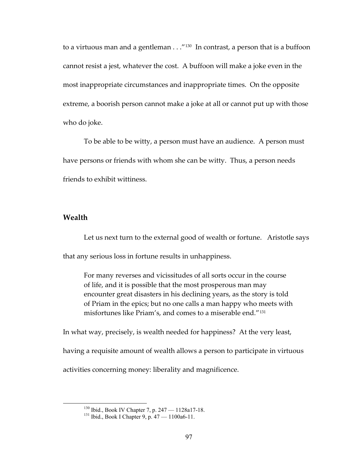to a virtuous man and a gentleman . . ."<sup>[130](#page-103-0)</sup> In contrast, a person that is a buffoon cannot resist a jest, whatever the cost. A buffoon will make a joke even in the most inappropriate circumstances and inappropriate times. On the opposite extreme, a boorish person cannot make a joke at all or cannot put up with those who do joke.

To be able to be witty, a person must have an audience. A person must have persons or friends with whom she can be witty. Thus, a person needs friends to exhibit wittiness.

#### **Wealth**

Let us next turn to the external good of wealth or fortune. Aristotle says that any serious loss in fortune results in unhappiness.

For many reverses and vicissitudes of all sorts occur in the course of life, and it is possible that the most prosperous man may encounter great disasters in his declining years, as the story is told of Priam in the epics; but no one calls a man happy who meets with misfortunes like Priam's, and comes to a miserable end."[131](#page-103-1)

In what way, precisely, is wealth needed for happiness? At the very least, having a requisite amount of wealth allows a person to participate in virtuous

<span id="page-103-1"></span><span id="page-103-0"></span>activities concerning money: liberality and magnificence.

<sup>&</sup>lt;sup>130</sup> Ibid., Book IV Chapter 7, p. 247 — 1128a17-18.<br><sup>131</sup> Ibid., Book I Chapter 9, p. 47 — 1100a6-11.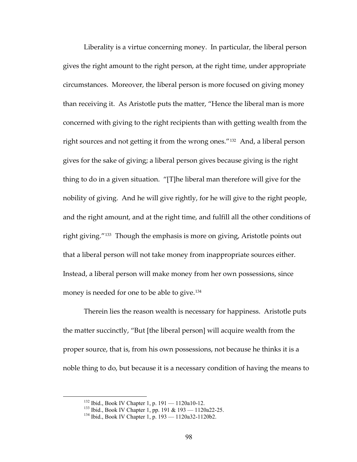Liberality is a virtue concerning money. In particular, the liberal person gives the right amount to the right person, at the right time, under appropriate circumstances. Moreover, the liberal person is more focused on giving money than receiving it. As Aristotle puts the matter, "Hence the liberal man is more concerned with giving to the right recipients than with getting wealth from the right sources and not getting it from the wrong ones."[132](#page-104-0) And, a liberal person gives for the sake of giving; a liberal person gives because giving is the right thing to do in a given situation. "[T]he liberal man therefore will give for the nobility of giving. And he will give rightly, for he will give to the right people, and the right amount, and at the right time, and fulfill all the other conditions of right giving."[133](#page-104-1) Though the emphasis is more on giving, Aristotle points out that a liberal person will not take money from inappropriate sources either. Instead, a liberal person will make money from her own possessions, since money is needed for one to be able to give.<sup>[134](#page-104-2)</sup>

Therein lies the reason wealth is necessary for happiness. Aristotle puts the matter succinctly, "But [the liberal person] will acquire wealth from the proper source, that is, from his own possessions, not because he thinks it is a noble thing to do, but because it is a necessary condition of having the means to

<span id="page-104-2"></span><span id="page-104-1"></span><span id="page-104-0"></span><sup>&</sup>lt;sup>132</sup> Ibid., Book IV Chapter 1, p. 191 — 1120a10-12.<br><sup>133</sup> Ibid., Book IV Chapter 1, pp. 191 & 193 — 1120a22-25.<br><sup>134</sup> Ibid., Book IV Chapter 1, p. 193 — 1120a32-1120b2.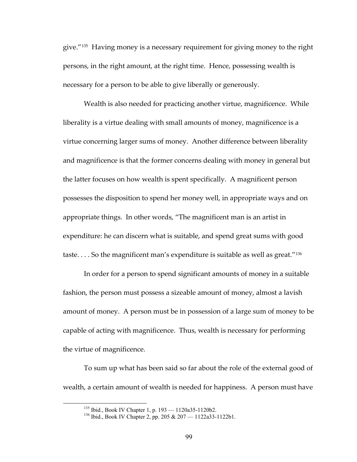give."<sup>[135](#page-105-0)</sup> Having money is a necessary requirement for giving money to the right persons, in the right amount, at the right time. Hence, possessing wealth is necessary for a person to be able to give liberally or generously.

Wealth is also needed for practicing another virtue, magnificence. While liberality is a virtue dealing with small amounts of money, magnificence is a virtue concerning larger sums of money. Another difference between liberality and magnificence is that the former concerns dealing with money in general but the latter focuses on how wealth is spent specifically. A magnificent person possesses the disposition to spend her money well, in appropriate ways and on appropriate things. In other words, "The magnificent man is an artist in expenditure: he can discern what is suitable, and spend great sums with good taste.... So the magnificent man's expenditure is suitable as well as great."<sup>[136](#page-105-1)</sup>

In order for a person to spend significant amounts of money in a suitable fashion, the person must possess a sizeable amount of money, almost a lavish amount of money. A person must be in possession of a large sum of money to be capable of acting with magnificence. Thus, wealth is necessary for performing the virtue of magnificence.

<span id="page-105-1"></span><span id="page-105-0"></span>To sum up what has been said so far about the role of the external good of wealth, a certain amount of wealth is needed for happiness. A person must have

<sup>&</sup>lt;sup>135</sup> Ibid., Book IV Chapter 1, p. 193 — 1120a35-1120b2.<br><sup>136</sup> Ibid., Book IV Chapter 2, pp. 205 & 207 — 1122a33-1122b1.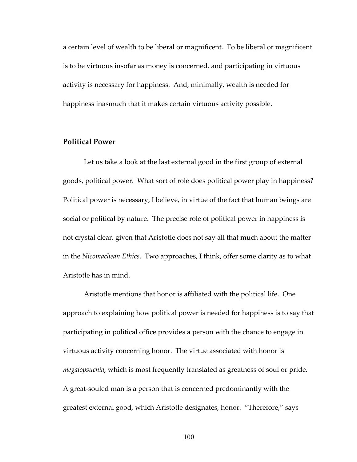a certain level of wealth to be liberal or magnificent. To be liberal or magnificent is to be virtuous insofar as money is concerned, and participating in virtuous activity is necessary for happiness. And, minimally, wealth is needed for happiness inasmuch that it makes certain virtuous activity possible.

### **Political Power**

Let us take a look at the last external good in the first group of external goods, political power. What sort of role does political power play in happiness? Political power is necessary, I believe, in virtue of the fact that human beings are social or political by nature. The precise role of political power in happiness is not crystal clear, given that Aristotle does not say all that much about the matter in the *Nicomachean Ethics*. Two approaches, I think, offer some clarity as to what Aristotle has in mind.

Aristotle mentions that honor is affiliated with the political life. One approach to explaining how political power is needed for happiness is to say that participating in political office provides a person with the chance to engage in virtuous activity concerning honor. The virtue associated with honor is *megalopsuchia*, which is most frequently translated as greatness of soul or pride. A great‐souled man is a person that is concerned predominantly with the greatest external good, which Aristotle designates, honor. "Therefore," says

100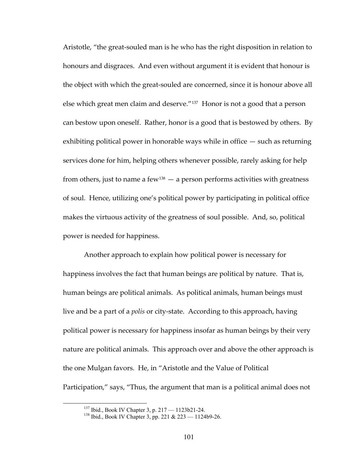Aristotle, "the great‐souled man is he who has the right disposition in relation to honours and disgraces. And even without argument it is evident that honour is the object with which the great‐souled are concerned, since it is honour above all else which great men claim and deserve."[137](#page-107-0) Honor is not a good that a person can bestow upon oneself. Rather, honor is a good that is bestowed by others. By exhibiting political power in honorable ways while in office — such as returning services done for him, helping others whenever possible, rarely asking for help from others, just to name a few<sup>[138](#page-107-1)</sup>  $-$  a person performs activities with greatness of soul. Hence, utilizing one's political power by participating in political office makes the virtuous activity of the greatness of soul possible. And, so, political power is needed for happiness.

Another approach to explain how political power is necessary for happiness involves the fact that human beings are political by nature. That is, human beings are political animals. As political animals, human beings must live and be a part of a *polis* or city‐state. According to this approach, having political power is necessary for happiness insofar as human beings by their very nature are political animals. This approach over and above the other approach is the one Mulgan favors. He, in "Aristotle and the Value of Political Participation," says, "Thus, the argument that man is a political animal does not

<span id="page-107-1"></span><span id="page-107-0"></span><sup>&</sup>lt;sup>137</sup> Ibid., Book IV Chapter 3, p. 217 — 1123b21-24.<br><sup>138</sup> Ibid., Book IV Chapter 3, pp. 221 & 223 — 1124b9-26.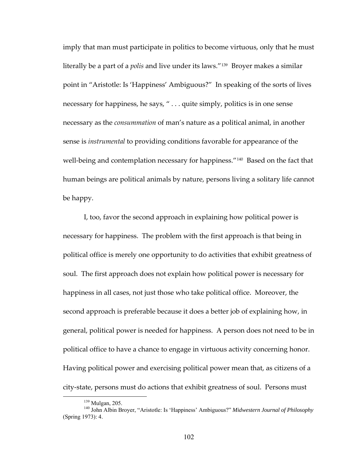imply that man must participate in politics to become virtuous, only that he must literally be a part of a *polis* and live under its laws."[139](#page-108-0) Broyer makes a similar point in "Aristotle: Is 'Happiness' Ambiguous?" In speaking of the sorts of lives necessary for happiness, he says, " . . . quite simply, politics is in one sense necessary as the *consummation* of man's nature as a political animal, in another sense is *instrumental* to providing conditions favorable for appearance of the well-being and contemplation necessary for happiness."<sup>[140](#page-108-1)</sup> Based on the fact that human beings are political animals by nature, persons living a solitary life cannot be happy.

I, too, favor the second approach in explaining how political power is necessary for happiness. The problem with the first approach is that being in political office is merely one opportunity to do activities that exhibit greatness of soul. The first approach does not explain how political power is necessary for happiness in all cases, not just those who take political office. Moreover, the second approach is preferable because it does a better job of explaining how, in general, political power is needed for happiness. A person does not need to be in political office to have a chance to engage in virtuous activity concerning honor. Having political power and exercising political power mean that, as citizens of a city‐state, persons must do actions that exhibit greatness of soul. Persons must

<span id="page-108-1"></span><span id="page-108-0"></span><sup>&</sup>lt;sup>139</sup> Mulgan, 205.<br><sup>140</sup> John Albin Broyer, "Aristotle: Is 'Happiness' Ambiguous?" *Midwestern Journal of Philosophy* (Spring 1973): 4.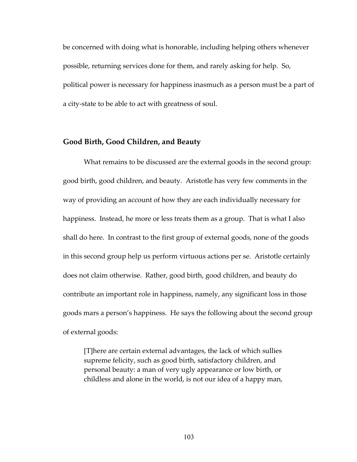be concerned with doing what is honorable, including helping others whenever possible, returning services done for them, and rarely asking for help. So, political power is necessary for happiness inasmuch as a person must be a part of a city‐state to be able to act with greatness of soul.

#### **Good Birth, Good Children, and Beauty**

What remains to be discussed are the external goods in the second group: good birth, good children, and beauty. Aristotle has very few comments in the way of providing an account of how they are each individually necessary for happiness. Instead, he more or less treats them as a group. That is what I also shall do here. In contrast to the first group of external goods, none of the goods in this second group help us perform virtuous actions per se. Aristotle certainly does not claim otherwise. Rather, good birth, good children, and beauty do contribute an important role in happiness, namely, any significant loss in those goods mars a person's happiness. He says the following about the second group of external goods:

[T]here are certain external advantages, the lack of which sullies supreme felicity, such as good birth, satisfactory children, and personal beauty: a man of very ugly appearance or low birth, or childless and alone in the world, is not our idea of a happy man,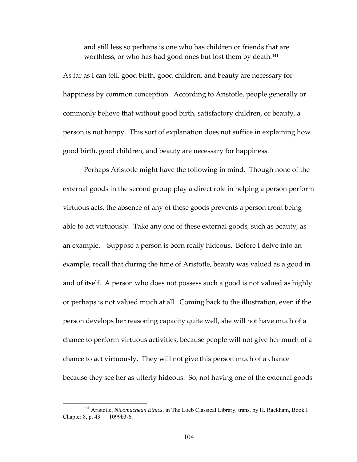and still less so perhaps is one who has children or friends that are worthless, or who has had good ones but lost them by death.<sup>[141](#page-110-0)</sup>

As far as I can tell, good birth, good children, and beauty are necessary for happiness by common conception. According to Aristotle, people generally or commonly believe that without good birth, satisfactory children, or beauty, a person is not happy. This sort of explanation does not suffice in explaining how good birth, good children, and beauty are necessary for happiness.

Perhaps Aristotle might have the following in mind. Though none of the external goods in the second group play a direct role in helping a person perform virtuous acts, the absence of any of these goods prevents a person from being able to act virtuously. Take any one of these external goods, such as beauty, as an example. Suppose a person is born really hideous. Before I delve into an example, recall that during the time of Aristotle, beauty was valued as a good in and of itself. A person who does not possess such a good is not valued as highly or perhaps is not valued much at all. Coming back to the illustration, even if the person develops her reasoning capacity quite well, she will not have much of a chance to perform virtuous activities, because people will not give her much of a chance to act virtuously. They will not give this person much of a chance because they see her as utterly hideous. So, not having one of the external goods

<span id="page-110-0"></span> <sup>141</sup> Aristotle, *Nicomachean Ethics*, in The Loeb Classical Library, trans. by H. Rackham, Book I Chapter 8, p. 43 — 1099b3-6.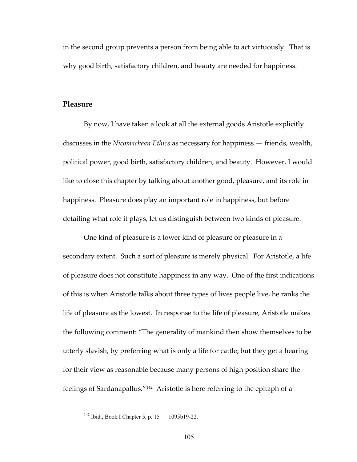in the second group prevents a person from being able to act virtuously. That is why good birth, satisfactory children, and beauty are needed for happiness.

## **Pleasure**

By now, I have taken a look at all the external goods Aristotle explicitly discusses in the *Nicomachean Ethics* as necessary for happiness — friends, wealth, political power, good birth, satisfactory children, and beauty. However, I would like to close this chapter by talking about another good, pleasure, and its role in happiness. Pleasure does play an important role in happiness, but before detailing what role it plays, let us distinguish between two kinds of pleasure.

One kind of pleasure is a lower kind of pleasure or pleasure in a secondary extent. Such a sort of pleasure is merely physical. For Aristotle, a life of pleasure does not constitute happiness in any way. One of the first indications of this is when Aristotle talks about three types of lives people live, he ranks the life of pleasure as the lowest. In response to the life of pleasure, Aristotle makes the following comment: "The generality of mankind then show themselves to be utterly slavish, by preferring what is only a life for cattle; but they get a hearing for their view as reasonable because many persons of high position share the feelings of Sardanapallus."[142](#page-111-0) Aristotle is here referring to the epitaph of a

<span id="page-111-0"></span> <sup>142</sup> Ibid., Book I Chapter 5, p. 15 — 1095b19-22.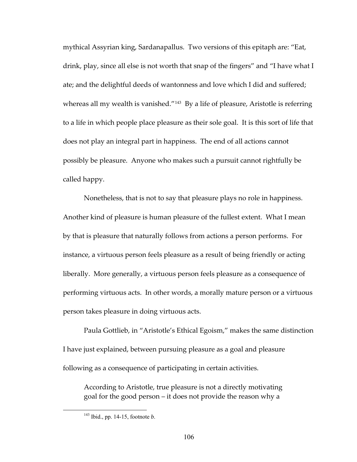mythical Assyrian king, Sardanapallus. Two versions of this epitaph are: "Eat, drink, play, since all else is not worth that snap of the fingers" and "I have what I ate; and the delightful deeds of wantonness and love which I did and suffered; whereas all my wealth is vanished."<sup>[143](#page-112-0)</sup> By a life of pleasure, Aristotle is referring to a life in which people place pleasure as their sole goal. It is this sort of life that does not play an integral part in happiness. The end of all actions cannot possibly be pleasure. Anyone who makes such a pursuit cannot rightfully be called happy.

Nonetheless, that is not to say that pleasure plays no role in happiness. Another kind of pleasure is human pleasure of the fullest extent. What I mean by that is pleasure that naturally follows from actions a person performs. For instance, a virtuous person feels pleasure as a result of being friendly or acting liberally. More generally, a virtuous person feels pleasure as a consequence of performing virtuous acts. In other words, a morally mature person or a virtuous person takes pleasure in doing virtuous acts.

Paula Gottlieb, in "Aristotle's Ethical Egoism," makes the same distinction I have just explained, between pursuing pleasure as a goal and pleasure following as a consequence of participating in certain activities.

According to Aristotle, true pleasure is not a directly motivating goal for the good person – it does not provide the reason why a

<span id="page-112-0"></span> <sup>143</sup> Ibid., pp. 14-15, footnote *b*.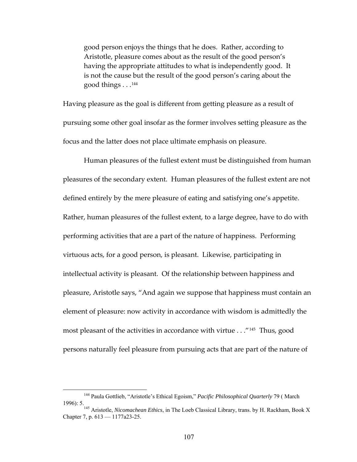good person enjoys the things that he does. Rather, according to Aristotle, pleasure comes about as the result of the good person's having the appropriate attitudes to what is independently good. It is not the cause but the result of the good person's caring about the good things . . . [144](#page-113-0)

Having pleasure as the goal is different from getting pleasure as a result of pursuing some other goal insofar as the former involves setting pleasure as the focus and the latter does not place ultimate emphasis on pleasure.

Human pleasures of the fullest extent must be distinguished from human pleasures of the secondary extent. Human pleasures of the fullest extent are not defined entirely by the mere pleasure of eating and satisfying one's appetite. Rather, human pleasures of the fullest extent, to a large degree, have to do with performing activities that are a part of the nature of happiness. Performing virtuous acts, for a good person, is pleasant. Likewise, participating in intellectual activity is pleasant. Of the relationship between happiness and pleasure, Aristotle says, "And again we suppose that happiness must contain an element of pleasure: now activity in accordance with wisdom is admittedly the most pleasant of the activities in accordance with virtue . . ."[145](#page-113-1) Thus, good persons naturally feel pleasure from pursuing acts that are part of the nature of

<span id="page-113-0"></span> <sup>144</sup> Paula Gottlieb, "Aristotle's Ethical Egoism," *Pacific Philosophical Quarterly* 79 ( March 1996): 5. 145 Aristotle, *Nicomachean Ethics*, in The Loeb Classical Library, trans. by H. Rackham, Book X

<span id="page-113-1"></span>Chapter 7, p. 613 — 1177a23-25.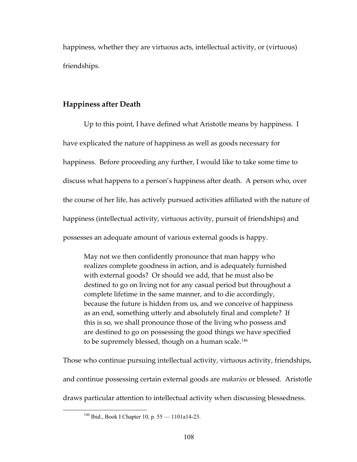happiness, whether they are virtuous acts, intellectual activity, or (virtuous) friendships.

# **Happiness after Death**

Up to this point, I have defined what Aristotle means by happiness. I have explicated the nature of happiness as well as goods necessary for happiness. Before proceeding any further, I would like to take some time to discuss what happens to a person's happiness after death. A person who, over the course of her life, has actively pursued activities affiliated with the nature of happiness (intellectual activity, virtuous activity, pursuit of friendships) and possesses an adequate amount of various external goods is happy.

May not we then confidently pronounce that man happy who realizes complete goodness in action, and is adequately furnished with external goods? Or should we add, that he must also be destined to go on living not for any casual period but throughout a complete lifetime in the same manner, and to die accordingly, because the future is hidden from us, and we conceive of happiness as an end, something utterly and absolutely final and complete? If this is so, we shall pronounce those of the living who possess and are destined to go on possessing the good things we have specified to be supremely blessed, though on a human scale.<sup>[146](#page-114-0)</sup>

Those who continue pursuing intellectual activity, virtuous activity, friendships, and continue possessing certain external goods are *makarios* or blessed. Aristotle draws particular attention to intellectual activity when discussing blessedness.

<span id="page-114-0"></span><sup>&</sup>lt;sup>146</sup> Ibid., Book I Chapter 10, p. 55 – 1101a14-23.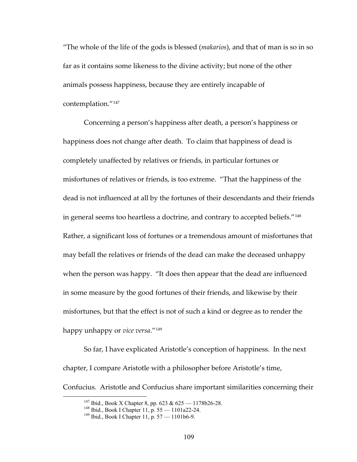"The whole of the life of the gods is blessed (*makarios*), and that of man is so in so far as it contains some likeness to the divine activity; but none of the other animals possess happiness, because they are entirely incapable of contemplation."[147](#page-115-0)

Concerning a person's happiness after death, a person's happiness or happiness does not change after death. To claim that happiness of dead is completely unaffected by relatives or friends, in particular fortunes or misfortunes of relatives or friends, is too extreme. "That the happiness of the dead is not influenced at all by the fortunes of their descendants and their friends in general seems too heartless a doctrine, and contrary to accepted beliefs."[148](#page-115-1) Rather, a significant loss of fortunes or a tremendous amount of misfortunes that may befall the relatives or friends of the dead can make the deceased unhappy when the person was happy. "It does then appear that the dead are influenced in some measure by the good fortunes of their friends, and likewise by their misfortunes, but that the effect is not of such a kind or degree as to render the happy unhappy or *vice versa*."[149](#page-115-2)

<span id="page-115-0"></span>So far, I have explicated Aristotle's conception of happiness. In the next chapter, I compare Aristotle with a philosopher before Aristotle's time, Confucius. Aristotle and Confucius share important similarities concerning their

<sup>&</sup>lt;sup>147</sup> Ibid., Book X Chapter 8, pp. 623 & 625 — 1178b26-28.<br><sup>148</sup> Ibid., Book I Chapter 11, p. 55 — 1101a22-24.<br><sup>149</sup> Ibid., Book I Chapter 11, p. 57 — 1101b6-9.

<span id="page-115-2"></span><span id="page-115-1"></span>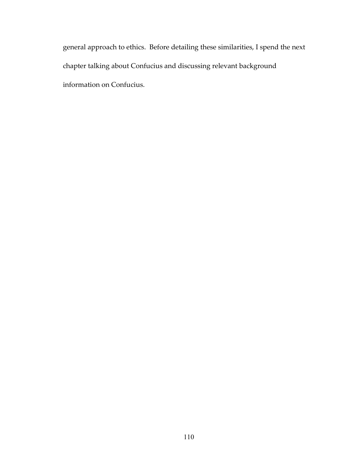general approach to ethics. Before detailing these similarities, I spend the next chapter talking about Confucius and discussing relevant background information on Confucius.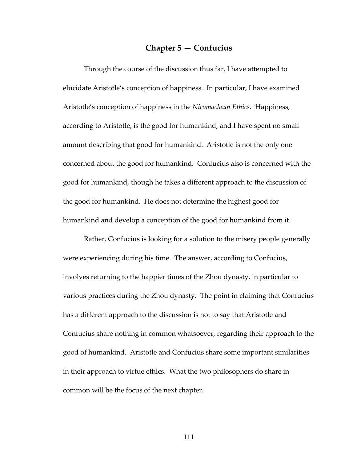# **Chapter 5 — Confucius**

Through the course of the discussion thus far, I have attempted to elucidate Aristotle's conception of happiness. In particular, I have examined Aristotle's conception of happiness in the *Nicomachean Ethics*. Happiness, according to Aristotle, is the good for humankind, and I have spent no small amount describing that good for humankind. Aristotle is not the only one concerned about the good for humankind. Confucius also is concerned with the good for humankind, though he takes a different approach to the discussion of the good for humankind. He does not determine the highest good for humankind and develop a conception of the good for humankind from it.

Rather, Confucius is looking for a solution to the misery people generally were experiencing during his time. The answer, according to Confucius, involves returning to the happier times of the Zhou dynasty, in particular to various practices during the Zhou dynasty. The point in claiming that Confucius has a different approach to the discussion is not to say that Aristotle and Confucius share nothing in common whatsoever, regarding their approach to the good of humankind. Aristotle and Confucius share some important similarities in their approach to virtue ethics. What the two philosophers do share in common will be the focus of the next chapter.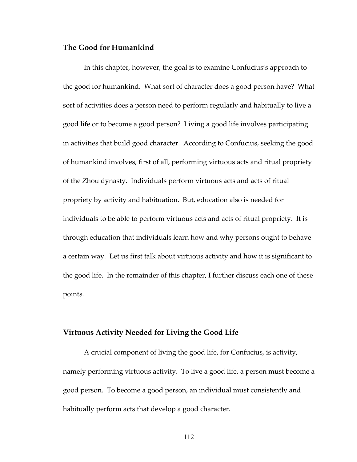#### **The Good for Humankind**

In this chapter, however, the goal is to examine Confucius's approach to the good for humankind. What sort of character does a good person have? What sort of activities does a person need to perform regularly and habitually to live a good life or to become a good person? Living a good life involves participating in activities that build good character. According to Confucius, seeking the good of humankind involves, first of all, performing virtuous acts and ritual propriety of the Zhou dynasty. Individuals perform virtuous acts and acts of ritual propriety by activity and habituation. But, education also is needed for individuals to be able to perform virtuous acts and acts of ritual propriety. It is through education that individuals learn how and why persons ought to behave a certain way. Let us first talk about virtuous activity and how it is significant to the good life. In the remainder of this chapter, I further discuss each one of these points.

#### **Virtuous Activity Needed for Living the Good Life**

A crucial component of living the good life, for Confucius, is activity, namely performing virtuous activity. To live a good life, a person must become a good person. To become a good person, an individual must consistently and habitually perform acts that develop a good character.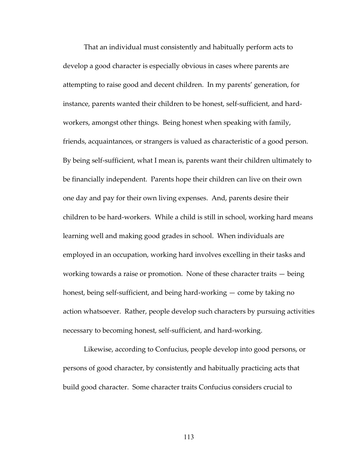That an individual must consistently and habitually perform acts to develop a good character is especially obvious in cases where parents are attempting to raise good and decent children. In my parents' generation, for instance, parents wanted their children to be honest, self-sufficient, and hardworkers, amongst other things. Being honest when speaking with family, friends, acquaintances, or strangers is valued as characteristic of a good person. By being self-sufficient, what I mean is, parents want their children ultimately to be financially independent. Parents hope their children can live on their own one day and pay for their own living expenses. And, parents desire their children to be hard‐workers. While a child is still in school, working hard means learning well and making good grades in school. When individuals are employed in an occupation, working hard involves excelling in their tasks and working towards a raise or promotion. None of these character traits — being honest, being self-sufficient, and being hard-working — come by taking no action whatsoever. Rather, people develop such characters by pursuing activities necessary to becoming honest, self‐sufficient, and hard‐working.

Likewise, according to Confucius, people develop into good persons, or persons of good character, by consistently and habitually practicing acts that build good character. Some character traits Confucius considers crucial to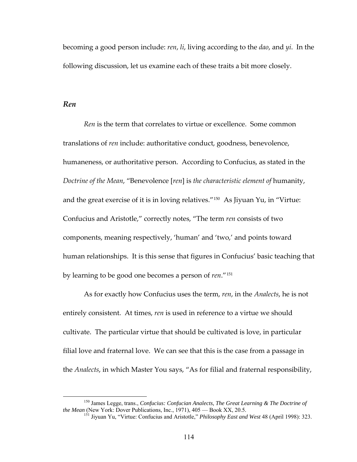becoming a good person include: *ren*, *li*, living according to the *dao*, and *yi*. In the following discussion, let us examine each of these traits a bit more closely.

### *Ren*

*Ren* is the term that correlates to virtue or excellence. Some common translations of *ren* include: authoritative conduct, goodness, benevolence, humaneness, or authoritative person. According to Confucius, as stated in the *Doctrine of the Mean*, "Benevolence [*ren*] is *the characteristic element of* humanity, and the great exercise of it is in loving relatives."[150](#page-120-0) As Jiyuan Yu, in "Virtue: Confucius and Aristotle," correctly notes, "The term *ren* consists of two components, meaning respectively, 'human' and 'two,' and points toward human relationships. It is this sense that figures in Confucius' basic teaching that by learning to be good one becomes a person of *ren*."[151](#page-120-1)

As for exactly how Confucius uses the term, *ren*, in the *Analects*, he is not entirely consistent. At times, *ren* is used in reference to a virtue we should cultivate. The particular virtue that should be cultivated is love, in particular filial love and fraternal love. We can see that this is the case from a passage in the *Analects*, in which Master You says, "As for filial and fraternal responsibility,

<span id="page-120-1"></span><span id="page-120-0"></span> <sup>150</sup> James Legge, trans., *Confucius: Confucian Analects, The Great Learning & The Doctrine of the Mean* (New York: Dover Publications, Inc., 1971), 405 — Book XX, 20.5.

<sup>151</sup> Jiyuan Yu, "Virtue: Confucius and Aristotle," *Philosophy East and West* 48 (April 1998): 323.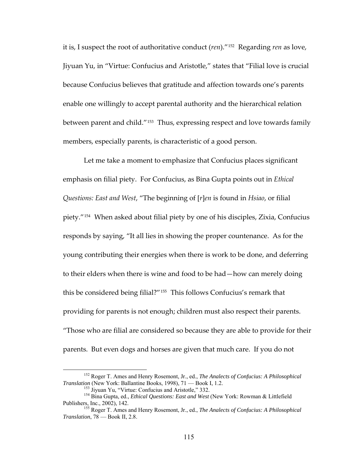it is, I suspect the root of authoritative conduct (*ren*)."[152](#page-121-0) Regarding *ren* as love, Jiyuan Yu, in "Virtue: Confucius and Aristotle," states that "Filial love is crucial because Confucius believes that gratitude and affection towards one's parents enable one willingly to accept parental authority and the hierarchical relation between parent and child."[153](#page-121-1) Thus, expressing respect and love towards family members, especially parents, is characteristic of a good person.

Let me take a moment to emphasize that Confucius places significant emphasis on filial piety. For Confucius, as Bina Gupta points out in *Ethical Questions: East and West*, "The beginning of [*r*]*en* is found in *Hsiao*, or filial piety."[154](#page-121-2) When asked about filial piety by one of his disciples, Zixia, Confucius responds by saying, "It all lies in showing the proper countenance. As for the young contributing their energies when there is work to be done, and deferring to their elders when there is wine and food to be had—how can merely doing this be considered being filial?"[155](#page-121-3) This follows Confucius's remark that providing for parents is not enough; children must also respect their parents. "Those who are filial are considered so because they are able to provide for their parents. But even dogs and horses are given that much care. If you do not

<span id="page-121-0"></span> <sup>152</sup> Roger T. Ames and Henry Rosemont, Jr., ed., *The Analects of Confucius: A Philosophical* 

<span id="page-121-1"></span>*Translation* (New York: Ballantine Books, 1998), 71 — Book I, 1.2.<br><sup>153</sup> Jiyuan Yu, "Virtue: Confucius and Aristotle," 332.<br><sup>154</sup> Bina Gupta, ed., *Ethical Questions: East and West* (New York: Rowman & Littlefield<br>Publish

<span id="page-121-3"></span><span id="page-121-2"></span><sup>&</sup>lt;sup>155</sup> Roger T. Ames and Henry Rosemont, Jr., ed., *The Analects of Confucius: A Philosophical Translation*, 78 — Book II, 2.8.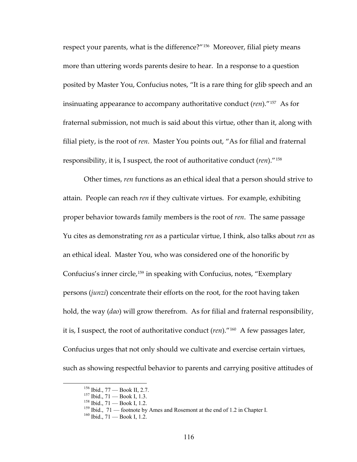respect your parents, what is the difference?"<sup>[156](#page-122-0)</sup> Moreover, filial piety means more than uttering words parents desire to hear. In a response to a question posited by Master You, Confucius notes, "It is a rare thing for glib speech and an insinuating appearance to accompany authoritative conduct (*ren*)."[157](#page-122-1) As for fraternal submission, not much is said about this virtue, other than it, along with filial piety, is the root of *ren*. Master You points out, "As for filial and fraternal responsibility, it is, I suspect, the root of authoritative conduct (*ren*)."[158](#page-122-2)

Other times, *ren* functions as an ethical ideal that a person should strive to attain. People can reach *ren* if they cultivate virtues. For example, exhibiting proper behavior towards family members is the root of *ren*. The same passage Yu cites as demonstrating *ren* as a particular virtue, I think, also talks about *ren* as an ethical ideal. Master You, who was considered one of the honorific by Confucius's inner circle,[159](#page-122-3) in speaking with Confucius, notes, "Exemplary persons (*junzi*) concentrate their efforts on the root, for the root having taken hold, the way (*dao*) will grow therefrom. As for filial and fraternal responsibility, it is, I suspect, the root of authoritative conduct (*ren*)."[160](#page-122-4) A few passages later, Confucius urges that not only should we cultivate and exercise certain virtues, such as showing respectful behavior to parents and carrying positive attitudes of

<span id="page-122-4"></span><span id="page-122-3"></span><span id="page-122-2"></span>

<span id="page-122-1"></span><span id="page-122-0"></span><sup>&</sup>lt;sup>156</sup> Ibid., 77 — Book II, 2.7.<br><sup>157</sup> Ibid., 71 — Book I, 1.3.<br><sup>158</sup> Ibid., 71 — Book I, 1.2.<br><sup>159</sup> Ibid., 71 — footnote by Ames and Rosemont at the end of 1.2 in Chapter I.<br><sup>160</sup> Ibid., 71 — Book I, 1.2.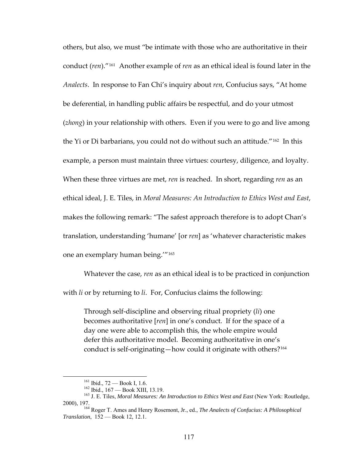others, but also, we must "be intimate with those who are authoritative in their conduct (*ren*)."[161](#page-123-0) Another example of *ren* as an ethical ideal is found later in the *Analects*. In response to Fan Chi's inquiry about *ren*, Confucius says, "At home be deferential, in handling public affairs be respectful, and do your utmost (*zhong*) in your relationship with others. Even if you were to go and live among the Yi or Di barbarians, you could not do without such an attitude."[162](#page-123-1) In this example, a person must maintain three virtues: courtesy, diligence, and loyalty. When these three virtues are met, *ren* is reached. In short, regarding *ren* as an ethical ideal, J. E. Tiles, in *Moral Measures: An Introduction to Ethics West and East*, makes the following remark: "The safest approach therefore is to adopt Chan's translation, understanding 'humane' [or *ren*] as 'whatever characteristic makes one an exemplary human being.'"[163](#page-123-2)

Whatever the case, *ren* as an ethical ideal is to be practiced in conjunction with *li* or by returning to *li*. For, Confucius claims the following:

Through self‐discipline and observing ritual propriety (*li*) one becomes authoritative [*ren*] in one's conduct. If for the space of a day one were able to accomplish this, the whole empire would defer this authoritative model. Becoming authoritative in one's conduct is self-originating-how could it originate with others?<sup>[164](#page-123-3)</sup>

<span id="page-123-2"></span><span id="page-123-1"></span><span id="page-123-0"></span><sup>&</sup>lt;sup>161</sup> Ibid., 72 — Book I, 1.6.<br><sup>162</sup> Ibid., 167 — Book XIII, 13.19.<br><sup>163</sup> J. E. Tiles, *Moral Measures: An Introduction to Ethics West and East* (New York: Routledge, 2000), 197. 164 Roger T. Ames and Henry Rosemont, Jr., ed., *The Analects of Confucius: A Philosophical* 

<span id="page-123-3"></span>*Translation*, 152 — Book 12, 12.1.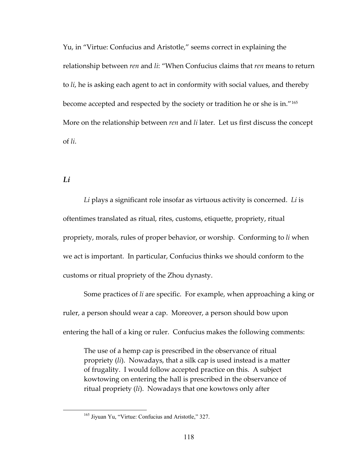Yu, in "Virtue: Confucius and Aristotle," seems correct in explaining the relationship between *ren* and *li*: "When Confucius claims that *ren* means to return to *li*, he is asking each agent to act in conformity with social values, and thereby become accepted and respected by the society or tradition he or she is in."[165](#page-124-0) More on the relationship between *ren* and *li* later. Let us first discuss the concept of *li*.

*Li*

*Li* plays a significant role insofar as virtuous activity is concerned. *Li* is oftentimes translated as ritual, rites, customs, etiquette, propriety, ritual propriety, morals, rules of proper behavior, or worship. Conforming to *li* when we act is important. In particular, Confucius thinks we should conform to the customs or ritual propriety of the Zhou dynasty.

Some practices of *li* are specific. For example, when approaching a king or ruler, a person should wear a cap. Moreover, a person should bow upon entering the hall of a king or ruler. Confucius makes the following comments:

The use of a hemp cap is prescribed in the observance of ritual propriety (*li*). Nowadays, that a silk cap is used instead is a matter of frugality. I would follow accepted practice on this. A subject kowtowing on entering the hall is prescribed in the observance of ritual propriety (*li*). Nowadays that one kowtows only after

<span id="page-124-0"></span><sup>&</sup>lt;sup>165</sup> Jiyuan Yu, "Virtue: Confucius and Aristotle," 327.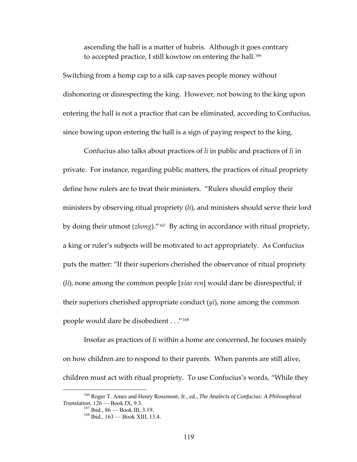ascending the hall is a matter of hubris. Although it goes contrary to accepted practice, I still kowtow on entering the hall.<sup>[166](#page-125-0)</sup>

Switching from a hemp cap to a silk cap saves people money without dishonoring or disrespecting the king. However, not bowing to the king upon entering the hall is not a practice that can be eliminated, according to Confucius, since bowing upon entering the hall is a sign of paying respect to the king.

Confucius also talks about practices of *li* in public and practices of *li* in private. For instance, regarding public matters, the practices of ritual propriety define how rulers are to treat their ministers. "Rulers should employ their ministers by observing ritual propriety (*li*), and ministers should serve their lord by doing their utmost (*zhong*)."[167](#page-125-1) By acting in accordance with ritual propriety, a king or ruler's subjects will be motivated to act appropriately. As Confucius puts the matter: "If their superiors cherished the observance of ritual propriety (*li*), none among the common people [*xiao ren*] would dare be disrespectful; if their superiors cherished appropriate conduct (*yi*), none among the common people would dare be disobedient . . ."[168](#page-125-2)

Insofar as practices of *li* within a home are concerned, he focuses mainly on how children are to respond to their parents. When parents are still alive, children must act with ritual propriety. To use Confucius's words, "While they

<span id="page-125-2"></span><span id="page-125-1"></span><span id="page-125-0"></span><sup>&</sup>lt;sup>166</sup> Roger T. Ames and Henry Rosemont, Jr., ed., *The Analects of Confucius: A Philosophical Translation*, 126 — Book IX, 9.3.

<sup>&</sup>lt;sup>167</sup> Ibid., 86 — Book III, 3.19.<br><sup>168</sup> Ibid., 163 — Book XIII, 13.4.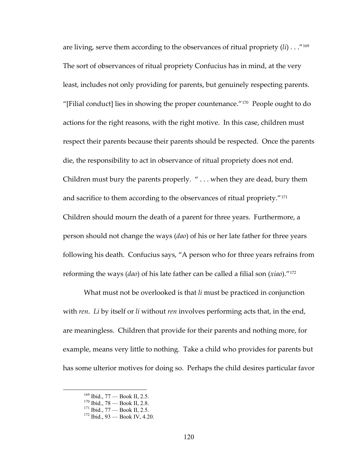are living, serve them according to the observances of ritual propriety (*li*) . . ."[169](#page-126-0) The sort of observances of ritual propriety Confucius has in mind, at the very least, includes not only providing for parents, but genuinely respecting parents. "[Filial conduct] lies in showing the proper countenance."[170](#page-126-1) People ought to do actions for the right reasons, with the right motive. In this case, children must respect their parents because their parents should be respected. Once the parents die, the responsibility to act in observance of ritual propriety does not end. Children must bury the parents properly. " . . . when they are dead, bury them and sacrifice to them according to the observances of ritual propriety."<sup>[171](#page-126-2)</sup> Children should mourn the death of a parent for three years. Furthermore, a person should not change the ways (*dao*) of his or her late father for three years following his death. Confucius says, "A person who for three years refrains from reforming the ways (*dao*) of his late father can be called a filial son (*xiao*)."[172](#page-126-3)

What must not be overlooked is that *li* must be practiced in conjunction with *ren*. *Li* by itself or *li* without *ren* involves performing acts that, in the end, are meaningless. Children that provide for their parents and nothing more, for example, means very little to nothing. Take a child who provides for parents but has some ulterior motives for doing so. Perhaps the child desires particular favor

<span id="page-126-1"></span><span id="page-126-0"></span><sup>&</sup>lt;sup>169</sup> Ibid., 77 — Book II, 2.5.<br><sup>170</sup> Ibid., 78 — Book II, 2.8.<br><sup>171</sup> Ibid., 77 — Book II, 2.5. <sup>172</sup> Ibid., 93 — Book IV, 4.20.

<span id="page-126-2"></span>

<span id="page-126-3"></span>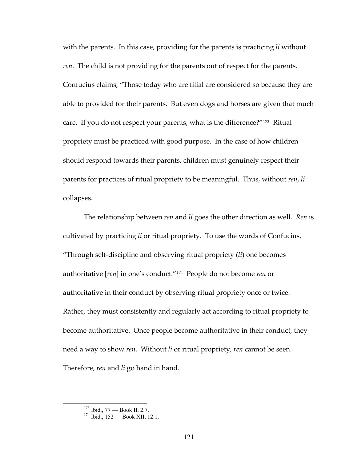with the parents. In this case, providing for the parents is practicing *li* without *ren*. The child is not providing for the parents out of respect for the parents. Confucius claims, "Those today who are filial are considered so because they are able to provided for their parents. But even dogs and horses are given that much care. If you do not respect your parents, what is the difference?"<sup>[173](#page-127-0)</sup> Ritual propriety must be practiced with good purpose. In the case of how children should respond towards their parents, children must genuinely respect their parents for practices of ritual propriety to be meaningful. Thus, without *ren*, *li* collapses.

The relationship between *ren* and *li* goes the other direction as well. *Ren* is cultivated by practicing *li* or ritual propriety. To use the words of Confucius, "Through self‐discipline and observing ritual propriety (*li*) one becomes authoritative [*ren*] in one's conduct."[174](#page-127-1) People do not become *ren* or authoritative in their conduct by observing ritual propriety once or twice. Rather, they must consistently and regularly act according to ritual propriety to become authoritative. Once people become authoritative in their conduct, they need a way to show *ren*. Without *li* or ritual propriety, *ren* cannot be seen. Therefore, *ren* and *li* go hand in hand.

<span id="page-127-1"></span><span id="page-127-0"></span> <sup>173</sup> Ibid., 77 — Book II, 2.7. 174 Ibid., 152 — Book XII, 12.1.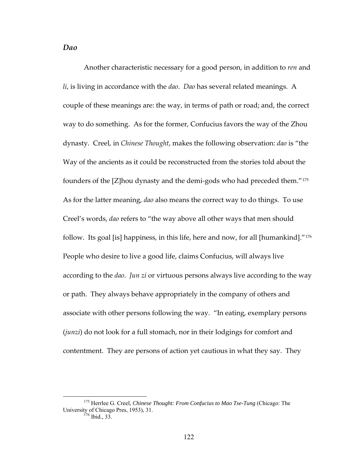## *Dao*

Another characteristic necessary for a good person, in addition to *ren* and *li*, is living in accordance with the *dao*. *Dao* has several related meanings. A couple of these meanings are: the way, in terms of path or road; and, the correct way to do something. As for the former, Confucius favors the way of the Zhou dynasty. Creel, in *Chinese Thought*, makes the following observation: *dao* is "the Way of the ancients as it could be reconstructed from the stories told about the founders of the [Z]hou dynasty and the demi‐gods who had preceded them."[175](#page-128-0) As for the latter meaning, *dao* also means the correct way to do things. To use Creel's words, *dao* refers to "the way above all other ways that men should follow. Its goal [is] happiness, in this life, here and now, for all [humankind]."[176](#page-128-1) People who desire to live a good life, claims Confucius, will always live according to the *dao*. *Jun zi* or virtuous persons always live according to the way or path. They always behave appropriately in the company of others and associate with other persons following the way. "In eating, exemplary persons (*junzi*) do not look for a full stomach, nor in their lodgings for comfort and contentment. They are persons of action yet cautious in what they say. They

<span id="page-128-1"></span><span id="page-128-0"></span> <sup>175</sup> Herrlee G. Creel, *Chinese Thought: From Confucius to Mao Tse-Tung* (Chicago: The University of Chicago Pres, 1953), 31.<br><sup>176</sup> Ibid., 33.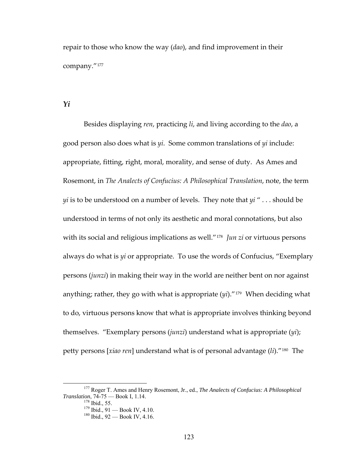repair to those who know the way (*dao*), and find improvement in their company."[177](#page-129-0)

#### *Yi*

Besides displaying *ren*, practicing *li*, and living according to the *dao*, a good person also does what is *yi*. Some common translations of *yi* include: appropriate, fitting, right, moral, morality, and sense of duty. As Ames and Rosemont, in *The Analects of Confucius: A Philosophical Translation*, note, the term *yi* is to be understood on a number of levels. They note that *yi* " . . . should be understood in terms of not only its aesthetic and moral connotations, but also with its social and religious implications as well."[178](#page-129-1) *Jun zi* or virtuous persons always do what is *yi* or appropriate. To use the words of Confucius, "Exemplary persons (*junzi*) in making their way in the world are neither bent on nor against anything; rather, they go with what is appropriate (*yi*)."[179](#page-129-2) When deciding what to do, virtuous persons know that what is appropriate involves thinking beyond themselves. "Exemplary persons (*junzi*) understand what is appropriate (*yi*); petty persons [*xiao ren*] understand what is of personal advantage (*li*)."[180](#page-129-3) The

<span id="page-129-3"></span><span id="page-129-2"></span><span id="page-129-1"></span><span id="page-129-0"></span> <sup>177</sup> Roger T. Ames and Henry Rosemont, Jr., ed., *The Analects of Confucius: A Philosophical Translation*, 74-75 — Book I, 1.14.<br><sup>178</sup> Ibid., 55.<br><sup>179</sup> Ibid., 91 — Book IV, 4.10.<br><sup>180</sup> Ibid., 92 — Book IV, 4.16.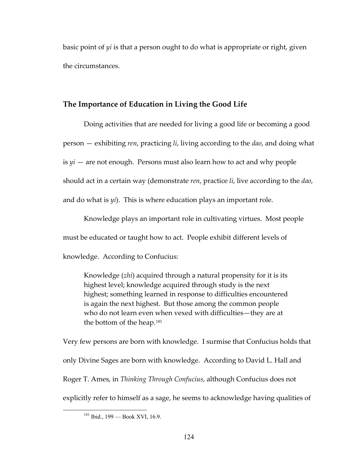basic point of *yi* is that a person ought to do what is appropriate or right, given the circumstances.

# **The Importance of Education in Living the Good Life**

Doing activities that are needed for living a good life or becoming a good person — exhibiting *ren*, practicing *li*, living according to the *dao*, and doing what is  $yi$  — are not enough. Persons must also learn how to act and why people should act in a certain way (demonstrate *ren*, practice *li*, live according to the *dao*, and do what is *yi*). This is where education plays an important role.

Knowledge plays an important role in cultivating virtues. Most people must be educated or taught how to act. People exhibit different levels of knowledge. According to Confucius:

Knowledge (*zhi*) acquired through a natural propensity for it is its highest level; knowledge acquired through study is the next highest; something learned in response to difficulties encountered is again the next highest. But those among the common people who do not learn even when vexed with difficulties—they are at the bottom of the heap.<sup>[181](#page-130-0)</sup>

Very few persons are born with knowledge. I surmise that Confucius holds that only Divine Sages are born with knowledge. According to David L. Hall and Roger T. Ames, in *Thinking Through Confucius*, although Confucius does not explicitly refer to himself as a sage, he seems to acknowledge having qualities of

<span id="page-130-0"></span> $181$  Ibid.,  $199$  — Book XVI, 16.9.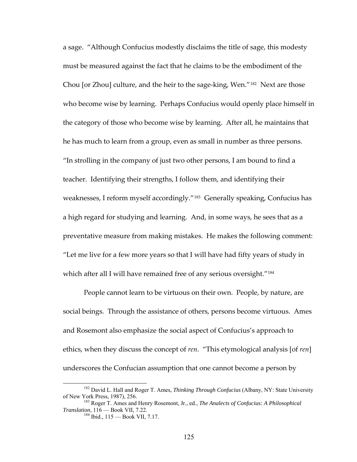a sage. "Although Confucius modestly disclaims the title of sage, this modesty must be measured against the fact that he claims to be the embodiment of the Chou [or Zhou] culture, and the heir to the sage‐king, Wen."[182](#page-131-0) Next are those who become wise by learning. Perhaps Confucius would openly place himself in the category of those who become wise by learning. After all, he maintains that he has much to learn from a group, even as small in number as three persons. "In strolling in the company of just two other persons, I am bound to find a teacher. Identifying their strengths, I follow them, and identifying their weaknesses, I reform myself accordingly."<sup>[183](#page-131-1)</sup> Generally speaking, Confucius has a high regard for studying and learning. And, in some ways, he sees that as a preventative measure from making mistakes. He makes the following comment: "Let me live for a few more years so that I will have had fifty years of study in which after all I will have remained free of any serious oversight."<sup>[184](#page-131-2)</sup>

People cannot learn to be virtuous on their own. People, by nature, are social beings. Through the assistance of others, persons become virtuous. Ames and Rosemont also emphasize the social aspect of Confucius's approach to ethics, when they discuss the concept of *ren*. "This etymological analysis [of *ren*] underscores the Confucian assumption that one cannot become a person by

<span id="page-131-0"></span> <sup>182</sup> David L. Hall and Roger T. Ames, *Thinking Through Confucius* (Albany, NY: State University of New York Press, 1987), 256.<br><sup>183</sup> Roger T. Ames and Henry Rosemont, Jr., ed., *The Analects of Confucius: A Philosophical* 

<span id="page-131-2"></span><span id="page-131-1"></span>*Translation*, 116 — Book VII, 7.22.<br><sup>184</sup> Ibid., 115 — Book VII, 7.17.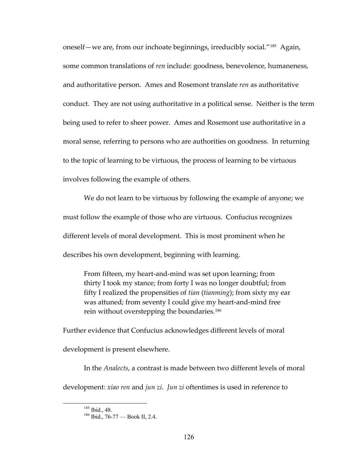oneself—we are, from our inchoate beginnings, irreducibly social."[185](#page-132-0) Again, some common translations of *ren* include: goodness, benevolence, humaneness, and authoritative person. Ames and Rosemont translate *ren* as authoritative conduct. They are not using authoritative in a political sense. Neither is the term being used to refer to sheer power. Ames and Rosemont use authoritative in a moral sense, referring to persons who are authorities on goodness. In returning to the topic of learning to be virtuous, the process of learning to be virtuous involves following the example of others.

We do not learn to be virtuous by following the example of anyone; we must follow the example of those who are virtuous. Confucius recognizes different levels of moral development. This is most prominent when he describes his own development, beginning with learning.

From fifteen, my heart‐and‐mind was set upon learning; from thirty I took my stance; from forty I was no longer doubtful; from fifty I realized the propensities of *tian* (*tianming*); from sixty my ear was attuned; from seventy I could give my heart-and-mind free rein without overstepping the boundaries.<sup>[186](#page-132-1)</sup>

Further evidence that Confucius acknowledges different levels of moral development is present elsewhere.

<span id="page-132-1"></span><span id="page-132-0"></span>In the *Analects*, a contrast is made between two different levels of moral development: *xiao ren* and *jun zi*. *Jun zi* oftentimes is used in reference to

 $\frac{185}{186}$  Ibid., 48.<br> $\frac{186}{186}$  Ibid., 76-77 — Book II, 2.4.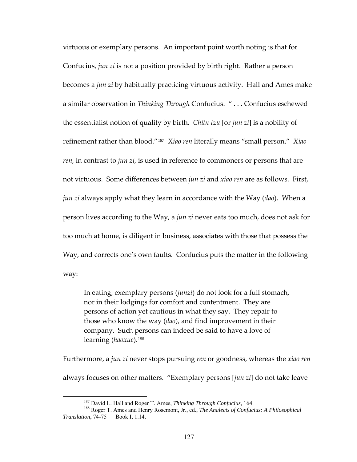virtuous or exemplary persons. An important point worth noting is that for Confucius, *jun zi* is not a position provided by birth right. Rather a person becomes a *jun zi* by habitually practicing virtuous activity. Hall and Ames make a similar observation in *Thinking Through* Confucius. " . . . Confucius eschewed the essentialist notion of quality by birth. *Chün tzu* [or *jun zi*] is a nobility of refinement rather than blood."[187](#page-133-0) *Xiao ren* literally means "small person." *Xiao ren*, in contrast to *jun zi*, is used in reference to commoners or persons that are not virtuous. Some differences between *jun zi* and *xiao ren* are as follows. First, *jun zi* always apply what they learn in accordance with the Way (*dao*). When a person lives according to the Way, a *jun zi* never eats too much, does not ask for too much at home, is diligent in business, associates with those that possess the Way, and corrects one's own faults. Confucius puts the matter in the following way:

In eating, exemplary persons (*junzi*) do not look for a full stomach, nor in their lodgings for comfort and contentment. They are persons of action yet cautious in what they say. They repair to those who know the way (*dao*), and find improvement in their company. Such persons can indeed be said to have a love of learning (*haoxue*).[188](#page-133-1)

Furthermore, a *jun zi* never stops pursuing *ren* or goodness, whereas the *xiao ren* always focuses on other matters. "Exemplary persons [*jun zi*] do not take leave

<span id="page-133-1"></span><span id="page-133-0"></span><sup>&</sup>lt;sup>187</sup> David L. Hall and Roger T. Ames, *Thinking Through Confucius*, 164.<br><sup>188</sup> Roger T. Ames and Henry Rosemont, Jr., ed., *The Analects of Confucius: A Philosophical Translation*, 74-75 — Book I, 1.14.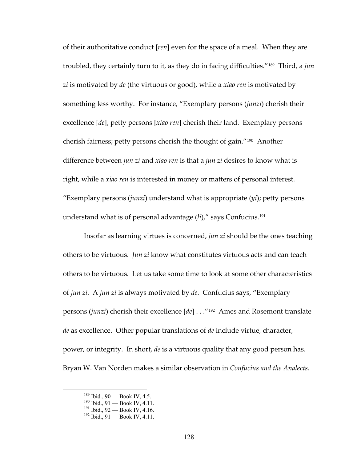of their authoritative conduct [*ren*] even for the space of a meal. When they are troubled, they certainly turn to it, as they do in facing difficulties."[189](#page-134-0) Third, a *jun zi* is motivated by *de* (the virtuous or good), while a *xiao ren* is motivated by something less worthy. For instance, "Exemplary persons (*junzi*) cherish their excellence [*de*]; petty persons [*xiao ren*] cherish their land. Exemplary persons cherish fairness; petty persons cherish the thought of gain."[190](#page-134-1) Another difference between *jun zi* and *xiao ren* is that a *jun zi* desires to know what is right, while a *xiao ren* is interested in money or matters of personal interest. "Exemplary persons (*junzi*) understand what is appropriate (*yi*); petty persons understand what is of personal advantage (*li*)," says Confucius.[191](#page-134-2)

Insofar as learning virtues is concerned, *jun zi* should be the ones teaching others to be virtuous. *Jun zi* know what constitutes virtuous acts and can teach others to be virtuous. Let us take some time to look at some other characteristics of *jun zi*. A *jun zi* is always motivated by *de*. Confucius says, "Exemplary persons (*junzi*) cherish their excellence [*de*] . . ."[192](#page-134-3) Ames and Rosemont translate *de* as excellence. Other popular translations of *de* include virtue, character, power, or integrity. In short, *de* is a virtuous quality that any good person has. Bryan W. Van Norden makes a similar observation in *Confucius and the Analects*.

<span id="page-134-2"></span><span id="page-134-1"></span><span id="page-134-0"></span><sup>&</sup>lt;sup>189</sup> Ibid., 90 — Book IV, 4.5.<br><sup>190</sup> Ibid., 91 — Book IV, 4.11.<br><sup>191</sup> Ibid., 92 — Book IV, 4.16.<br><sup>192</sup> Ibid., 91 — Book IV, 4.11.

<span id="page-134-3"></span>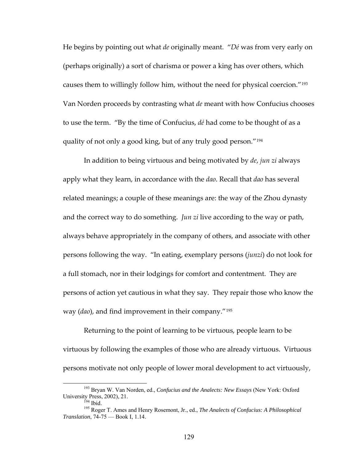He begins by pointing out what *de* originally meant. "*Dé* was from very early on (perhaps originally) a sort of charisma or power a king has over others, which causes them to willingly follow him, without the need for physical coercion."[193](#page-135-0) Van Norden proceeds by contrasting what *de* meant with how Confucius chooses to use the term. "By the time of Confucius, *dé* had come to be thought of as a quality of not only a good king, but of any truly good person."[194](#page-135-1)

In addition to being virtuous and being motivated by *de*, *jun zi* always apply what they learn, in accordance with the *dao*. Recall that *dao* has several related meanings; a couple of these meanings are: the way of the Zhou dynasty and the correct way to do something. *Jun zi* live according to the way or path, always behave appropriately in the company of others, and associate with other persons following the way. "In eating, exemplary persons (*junzi*) do not look for a full stomach, nor in their lodgings for comfort and contentment. They are persons of action yet cautious in what they say. They repair those who know the way (*dao*), and find improvement in their company."[195](#page-135-2)

Returning to the point of learning to be virtuous, people learn to be virtuous by following the examples of those who are already virtuous. Virtuous persons motivate not only people of lower moral development to act virtuously,

<span id="page-135-0"></span><sup>&</sup>lt;sup>193</sup> Bryan W. Van Norden, ed., *Confucius and the Analects: New Essays* (New York: Oxford University Press, 2002), 21.

<span id="page-135-2"></span><span id="page-135-1"></span><sup>&</sup>lt;sup>194</sup> Ibid. <sup>201</sup><br><sup>195</sup> Roger T. Ames and Henry Rosemont, Jr., ed., *The Analects of Confucius: A Philosophical Translation*, 74-75 — Book I, 1.14.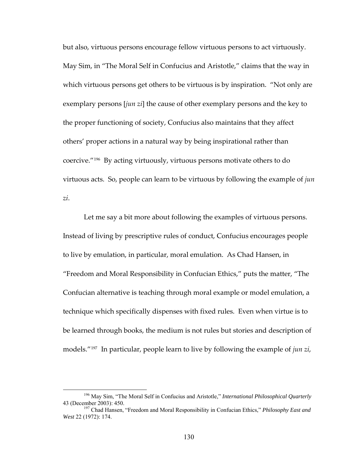but also, virtuous persons encourage fellow virtuous persons to act virtuously. May Sim, in "The Moral Self in Confucius and Aristotle," claims that the way in which virtuous persons get others to be virtuous is by inspiration. "Not only are exemplary persons [*jun zi*] the cause of other exemplary persons and the key to the proper functioning of society, Confucius also maintains that they affect others' proper actions in a natural way by being inspirational rather than coercive."[196](#page-136-0) By acting virtuously, virtuous persons motivate others to do virtuous acts. So, people can learn to be virtuous by following the example of *jun zi*.

Let me say a bit more about following the examples of virtuous persons. Instead of living by prescriptive rules of conduct, Confucius encourages people to live by emulation, in particular, moral emulation. As Chad Hansen, in "Freedom and Moral Responsibility in Confucian Ethics," puts the matter, "The Confucian alternative is teaching through moral example or model emulation, a technique which specifically dispenses with fixed rules. Even when virtue is to be learned through books, the medium is not rules but stories and description of models."[197](#page-136-1) In particular, people learn to live by following the example of *jun zi*,

<span id="page-136-0"></span><sup>&</sup>lt;sup>196</sup> May Sim, "The Moral Self in Confucius and Aristotle," *International Philosophical Quarterly* 43 (December 2003): 450.

<span id="page-136-1"></span><sup>&</sup>lt;sup>197</sup> Chad Hansen, "Freedom and Moral Responsibility in Confucian Ethics," *Philosophy East and West* 22 (1972): 174.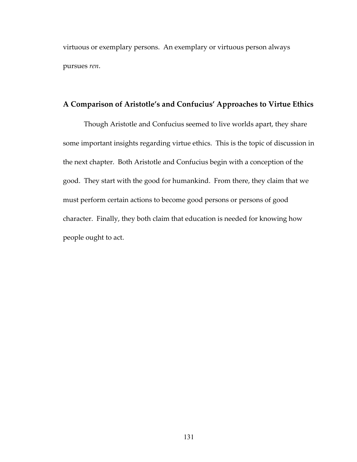virtuous or exemplary persons. An exemplary or virtuous person always pursues *ren*.

# **A Comparison of Aristotle's and Confucius' Approaches to Virtue Ethics**

Though Aristotle and Confucius seemed to live worlds apart, they share some important insights regarding virtue ethics. This is the topic of discussion in the next chapter. Both Aristotle and Confucius begin with a conception of the good. They start with the good for humankind. From there, they claim that we must perform certain actions to become good persons or persons of good character. Finally, they both claim that education is needed for knowing how people ought to act.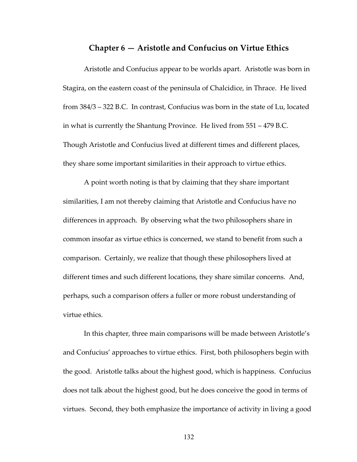# **Chapter 6 — Aristotle and Confucius on Virtue Ethics**

Aristotle and Confucius appear to be worlds apart. Aristotle was born in Stagira, on the eastern coast of the peninsula of Chalcidice, in Thrace. He lived from 384/3 – 322 B.C. In contrast, Confucius was born in the state of Lu, located in what is currently the Shantung Province. He lived from 551 – 479 B.C. Though Aristotle and Confucius lived at different times and different places, they share some important similarities in their approach to virtue ethics.

A point worth noting is that by claiming that they share important similarities, I am not thereby claiming that Aristotle and Confucius have no differences in approach. By observing what the two philosophers share in common insofar as virtue ethics is concerned, we stand to benefit from such a comparison. Certainly, we realize that though these philosophers lived at different times and such different locations, they share similar concerns. And, perhaps, such a comparison offers a fuller or more robust understanding of virtue ethics.

In this chapter, three main comparisons will be made between Aristotle's and Confucius' approaches to virtue ethics. First, both philosophers begin with the good. Aristotle talks about the highest good, which is happiness. Confucius does not talk about the highest good, but he does conceive the good in terms of virtues. Second, they both emphasize the importance of activity in living a good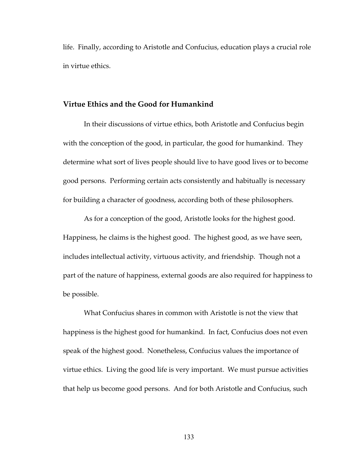life. Finally, according to Aristotle and Confucius, education plays a crucial role in virtue ethics.

### **Virtue Ethics and the Good for Humankind**

In their discussions of virtue ethics, both Aristotle and Confucius begin with the conception of the good, in particular, the good for humankind. They determine what sort of lives people should live to have good lives or to become good persons. Performing certain acts consistently and habitually is necessary for building a character of goodness, according both of these philosophers.

As for a conception of the good, Aristotle looks for the highest good. Happiness, he claims is the highest good. The highest good, as we have seen, includes intellectual activity, virtuous activity, and friendship. Though not a part of the nature of happiness, external goods are also required for happiness to be possible.

What Confucius shares in common with Aristotle is not the view that happiness is the highest good for humankind. In fact, Confucius does not even speak of the highest good. Nonetheless, Confucius values the importance of virtue ethics. Living the good life is very important. We must pursue activities that help us become good persons. And for both Aristotle and Confucius, such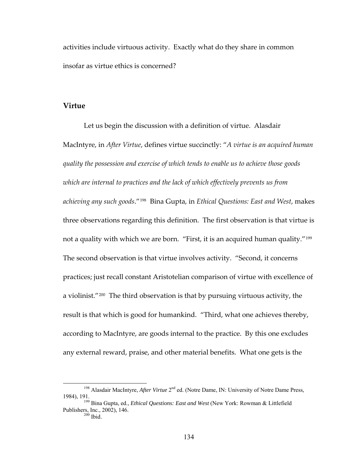activities include virtuous activity. Exactly what do they share in common insofar as virtue ethics is concerned?

## **Virtue**

Let us begin the discussion with a definition of virtue. Alasdair MacIntyre, in *After Virtue*, defines virtue succinctly: "*A virtue is an acquired human quality the possession and exercise of which tends to enable us to achieve those goods which are internal to practices and the lack of which effectively prevents us from achieving any such goods*."[198](#page-140-0) Bina Gupta, in *Ethical Questions: East and West*, makes three observations regarding this definition. The first observation is that virtue is not a quality with which we are born. "First, it is an acquired human quality."[199](#page-140-1) The second observation is that virtue involves activity. "Second, it concerns practices; just recall constant Aristotelian comparison of virtue with excellence of a violinist."[200](#page-140-2) The third observation is that by pursuing virtuous activity, the result is that which is good for humankind. "Third, what one achieves thereby, according to MacIntyre, are goods internal to the practice. By this one excludes any external reward, praise, and other material benefits. What one gets is the

<sup>&</sup>lt;sup>198</sup> Alasdair MacIntyre, *After Virtue* 2<sup>nd</sup> ed. (Notre Dame, IN: University of Notre Dame Press,

<span id="page-140-2"></span><span id="page-140-1"></span><span id="page-140-0"></span><sup>1984), 191. 199</sup> Bina Gupta, ed., *Ethical Questions: East and West* (New York: Rowman & Littlefield Publishers, Inc., 2002), 146.<br><sup>200</sup> Ibid.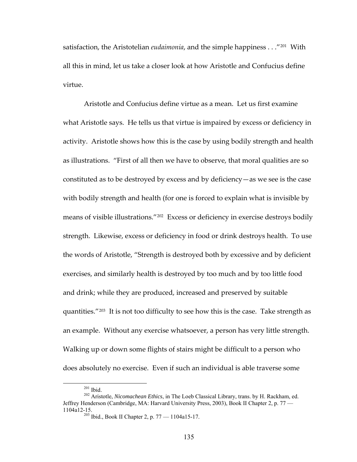satisfaction, the Aristotelian *eudaimonia*, and the simple happiness . . ."[201](#page-141-0) With all this in mind, let us take a closer look at how Aristotle and Confucius define virtue.

Aristotle and Confucius define virtue as a mean. Let us first examine what Aristotle says. He tells us that virtue is impaired by excess or deficiency in activity. Aristotle shows how this is the case by using bodily strength and health as illustrations. "First of all then we have to observe, that moral qualities are so constituted as to be destroyed by excess and by deficiency—as we see is the case with bodily strength and health (for one is forced to explain what is invisible by means of visible illustrations."[202](#page-141-1) Excess or deficiency in exercise destroys bodily strength. Likewise, excess or deficiency in food or drink destroys health. To use the words of Aristotle, "Strength is destroyed both by excessive and by deficient exercises, and similarly health is destroyed by too much and by too little food and drink; while they are produced, increased and preserved by suitable quantities."[203](#page-141-2) It is not too difficulty to see how this is the case. Take strength as an example. Without any exercise whatsoever, a person has very little strength. Walking up or down some flights of stairs might be difficult to a person who does absolutely no exercise. Even if such an individual is able traverse some

<span id="page-141-2"></span><span id="page-141-1"></span><span id="page-141-0"></span> <sup>201</sup> Ibid. 202 Aristotle, *Nicomachean Ethics*, in The Loeb Classical Library, trans. by H. Rackham, ed. Jeffrey Henderson (Cambridge, MA: Harvard University Press, 2003), Book II Chapter 2, p. 77 — 1104a12-15. 203 Ibid., Book II Chapter 2, p. 77 — 1104a15-17.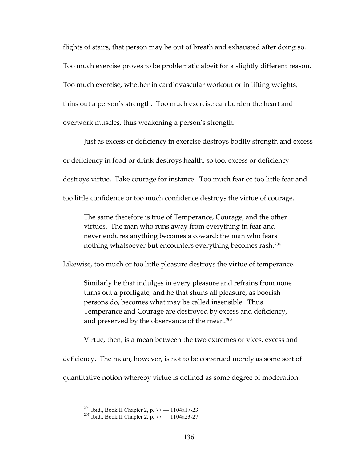flights of stairs, that person may be out of breath and exhausted after doing so. Too much exercise proves to be problematic albeit for a slightly different reason. Too much exercise, whether in cardiovascular workout or in lifting weights, thins out a person's strength. Too much exercise can burden the heart and overwork muscles, thus weakening a person's strength.

Just as excess or deficiency in exercise destroys bodily strength and excess or deficiency in food or drink destroys health, so too, excess or deficiency destroys virtue. Take courage for instance. Too much fear or too little fear and too little confidence or too much confidence destroys the virtue of courage.

The same therefore is true of Temperance, Courage, and the other virtues. The man who runs away from everything in fear and never endures anything becomes a coward; the man who fears nothing whatsoever but encounters everything becomes rash.[204](#page-142-0)

Likewise, too much or too little pleasure destroys the virtue of temperance.

Similarly he that indulges in every pleasure and refrains from none turns out a profligate, and he that shuns all pleasure, as boorish persons do, becomes what may be called insensible. Thus Temperance and Courage are destroyed by excess and deficiency, and preserved by the observance of the mean.<sup>[205](#page-142-1)</sup>

Virtue, then, is a mean between the two extremes or vices, excess and

deficiency. The mean, however, is not to be construed merely as some sort of

<span id="page-142-1"></span><span id="page-142-0"></span>quantitative notion whereby virtue is defined as some degree of moderation.

<sup>&</sup>lt;sup>204</sup> Ibid., Book II Chapter 2, p. 77 — 1104a17-23.<br><sup>205</sup> Ibid., Book II Chapter 2, p. 77 — 1104a23-27.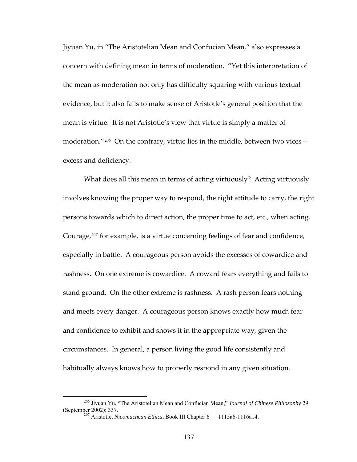Jiyuan Yu, in "The Aristotelian Mean and Confucian Mean," also expresses a concern with defining mean in terms of moderation. "Yet this interpretation of the mean as moderation not only has difficulty squaring with various textual evidence, but it also fails to make sense of Aristotle's general position that the mean is virtue. It is not Aristotle's view that virtue is simply a matter of moderation."<sup>[206](#page-143-0)</sup> On the contrary, virtue lies in the middle, between two vices – excess and deficiency.

What does all this mean in terms of acting virtuously? Acting virtuously involves knowing the proper way to respond, the right attitude to carry, the right persons towards which to direct action, the proper time to act, etc., when acting. Courage,<sup>[207](#page-143-1)</sup> for example, is a virtue concerning feelings of fear and confidence, especially in battle. A courageous person avoids the excesses of cowardice and rashness. On one extreme is cowardice. A coward fears everything and fails to stand ground. On the other extreme is rashness. A rash person fears nothing and meets every danger. A courageous person knows exactly how much fear and confidence to exhibit and shows it in the appropriate way, given the circumstances. In general, a person living the good life consistently and habitually always knows how to properly respond in any given situation.

<span id="page-143-1"></span><span id="page-143-0"></span> <sup>206</sup> Jiyuan Yu, "The Aristotelian Mean and Confucian Mean," *Journal of Chinese Philosophy*<sup>29</sup> (September 2002): 337. 207 Aristotle, *Nicomachean Ethics*, Book III Chapter 6 — 1115a6-1116a14.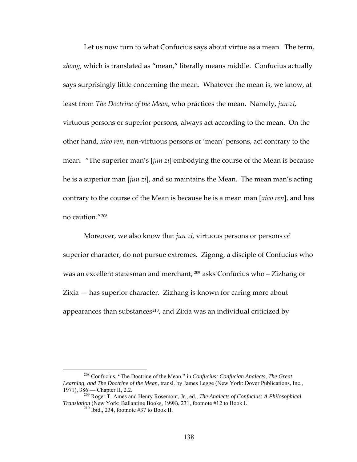Let us now turn to what Confucius says about virtue as a mean. The term, *zhong*, which is translated as "mean," literally means middle. Confucius actually says surprisingly little concerning the mean. Whatever the mean is, we know, at least from *The Doctrine of the Mean*, who practices the mean. Namely, *jun zi*, virtuous persons or superior persons, always act according to the mean. On the other hand, *xiao ren*, non‐virtuous persons or 'mean' persons, act contrary to the mean. "The superior man's [*jun zi*] embodying the course of the Mean is because he is a superior man [*jun zi*], and so maintains the Mean. The mean man's acting contrary to the course of the Mean is because he is a mean man [*xiao ren*], and has no caution."[208](#page-144-0)

Moreover, we also know that *jun zi*, virtuous persons or persons of superior character, do not pursue extremes. Zigong, a disciple of Confucius who was an excellent statesman and merchant, <sup>[209](#page-144-1)</sup> asks Confucius who – Zizhang or Zixia — has superior character. Zizhang is known for caring more about appearances than substances<sup>[210](#page-144-2)</sup>, and Zixia was an individual criticized by

<span id="page-144-0"></span> <sup>208</sup> Confucius, "The Doctrine of the Mean," in *Confucius: Confucian Analects, The Great Learning, and The Doctrine of the Mean*, transl. by James Legge (New York: Dover Publications, Inc., 1971), 386 — Chapter II, 2.2. 209 Roger T. Ames and Henry Rosemont, Jr., ed., *The Analects of Confucius: A Philosophical* 

<span id="page-144-2"></span><span id="page-144-1"></span>*Translation* (New York: Ballantine Books, 1998), 231, footnote #12 to Book I. <sup>210</sup> Ibid., 234, footnote #37 to Book II.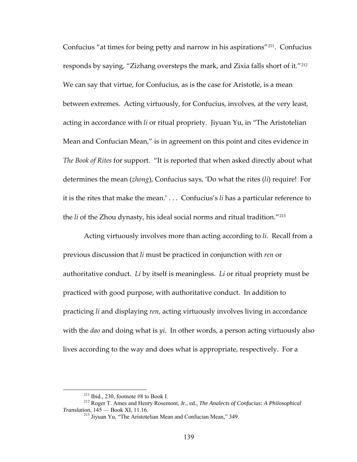Confucius "at times for being petty and narrow in his aspirations"[211](#page-145-0). Confucius responds by saying, "Zizhang oversteps the mark, and Zixia falls short of it."[212](#page-145-1) We can say that virtue, for Confucius, as is the case for Aristotle, is a mean between extremes. Acting virtuously, for Confucius, involves, at the very least, acting in accordance with *li* or ritual propriety. Jiyuan Yu, in "The Aristotelian Mean and Confucian Mean," is in agreement on this point and cites evidence in *The Book of Rites* for support. "It is reported that when asked directly about what determines the mean (*zhong*), Confucius says, 'Do what the rites (*li*) require! For it is the rites that make the mean.' . . . Confucius's *li* has a particular reference to the *li* of the Zhou dynasty, his ideal social norms and ritual tradition."[213](#page-145-2)

Acting virtuously involves more than acting according to *li*. Recall from a previous discussion that *li* must be practiced in conjunction with *ren* or authoritative conduct. *Li* by itself is meaningless. *Li* or ritual propriety must be practiced with good purpose, with authoritative conduct. In addition to practicing *li* and displaying *ren*, acting virtuously involves living in accordance with the *dao* and doing what is *yi*. In other words, a person acting virtuously also lives according to the way and does what is appropriate, respectively. For a

<span id="page-145-2"></span><span id="page-145-1"></span><span id="page-145-0"></span> <sup>211</sup> Ibid., 230, footnote #8 to Book I. 212 Roger T. Ames and Henry Rosemont, Jr., ed., *The Analects of Confucius: A Philosophical Translation*, 145 — Book XI, 11.16.<br><sup>213</sup> Jiyuan Yu, "The Aristotelian Mean and Confucian Mean," 349.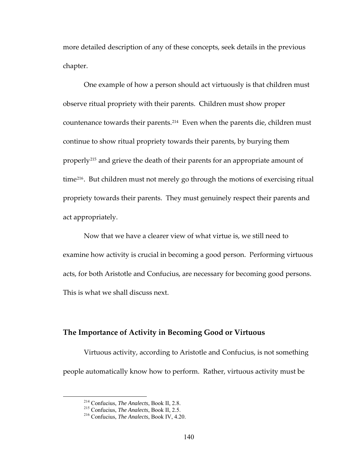more detailed description of any of these concepts, seek details in the previous chapter.

One example of how a person should act virtuously is that children must observe ritual propriety with their parents. Children must show proper countenance towards their parents.[214](#page-146-0) Even when the parents die, children must continue to show ritual propriety towards their parents, by burying them properly[215](#page-146-1) and grieve the death of their parents for an appropriate amount of time<sup>[216](#page-146-2)</sup>. But children must not merely go through the motions of exercising ritual propriety towards their parents. They must genuinely respect their parents and act appropriately.

Now that we have a clearer view of what virtue is, we still need to examine how activity is crucial in becoming a good person. Performing virtuous acts, for both Aristotle and Confucius, are necessary for becoming good persons. This is what we shall discuss next.

#### **The Importance of Activity in Becoming Good or Virtuous**

<span id="page-146-0"></span>Virtuous activity, according to Aristotle and Confucius, is not something people automatically know how to perform. Rather, virtuous activity must be

<span id="page-146-2"></span><span id="page-146-1"></span> <sup>214</sup> Confucius, *The Analects*, Book II, 2.8. 215 Confucius, *The Analects*, Book II, 2.5. 216 Confucius, *The Analects*, Book IV, 4.20.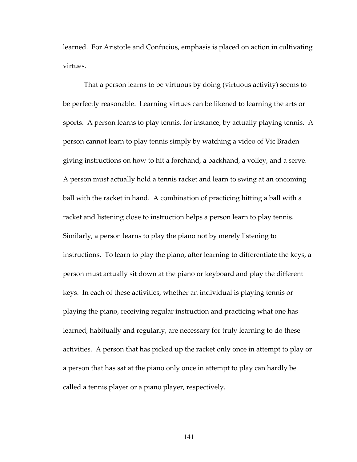learned. For Aristotle and Confucius, emphasis is placed on action in cultivating virtues.

That a person learns to be virtuous by doing (virtuous activity) seems to be perfectly reasonable. Learning virtues can be likened to learning the arts or sports. A person learns to play tennis, for instance, by actually playing tennis. A person cannot learn to play tennis simply by watching a video of Vic Braden giving instructions on how to hit a forehand, a backhand, a volley, and a serve. A person must actually hold a tennis racket and learn to swing at an oncoming ball with the racket in hand. A combination of practicing hitting a ball with a racket and listening close to instruction helps a person learn to play tennis. Similarly, a person learns to play the piano not by merely listening to instructions. To learn to play the piano, after learning to differentiate the keys, a person must actually sit down at the piano or keyboard and play the different keys. In each of these activities, whether an individual is playing tennis or playing the piano, receiving regular instruction and practicing what one has learned, habitually and regularly, are necessary for truly learning to do these activities. A person that has picked up the racket only once in attempt to play or a person that has sat at the piano only once in attempt to play can hardly be called a tennis player or a piano player, respectively.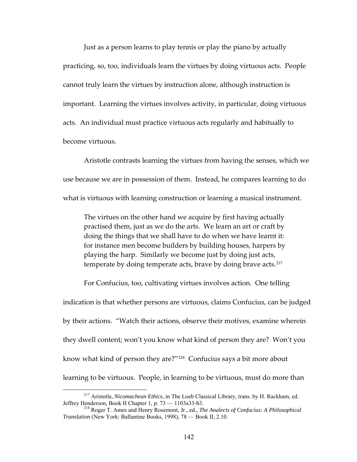Just as a person learns to play tennis or play the piano by actually practicing, so, too, individuals learn the virtues by doing virtuous acts. People cannot truly learn the virtues by instruction alone, although instruction is important. Learning the virtues involves activity, in particular, doing virtuous acts. An individual must practice virtuous acts regularly and habitually to become virtuous.

Aristotle contrasts learning the virtues from having the senses, which we use because we are in possession of them. Instead, he compares learning to do what is virtuous with learning construction or learning a musical instrument.

The virtues on the other hand we acquire by first having actually practised them, just as we do the arts. We learn an art or craft by doing the things that we shall have to do when we have learnt it: for instance men become builders by building houses, harpers by playing the harp. Similarly we become just by doing just acts, temperate by doing temperate acts, brave by doing brave acts.<sup>[217](#page-148-0)</sup>

For Confucius, too, cultivating virtues involves action. One telling indication is that whether persons are virtuous, claims Confucius, can be judged by their actions. "Watch their actions, observe their motives, examine wherein they dwell content; won't you know what kind of person they are? Won't you know what kind of person they are?"[218](#page-148-1) Confucius says a bit more about learning to be virtuous. People, in learning to be virtuous, must do more than

<span id="page-148-0"></span> <sup>217</sup> Aristotle, *Nicomachean Ethics*, in The Loeb Classical Library, trans. by H. Rackham, ed. Jeffrey Henderson, Book II Chapter 1, p. 73 — 1103a33-b3. 218 Roger T. Ames and Henry Rosemont, Jr., ed., *The Analects of Confucius: A Philosophical* 

<span id="page-148-1"></span>*Translation* (New York: Ballantine Books, 1998), 78 — Book II, 2.10.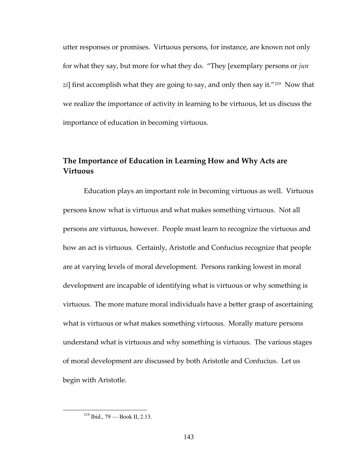utter responses or promises. Virtuous persons, for instance, are known not only for what they say, but more for what they do. "They [exemplary persons or *jun* zi] first accomplish what they are going to say, and only then say it.<sup>"[219](#page-149-0)</sup> Now that we realize the importance of activity in learning to be virtuous, let us discuss the importance of education in becoming virtuous.

# **The Importance of Education in Learning How and Why Acts are Virtuous**

Education plays an important role in becoming virtuous as well. Virtuous persons know what is virtuous and what makes something virtuous. Not all persons are virtuous, however. People must learn to recognize the virtuous and how an act is virtuous. Certainly, Aristotle and Confucius recognize that people are at varying levels of moral development. Persons ranking lowest in moral development are incapable of identifying what is virtuous or why something is virtuous. The more mature moral individuals have a better grasp of ascertaining what is virtuous or what makes something virtuous. Morally mature persons understand what is virtuous and why something is virtuous. The various stages of moral development are discussed by both Aristotle and Confucius. Let us begin with Aristotle.

<span id="page-149-0"></span> <sup>219</sup> Ibid., 79 — Book II, 2.13.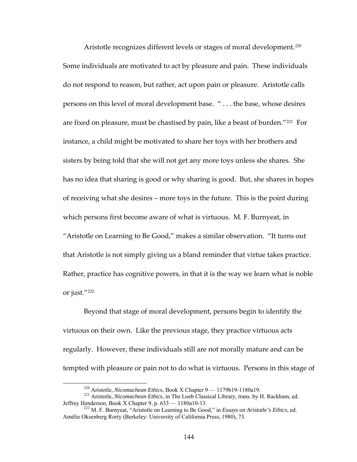Aristotle recognizes different levels or stages of moral development.<sup>[220](#page-150-0)</sup> Some individuals are motivated to act by pleasure and pain. These individuals do not respond to reason, but rather, act upon pain or pleasure. Aristotle calls persons on this level of moral development base. " . . . the base, whose desires are fixed on pleasure, must be chastised by pain, like a beast of burden."<sup>[221](#page-150-1)</sup> For instance, a child might be motivated to share her toys with her brothers and sisters by being told that she will not get any more toys unless she shares. She has no idea that sharing is good or why sharing is good. But, she shares in hopes of receiving what she desires – more toys in the future. This is the point during which persons first become aware of what is virtuous. M. F. Burnyeat, in "Aristotle on Learning to Be Good," makes a similar observation. "It turns out that Aristotle is not simply giving us a bland reminder that virtue takes practice. Rather, practice has cognitive powers, in that it is the way we learn what is noble or just."[222](#page-150-2)

Beyond that stage of moral development, persons begin to identify the virtuous on their own. Like the previous stage, they practice virtuous acts regularly. However, these individuals still are not morally mature and can be tempted with pleasure or pain not to do what is virtuous. Persons in this stage of

<span id="page-150-1"></span><span id="page-150-0"></span><sup>&</sup>lt;sup>220</sup> Aristotle, *Nicomachean Ethics*, Book X Chapter 9 — 1179b19-1180a19.<br><sup>221</sup> Aristotle, *Nicomachean Ethics*, in The Loeb Classical Library, trans. by H. Rackham, ed.<br>Jeffrey Henderson, Book X Chapter 9, p. 633 — 1180a

<span id="page-150-2"></span><sup>&</sup>lt;sup>222</sup> M. F. Burnyeat, "Aristotle on Learning to Be Good," in *Essays on Aristotle's Ethics*, ed. Amélie Oksenberg Rorty (Berkeley: University of California Press, 1980), 73.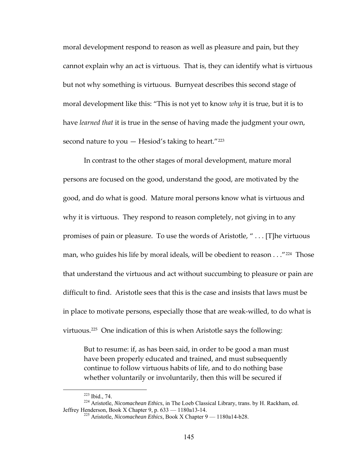moral development respond to reason as well as pleasure and pain, but they cannot explain why an act is virtuous. That is, they can identify what is virtuous but not why something is virtuous. Burnyeat describes this second stage of moral development like this: "This is not yet to know *why* it is true, but it is to have *learned that* it is true in the sense of having made the judgment your own, second nature to you  $-$  Hesiod's taking to heart."<sup>[223](#page-151-0)</sup>

In contrast to the other stages of moral development, mature moral persons are focused on the good, understand the good, are motivated by the good, and do what is good. Mature moral persons know what is virtuous and why it is virtuous. They respond to reason completely, not giving in to any promises of pain or pleasure. To use the words of Aristotle, " . . . [T]he virtuous man, who guides his life by moral ideals, will be obedient to reason  $\ldots$  "[224](#page-151-1) Those that understand the virtuous and act without succumbing to pleasure or pain are difficult to find. Aristotle sees that this is the case and insists that laws must be in place to motivate persons, especially those that are weak‐willed, to do what is virtuous.[225](#page-151-2) One indication of this is when Aristotle says the following:

But to resume: if, as has been said, in order to be good a man must have been properly educated and trained, and must subsequently continue to follow virtuous habits of life, and to do nothing base whether voluntarily or involuntarily, then this will be secured if

<span id="page-151-2"></span><span id="page-151-1"></span><span id="page-151-0"></span> <sup>223</sup> Ibid., 74. 224 Aristotle, *Nicomachean Ethics*, in The Loeb Classical Library, trans. by H. Rackham, ed. Jeffrey Henderson, Book X Chapter 9, p. 633 — 1180a13-14. 225 Aristotle, *Nicomachean Ethics*, Book X Chapter 9 — 1180a14-b28.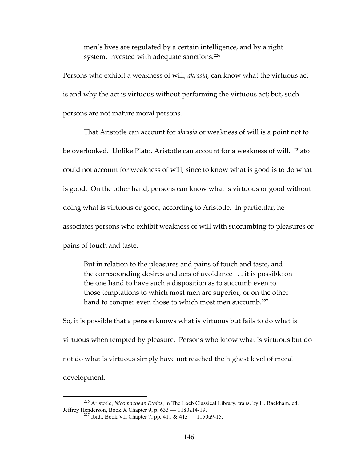men's lives are regulated by a certain intelligence, and by a right system, invested with adequate sanctions.<sup>[226](#page-152-0)</sup>

Persons who exhibit a weakness of will, *akrasia*, can know what the virtuous act is and why the act is virtuous without performing the virtuous act; but, such persons are not mature moral persons.

That Aristotle can account for *akrasia* or weakness of will is a point not to be overlooked. Unlike Plato, Aristotle can account for a weakness of will. Plato could not account for weakness of will, since to know what is good is to do what is good. On the other hand, persons can know what is virtuous or good without doing what is virtuous or good, according to Aristotle. In particular, he associates persons who exhibit weakness of will with succumbing to pleasures or pains of touch and taste.

But in relation to the pleasures and pains of touch and taste, and the corresponding desires and acts of avoidance . . . it is possible on the one hand to have such a disposition as to succumb even to those temptations to which most men are superior, or on the other hand to conquer even those to which most men succumb.<sup>[227](#page-152-1)</sup>

So, it is possible that a person knows what is virtuous but fails to do what is virtuous when tempted by pleasure. Persons who know what is virtuous but do not do what is virtuous simply have not reached the highest level of moral development.

<span id="page-152-1"></span><span id="page-152-0"></span> <sup>226</sup> Aristotle, *Nicomachean Ethics*, in The Loeb Classical Library, trans. by H. Rackham, ed. Jeffrey Henderson, Book X Chapter 9, p. 633 — 1180a14-19. 227 Ibid., Book VII Chapter 7, pp. 411 & 413 — 1150a9-15.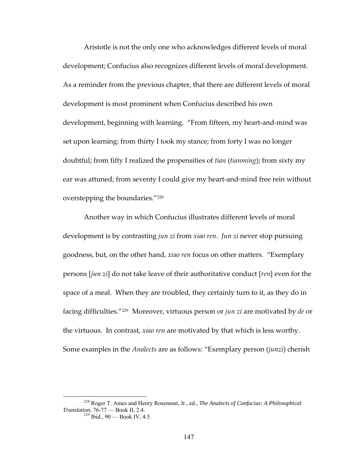Aristotle is not the only one who acknowledges different levels of moral development; Confucius also recognizes different levels of moral development. As a reminder from the previous chapter, that there are different levels of moral development is most prominent when Confucius described his own development, beginning with learning. "From fifteen, my heart‐and‐mind was set upon learning: from thirty I took my stance; from forty I was no longer doubtful; from fifty I realized the propensities of *tian* (*tianming*); from sixty my ear was attuned; from seventy I could give my heart-and-mind free rein without overstepping the boundaries."[228](#page-153-0)

Another way in which Confucius illustrates different levels of moral development is by contrasting *jun zi* from *xiao ren*. *Jun zi* never stop pursuing goodness, but, on the other hand, *xiao ren* focus on other matters. "Exemplary persons [*jun zi*] do not take leave of their authoritative conduct [*ren*] even for the space of a meal. When they are troubled, they certainly turn to it, as they do in facing difficulties."[229](#page-153-1) Moreover, virtuous person or *jun zi* are motivated by *de* or the virtuous. In contrast, *xiao ren* are motivated by that which is less worthy. Some examples in the *Analects* are as follows: "Exemplary person (*junzi*) cherish

<span id="page-153-1"></span><span id="page-153-0"></span> <sup>228</sup> Roger T. Ames and Henry Rosemont, Jr., ed., *The Analects of Confucius: A Philosophical Translation*, 76-77 — Book II, 2.4.<br><sup>229</sup> Ibid., 90 — Book IV, 4.5.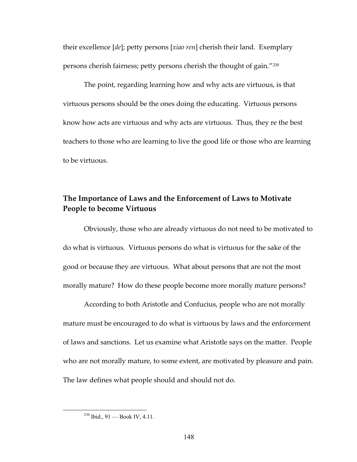their excellence [*de*]; petty persons [*xiao ren*] cherish their land. Exemplary persons cherish fairness; petty persons cherish the thought of gain."[230](#page-154-0)

The point, regarding learning how and why acts are virtuous, is that virtuous persons should be the ones doing the educating. Virtuous persons know how acts are virtuous and why acts are virtuous. Thus, they re the best teachers to those who are learning to live the good life or those who are learning to be virtuous.

## **The Importance of Laws and the Enforcement of Laws to Motivate People to become Virtuous**

Obviously, those who are already virtuous do not need to be motivated to do what is virtuous. Virtuous persons do what is virtuous for the sake of the good or because they are virtuous. What about persons that are not the most morally mature? How do these people become more morally mature persons?

According to both Aristotle and Confucius, people who are not morally mature must be encouraged to do what is virtuous by laws and the enforcement of laws and sanctions. Let us examine what Aristotle says on the matter. People who are not morally mature, to some extent, are motivated by pleasure and pain. The law defines what people should and should not do.

<span id="page-154-0"></span> <sup>230</sup> Ibid., 91 — Book IV, 4.11.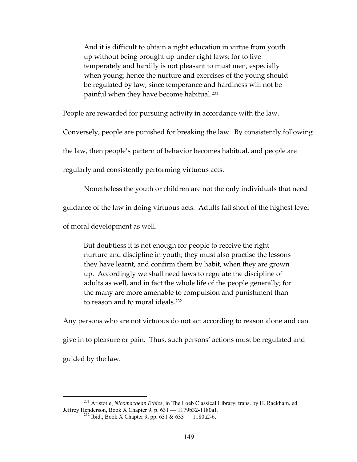And it is difficult to obtain a right education in virtue from youth up without being brought up under right laws; for to live temperately and hardily is not pleasant to must men, especially when young; hence the nurture and exercises of the young should be regulated by law, since temperance and hardiness will not be painful when they have become habitual.<sup>[231](#page-155-0)</sup>

People are rewarded for pursuing activity in accordance with the law.

Conversely, people are punished for breaking the law. By consistently following

the law, then people's pattern of behavior becomes habitual, and people are

regularly and consistently performing virtuous acts.

Nonetheless the youth or children are not the only individuals that need

guidance of the law in doing virtuous acts. Adults fall short of the highest level

of moral development as well.

But doubtless it is not enough for people to receive the right nurture and discipline in youth; they must also practise the lessons they have learnt, and confirm them by habit, when they are grown up. Accordingly we shall need laws to regulate the discipline of adults as well, and in fact the whole life of the people generally; for the many are more amenable to compulsion and punishment than to reason and to moral ideals.<sup>[232](#page-155-1)</sup>

Any persons who are not virtuous do not act according to reason alone and can give in to pleasure or pain. Thus, such persons' actions must be regulated and guided by the law.

<span id="page-155-1"></span><span id="page-155-0"></span> <sup>231</sup> Aristotle, *Nicomachean Ethics*, in The Loeb Classical Library, trans. by H. Rackham, ed. Jeffrey Henderson, Book X Chapter 9, p. 631 — 1179b32-1180a1. 232 Ibid., Book X Chapter 9, pp. 631 & 633 — 1180a2-6.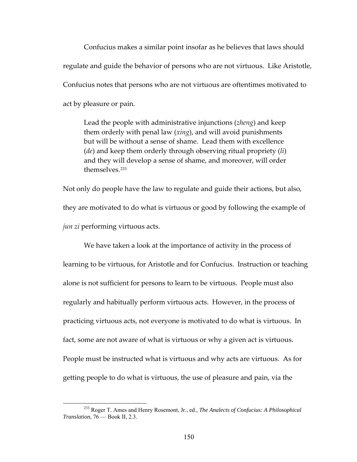Confucius makes a similar point insofar as he believes that laws should regulate and guide the behavior of persons who are not virtuous. Like Aristotle, Confucius notes that persons who are not virtuous are oftentimes motivated to act by pleasure or pain.

Lead the people with administrative injunctions (*zheng*) and keep them orderly with penal law (*xing*), and will avoid punishments but will be without a sense of shame. Lead them with excellence (*de*) and keep them orderly through observing ritual propriety (*li*) and they will develop a sense of shame, and moreover, will order themselves.<sup>[233](#page-156-0)</sup>

Not only do people have the law to regulate and guide their actions, but also, they are motivated to do what is virtuous or good by following the example of *jun zi* performing virtuous acts.

We have taken a look at the importance of activity in the process of learning to be virtuous, for Aristotle and for Confucius. Instruction or teaching alone is not sufficient for persons to learn to be virtuous. People must also regularly and habitually perform virtuous acts. However, in the process of practicing virtuous acts, not everyone is motivated to do what is virtuous. In fact, some are not aware of what is virtuous or why a given act is virtuous. People must be instructed what is virtuous and why acts are virtuous. As for getting people to do what is virtuous, the use of pleasure and pain, via the

<span id="page-156-0"></span> <sup>233</sup> Roger T. Ames and Henry Rosemont, Jr., ed., *The Analects of Confucius: A Philosophical Translation*, 76 — Book II, 2.3.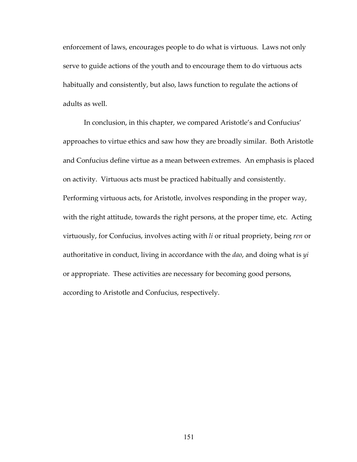enforcement of laws, encourages people to do what is virtuous. Laws not only serve to guide actions of the youth and to encourage them to do virtuous acts habitually and consistently, but also, laws function to regulate the actions of adults as well.

In conclusion, in this chapter, we compared Aristotle's and Confucius' approaches to virtue ethics and saw how they are broadly similar. Both Aristotle and Confucius define virtue as a mean between extremes. An emphasis is placed on activity. Virtuous acts must be practiced habitually and consistently. Performing virtuous acts, for Aristotle, involves responding in the proper way, with the right attitude, towards the right persons, at the proper time, etc. Acting virtuously, for Confucius, involves acting with *li* or ritual propriety, being *ren* or authoritative in conduct, living in accordance with the *dao*, and doing what is *yi* or appropriate. These activities are necessary for becoming good persons, according to Aristotle and Confucius, respectively.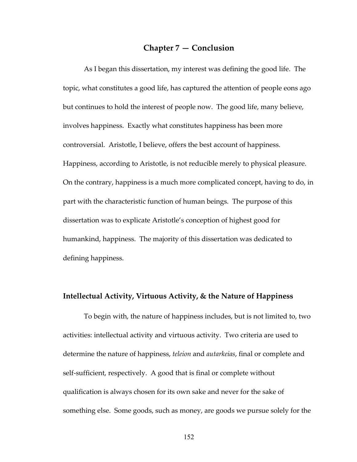### **Chapter 7 — Conclusion**

As I began this dissertation, my interest was defining the good life. The topic, what constitutes a good life, has captured the attention of people eons ago but continues to hold the interest of people now. The good life, many believe, involves happiness. Exactly what constitutes happiness has been more controversial. Aristotle, I believe, offers the best account of happiness. Happiness, according to Aristotle, is not reducible merely to physical pleasure. On the contrary, happiness is a much more complicated concept, having to do, in part with the characteristic function of human beings. The purpose of this dissertation was to explicate Aristotle's conception of highest good for humankind, happiness. The majority of this dissertation was dedicated to defining happiness.

#### **Intellectual Activity, Virtuous Activity, & the Nature of Happiness**

To begin with, the nature of happiness includes, but is not limited to, two activities: intellectual activity and virtuous activity. Two criteria are used to determine the nature of happiness, *teleion* and *autarkeias*, final or complete and self‐sufficient, respectively. A good that is final or complete without qualification is always chosen for its own sake and never for the sake of something else. Some goods, such as money, are goods we pursue solely for the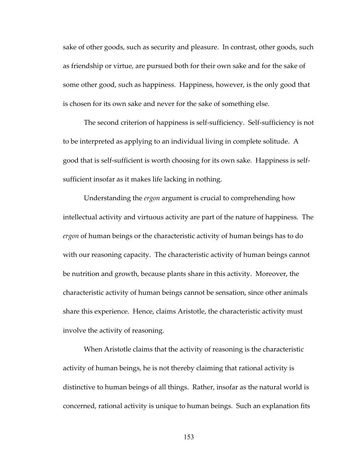sake of other goods, such as security and pleasure. In contrast, other goods, such as friendship or virtue, are pursued both for their own sake and for the sake of some other good, such as happiness. Happiness, however, is the only good that is chosen for its own sake and never for the sake of something else.

The second criterion of happiness is self‐sufficiency. Self‐sufficiency is not to be interpreted as applying to an individual living in complete solitude. A good that is self‐sufficient is worth choosing for its own sake. Happiness is self‐ sufficient insofar as it makes life lacking in nothing.

Understanding the *ergon* argument is crucial to comprehending how intellectual activity and virtuous activity are part of the nature of happiness. The *ergon* of human beings or the characteristic activity of human beings has to do with our reasoning capacity. The characteristic activity of human beings cannot be nutrition and growth, because plants share in this activity. Moreover, the characteristic activity of human beings cannot be sensation, since other animals share this experience. Hence, claims Aristotle, the characteristic activity must involve the activity of reasoning.

When Aristotle claims that the activity of reasoning is the characteristic activity of human beings, he is not thereby claiming that rational activity is distinctive to human beings of all things. Rather, insofar as the natural world is concerned, rational activity is unique to human beings. Such an explanation fits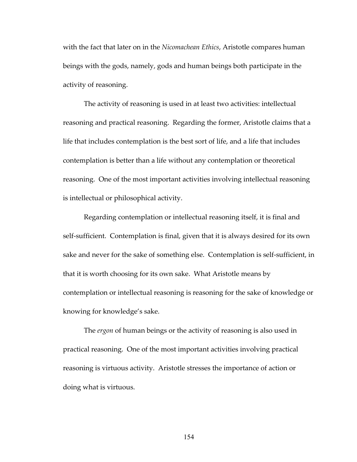with the fact that later on in the *Nicomachean Ethics*, Aristotle compares human beings with the gods, namely, gods and human beings both participate in the activity of reasoning.

The activity of reasoning is used in at least two activities: intellectual reasoning and practical reasoning. Regarding the former, Aristotle claims that a life that includes contemplation is the best sort of life, and a life that includes contemplation is better than a life without any contemplation or theoretical reasoning. One of the most important activities involving intellectual reasoning is intellectual or philosophical activity.

Regarding contemplation or intellectual reasoning itself, it is final and self-sufficient. Contemplation is final, given that it is always desired for its own sake and never for the sake of something else. Contemplation is self‐sufficient, in that it is worth choosing for its own sake. What Aristotle means by contemplation or intellectual reasoning is reasoning for the sake of knowledge or knowing for knowledge's sake.

The *ergon* of human beings or the activity of reasoning is also used in practical reasoning. One of the most important activities involving practical reasoning is virtuous activity. Aristotle stresses the importance of action or doing what is virtuous.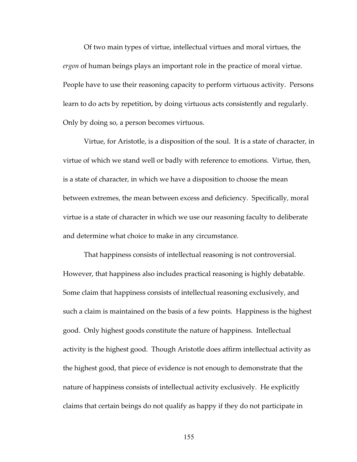Of two main types of virtue, intellectual virtues and moral virtues, the *ergon* of human beings plays an important role in the practice of moral virtue. People have to use their reasoning capacity to perform virtuous activity. Persons learn to do acts by repetition, by doing virtuous acts consistently and regularly. Only by doing so, a person becomes virtuous.

Virtue, for Aristotle, is a disposition of the soul. It is a state of character, in virtue of which we stand well or badly with reference to emotions. Virtue, then, is a state of character, in which we have a disposition to choose the mean between extremes, the mean between excess and deficiency. Specifically, moral virtue is a state of character in which we use our reasoning faculty to deliberate and determine what choice to make in any circumstance.

That happiness consists of intellectual reasoning is not controversial. However, that happiness also includes practical reasoning is highly debatable. Some claim that happiness consists of intellectual reasoning exclusively, and such a claim is maintained on the basis of a few points. Happiness is the highest good. Only highest goods constitute the nature of happiness. Intellectual activity is the highest good. Though Aristotle does affirm intellectual activity as the highest good, that piece of evidence is not enough to demonstrate that the nature of happiness consists of intellectual activity exclusively. He explicitly claims that certain beings do not qualify as happy if they do not participate in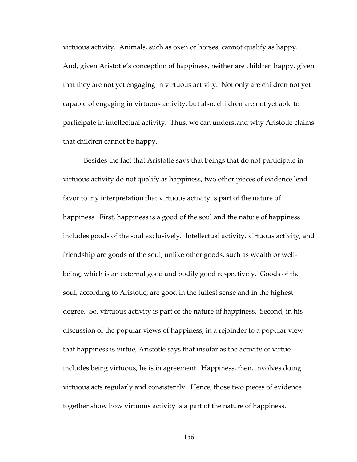virtuous activity. Animals, such as oxen or horses, cannot qualify as happy. And, given Aristotle's conception of happiness, neither are children happy, given that they are not yet engaging in virtuous activity. Not only are children not yet capable of engaging in virtuous activity, but also, children are not yet able to participate in intellectual activity. Thus, we can understand why Aristotle claims that children cannot be happy.

Besides the fact that Aristotle says that beings that do not participate in virtuous activity do not qualify as happiness, two other pieces of evidence lend favor to my interpretation that virtuous activity is part of the nature of happiness. First, happiness is a good of the soul and the nature of happiness includes goods of the soul exclusively. Intellectual activity, virtuous activity, and friendship are goods of the soul; unlike other goods, such as wealth or well‐ being, which is an external good and bodily good respectively. Goods of the soul, according to Aristotle, are good in the fullest sense and in the highest degree. So, virtuous activity is part of the nature of happiness. Second, in his discussion of the popular views of happiness, in a rejoinder to a popular view that happiness is virtue, Aristotle says that insofar as the activity of virtue includes being virtuous, he is in agreement. Happiness, then, involves doing virtuous acts regularly and consistently. Hence, those two pieces of evidence together show how virtuous activity is a part of the nature of happiness.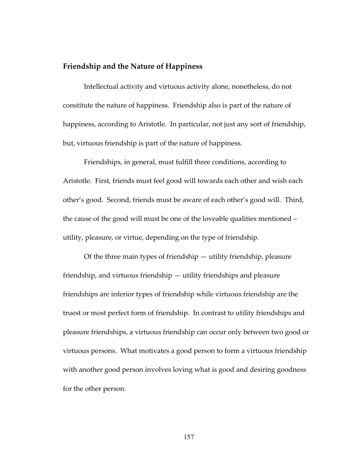### **Friendship and the Nature of Happiness**

Intellectual activity and virtuous activity alone, nonetheless, do not constitute the nature of happiness. Friendship also is part of the nature of happiness, according to Aristotle. In particular, not just any sort of friendship, but, virtuous friendship is part of the nature of happiness.

Friendships, in general, must fulfill three conditions, according to Aristotle. First, friends must feel good will towards each other and wish each other's good. Second, friends must be aware of each other's good will. Third, the cause of the good will must be one of the loveable qualities mentioned – utility, pleasure, or virtue, depending on the type of friendship.

Of the three main types of friendship — utility friendship, pleasure friendship, and virtuous friendship — utility friendships and pleasure friendships are inferior types of friendship while virtuous friendship are the truest or most perfect form of friendship. In contrast to utility friendships and pleasure friendships, a virtuous friendship can occur only between two good or virtuous persons. What motivates a good person to form a virtuous friendship with another good person involves loving what is good and desiring goodness for the other person.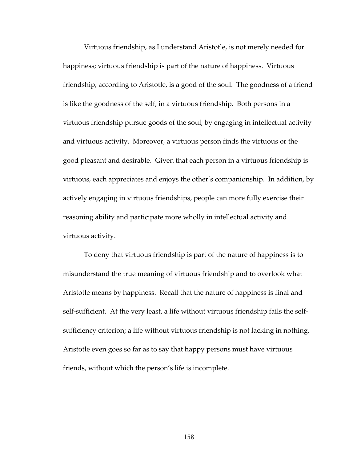Virtuous friendship, as I understand Aristotle, is not merely needed for happiness; virtuous friendship is part of the nature of happiness. Virtuous friendship, according to Aristotle, is a good of the soul. The goodness of a friend is like the goodness of the self, in a virtuous friendship. Both persons in a virtuous friendship pursue goods of the soul, by engaging in intellectual activity and virtuous activity. Moreover, a virtuous person finds the virtuous or the good pleasant and desirable. Given that each person in a virtuous friendship is virtuous, each appreciates and enjoys the other's companionship. In addition, by actively engaging in virtuous friendships, people can more fully exercise their reasoning ability and participate more wholly in intellectual activity and virtuous activity.

To deny that virtuous friendship is part of the nature of happiness is to misunderstand the true meaning of virtuous friendship and to overlook what Aristotle means by happiness. Recall that the nature of happiness is final and self-sufficient. At the very least, a life without virtuous friendship fails the selfsufficiency criterion; a life without virtuous friendship is not lacking in nothing. Aristotle even goes so far as to say that happy persons must have virtuous friends, without which the person's life is incomplete.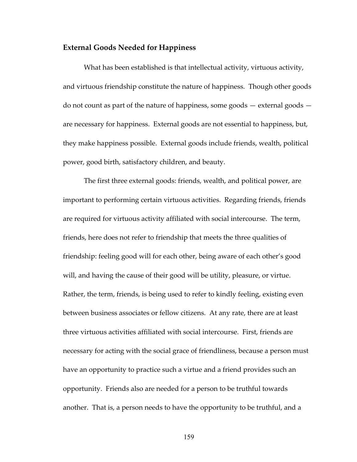#### **External Goods Needed for Happiness**

What has been established is that intellectual activity, virtuous activity, and virtuous friendship constitute the nature of happiness. Though other goods do not count as part of the nature of happiness, some goods — external goods are necessary for happiness. External goods are not essential to happiness, but, they make happiness possible. External goods include friends, wealth, political power, good birth, satisfactory children, and beauty.

The first three external goods: friends, wealth, and political power, are important to performing certain virtuous activities. Regarding friends, friends are required for virtuous activity affiliated with social intercourse. The term, friends, here does not refer to friendship that meets the three qualities of friendship: feeling good will for each other, being aware of each other's good will, and having the cause of their good will be utility, pleasure, or virtue. Rather, the term, friends, is being used to refer to kindly feeling, existing even between business associates or fellow citizens. At any rate, there are at least three virtuous activities affiliated with social intercourse. First, friends are necessary for acting with the social grace of friendliness, because a person must have an opportunity to practice such a virtue and a friend provides such an opportunity. Friends also are needed for a person to be truthful towards another. That is, a person needs to have the opportunity to be truthful, and a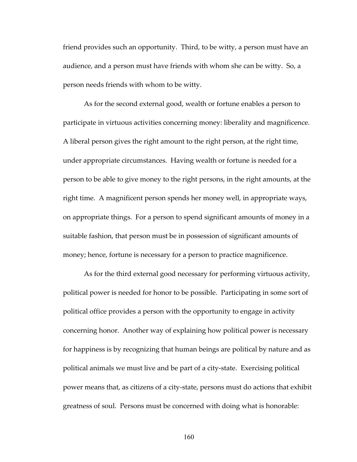friend provides such an opportunity. Third, to be witty, a person must have an audience, and a person must have friends with whom she can be witty. So, a person needs friends with whom to be witty.

As for the second external good, wealth or fortune enables a person to participate in virtuous activities concerning money: liberality and magnificence. A liberal person gives the right amount to the right person, at the right time, under appropriate circumstances. Having wealth or fortune is needed for a person to be able to give money to the right persons, in the right amounts, at the right time. A magnificent person spends her money well, in appropriate ways, on appropriate things. For a person to spend significant amounts of money in a suitable fashion, that person must be in possession of significant amounts of money; hence, fortune is necessary for a person to practice magnificence.

As for the third external good necessary for performing virtuous activity, political power is needed for honor to be possible. Participating in some sort of political office provides a person with the opportunity to engage in activity concerning honor. Another way of explaining how political power is necessary for happiness is by recognizing that human beings are political by nature and as political animals we must live and be part of a city‐state. Exercising political power means that, as citizens of a city‐state, persons must do actions that exhibit greatness of soul. Persons must be concerned with doing what is honorable: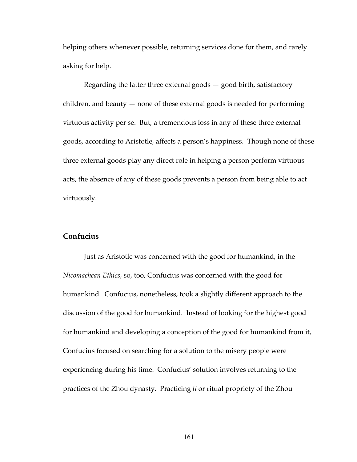helping others whenever possible, returning services done for them, and rarely asking for help.

Regarding the latter three external goods — good birth, satisfactory children, and beauty — none of these external goods is needed for performing virtuous activity per se. But, a tremendous loss in any of these three external goods, according to Aristotle, affects a person's happiness. Though none of these three external goods play any direct role in helping a person perform virtuous acts, the absence of any of these goods prevents a person from being able to act virtuously.

## **Confucius**

Just as Aristotle was concerned with the good for humankind, in the *Nicomachean Ethics*, so, too, Confucius was concerned with the good for humankind. Confucius, nonetheless, took a slightly different approach to the discussion of the good for humankind. Instead of looking for the highest good for humankind and developing a conception of the good for humankind from it, Confucius focused on searching for a solution to the misery people were experiencing during his time. Confucius' solution involves returning to the practices of the Zhou dynasty. Practicing *li* or ritual propriety of the Zhou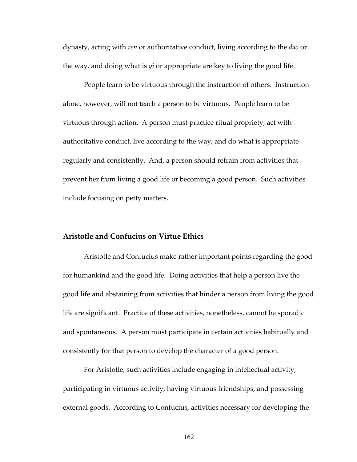dynasty, acting with *ren* or authoritative conduct, living according to the *dao* or the way, and doing what is *yi* or appropriate are key to living the good life.

People learn to be virtuous through the instruction of others. Instruction alone, however, will not teach a person to be virtuous. People learn to be virtuous through action. A person must practice ritual propriety, act with authoritative conduct, live according to the way, and do what is appropriate regularly and consistently. And, a person should refrain from activities that prevent her from living a good life or becoming a good person. Such activities include focusing on petty matters.

### **Aristotle and Confucius on Virtue Ethics**

Aristotle and Confucius make rather important points regarding the good for humankind and the good life. Doing activities that help a person live the good life and abstaining from activities that hinder a person from living the good life are significant. Practice of these activities, nonetheless, cannot be sporadic and spontaneous. A person must participate in certain activities habitually and consistently for that person to develop the character of a good person.

For Aristotle, such activities include engaging in intellectual activity, participating in virtuous activity, having virtuous friendships, and possessing external goods. According to Confucius, activities necessary for developing the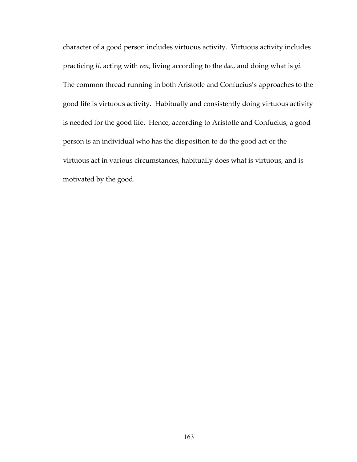character of a good person includes virtuous activity. Virtuous activity includes practicing *li*, acting with *ren*, living according to the *dao*, and doing what is *yi*. The common thread running in both Aristotle and Confucius's approaches to the good life is virtuous activity. Habitually and consistently doing virtuous activity is needed for the good life. Hence, according to Aristotle and Confucius, a good person is an individual who has the disposition to do the good act or the virtuous act in various circumstances, habitually does what is virtuous, and is motivated by the good.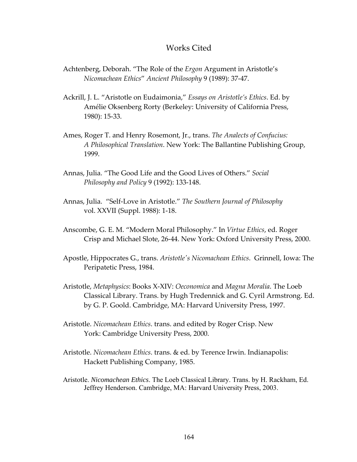### Works Cited

- Achtenberg, Deborah. "The Role of the *Ergon* Argument in Aristotle's *Nicomachean Ethics*" *Ancient Philosophy* 9 (1989): 37‐47.
- Ackrill, J. L. "Aristotle on Eudaimonia," *Essays on Aristotle's Ethics*. Ed. by Amélie Oksenberg Rorty (Berkeley: University of California Press, 1980): 15‐33.
- Ames, Roger T. and Henry Rosemont, Jr., trans. *The Analects of Confucius: A Philosophical Translation*. New York: The Ballantine Publishing Group, 1999.
- Annas, Julia. "The Good Life and the Good Lives of Others." *Social Philosophy and Policy* 9 (1992): 133‐148.
- Annas, Julia. "Self‐Love in Aristotle." *The Southern Journal of Philosophy* vol. XXVII (Suppl. 1988): 1‐18.
- Anscombe, G. E. M. "Modern Moral Philosophy." In *Virtue Ethics*, ed. Roger Crisp and Michael Slote, 26‐44. New York: Oxford University Press, 2000.
- Apostle, Hippocrates G., trans. *Aristotleʹs Nicomachean Ethics*. Grinnell, Iowa: The Peripatetic Press, 1984.
- Aristotle, *Metaphysics*: Books X‐XIV: *Oeconomica* and *Magna Moralia*. The Loeb Classical Library. Trans. by Hugh Tredennick and G. Cyril Armstrong. Ed. by G. P. Goold. Cambridge, MA: Harvard University Press, 1997.
- Aristotle. *Nicomachean Ethics*. trans. and edited by Roger Crisp. New York: Cambridge University Press, 2000.
- Aristotle. *Nicomachean Ethics*. trans. & ed. by Terence Irwin. Indianapolis: Hackett Publishing Company, 1985.
- Aristotle. *Nicomachean Ethics*. The Loeb Classical Library. Trans. by H. Rackham, Ed. Jeffrey Henderson. Cambridge, MA: Harvard University Press, 2003.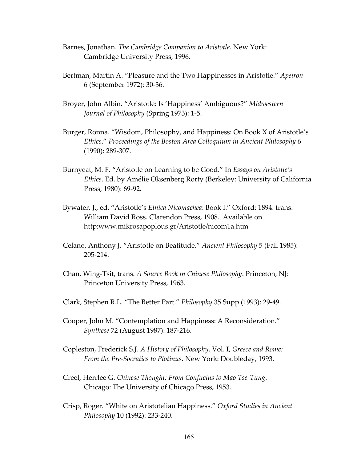- Barnes, Jonathan. *The Cambridge Companion to Aristotle*. New York: Cambridge University Press, 1996.
- Bertman, Martin A. "Pleasure and the Two Happinesses in Aristotle." *Apeiron* 6 (September 1972): 30‐36.
- Broyer, John Albin. "Aristotle: Is 'Happiness' Ambiguous?" *Midwestern Journal of Philosophy* (Spring 1973): 1‐5.
- Burger, Ronna. "Wisdom, Philosophy, and Happiness: On Book X of Aristotle's *Ethics*." *Proceedings of the Boston Area Colloquium in Ancient Philosophy* 6 (1990): 289‐307.
- Burnyeat, M. F. "Aristotle on Learning to be Good." In *Essays on Aristotle's Ethics*. Ed. by Amélie Oksenberg Rorty (Berkeley: University of California Press, 1980): 69‐92.
- Bywater, J., ed. "Aristotle's *Ethica Nicomachea*: Book I." Oxford: 1894. trans. William David Ross. Clarendon Press, 1908. Available on http:www.mikrosapoplous.gr/Aristotle/nicom1a.htm
- Celano, Anthony J. "Aristotle on Beatitude." *Ancient Philosophy* 5 (Fall 1985): 205‐214.
- Chan, Wing‐Tsit, trans. *A Source Book in Chinese Philosophy*. Princeton, NJ: Princeton University Press, 1963.
- Clark, Stephen R.L. "The Better Part." *Philosophy* 35 Supp (1993): 29‐49.
- Cooper, John M. "Contemplation and Happiness: A Reconsideration." *Synthese* 72 (August 1987): 187‐216.
- Copleston, Frederick S.J. *A History of Philosophy*. Vol. I, *Greece and Rome: From the Pre‐Socratics to Plotinus*. New York: Doubleday, 1993.
- Creel, Herrlee G. *Chinese Thought: From Confucius to Mao Tse‐Tung*. Chicago: The University of Chicago Press, 1953.
- Crisp, Roger. "White on Aristotelian Happiness." *Oxford Studies in Ancient Philosophy* 10 (1992): 233‐240.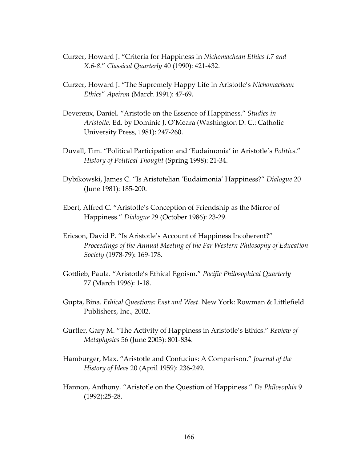- Curzer, Howard J. "Criteria for Happiness in *Nichomachean Ethics I.7 and X.6‐8*." *Classical Quarterly* 40 (1990): 421‐432.
- Curzer, Howard J. "The Supremely Happy Life in Aristotle's *Nichomachean Ethics*" *Apeiron* (March 1991): 47‐69.
- Devereux, Daniel. "Aristotle on the Essence of Happiness." *Studies in Aristotle*. Ed. by Dominic J. O'Meara (Washington D. C.: Catholic University Press, 1981): 247‐260.
- Duvall, Tim. "Political Participation and 'Eudaimonia' in Aristotle's *Politics*." *History of Political Thought* (Spring 1998): 21‐34.
- Dybikowski, James C. "Is Aristotelian 'Eudaimonia' Happiness?" *Dialogue* 20 (June 1981): 185‐200.
- Ebert, Alfred C. "Aristotle's Conception of Friendship as the Mirror of Happiness." *Dialogue* 29 (October 1986): 23‐29.
- Ericson, David P. "Is Aristotle's Account of Happiness Incoherent?" *Proceedings of the Annual Meeting of the Far Western Philosophy of Education Society* (1978‐79): 169‐178.
- Gottlieb, Paula. "Aristotle's Ethical Egoism." *Pacific Philosophical Quarterly* 77 (March 1996): 1‐18.
- Gupta, Bina. *Ethical Questions: East and West*. New York: Rowman & Littlefield Publishers, Inc., 2002.
- Gurtler, Gary M. "The Activity of Happiness in Aristotle's Ethics." *Review of Metaphysics* 56 (June 2003): 801‐834.
- Hamburger, Max. "Aristotle and Confucius: A Comparison." *Journal of the History of Ideas* 20 (April 1959): 236‐249.
- Hannon, Anthony. "Aristotle on the Question of Happiness." *De Philosophia* 9 (1992):25‐28.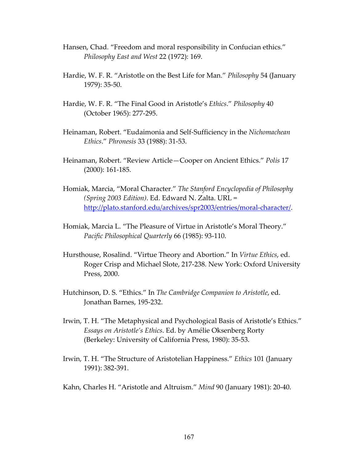- Hansen, Chad. "Freedom and moral responsibility in Confucian ethics." *Philosophy East and West* 22 (1972): 169.
- Hardie, W. F. R. "Aristotle on the Best Life for Man." *Philosophy* 54 (January 1979): 35‐50.
- Hardie, W. F. R. "The Final Good in Aristotle's *Ethics*." *Philosophy* 40 (October 1965): 277‐295.
- Heinaman, Robert. "Eudaimonia and Self‐Sufficiency in the *Nichomachean Ethics*." *Phronesis* 33 (1988): 31‐53.
- Heinaman, Robert. "Review Article—Cooper on Ancient Ethics." *Polis* 17 (2000): 161‐185.
- Homiak, Marcia, "Moral Character." *The Stanford Encyclopedia of Philosophy (Spring 2003 Edition)*. Ed. Edward N. Zalta. URL = [http://plato.stanford.edu/archives/spr2003/entries/moral](http://plato.stanford.edu/archives/spr2003/entries/moral-character/)-character/.
- Homiak, Marcia L. "The Pleasure of Virtue in Aristotle's Moral Theory." *Pacific Philosophical Quarterly* 66 (1985): 93‐110.
- Hursthouse, Rosalind. "Virtue Theory and Abortion." In *Virtue Ethics*, ed. Roger Crisp and Michael Slote, 217‐238. New York: Oxford University Press, 2000.
- Hutchinson, D. S. "Ethics." In *The Cambridge Companion to Aristotle*, ed. Jonathan Barnes, 195‐232.
- Irwin, T. H. "The Metaphysical and Psychological Basis of Aristotle's Ethics." *Essays on Aristotle's Ethics*. Ed. by Amélie Oksenberg Rorty (Berkeley: University of California Press, 1980): 35‐53.
- Irwin, T. H. "The Structure of Aristotelian Happiness." *Ethics* 101 (January 1991): 382‐391.
- Kahn, Charles H. "Aristotle and Altruism." *Mind* 90 (January 1981): 20‐40.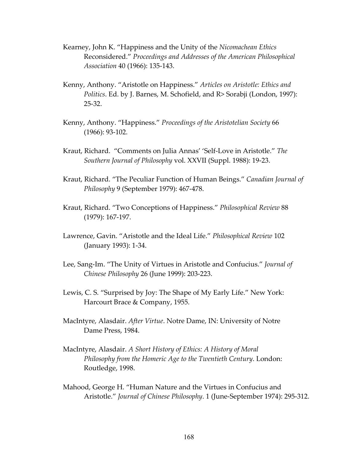- Kearney, John K. "Happiness and the Unity of the *Nicomachean Ethics* Reconsidered." *Proceedings and Addresses of the American Philosophical Association* 40 (1966): 135‐143.
- Kenny, Anthony. "Aristotle on Happiness." *Articles on Aristotle: Ethics and Politics*. Ed. by J. Barnes, M. Schofield, and R> Sorabji (London, 1997): 25‐32.
- Kenny, Anthony. "Happiness." *Proceedings of the Aristotelian Society* 66 (1966): 93‐102.
- Kraut, Richard. "Comments on Julia Annas' 'Self‐Love in Aristotle." *The Southern Journal of Philosophy* vol. XXVII (Suppl. 1988): 19‐23.
- Kraut, Richard. "The Peculiar Function of Human Beings." *Canadian Journal of Philosophy* 9 (September 1979): 467‐478.
- Kraut, Richard. "Two Conceptions of Happiness." *Philosophical Review* 88 (1979): 167‐197.
- Lawrence, Gavin. "Aristotle and the Ideal Life." *Philosophical Review* 102 (January 1993): 1‐34.
- Lee, Sang‐Im. "The Unity of Virtues in Aristotle and Confucius." *Journal of Chinese Philosophy* 26 (June 1999): 203‐223.
- Lewis, C. S. "Surprised by Joy: The Shape of My Early Life." New York: Harcourt Brace & Company, 1955.
- MacIntyre, Alasdair. *After Virtue*. Notre Dame, IN: University of Notre Dame Press, 1984.
- MacIntyre, Alasdair. *A Short History of Ethics: A History of Moral Philosophy from the Homeric Age to the Twentieth Century*. London: Routledge, 1998.
- Mahood, George H. "Human Nature and the Virtues in Confucius and Aristotle." *Journal of Chinese Philosophy*. 1 (June‐September 1974): 295‐312.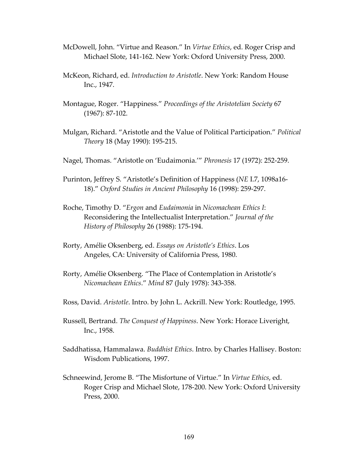- McDowell, John. "Virtue and Reason." In *Virtue Ethics*, ed. Roger Crisp and Michael Slote, 141‐162. New York: Oxford University Press, 2000.
- McKeon, Richard, ed. *Introduction to Aristotle*. New York: Random House Inc., 1947.
- Montague, Roger. "Happiness." *Proceedings of the Aristotelian Society* 67 (1967): 87‐102.
- Mulgan, Richard. "Aristotle and the Value of Political Participation." *Political Theory* 18 (May 1990): 195‐215.
- Nagel, Thomas. "Aristotle on 'Eudaimonia.'" *Phronesis* 17 (1972): 252‐259.
- Purinton, Jeffrey S. "Aristotle's Definition of Happiness (*NE* I.7, 1098a16‐ 18)." *Oxford Studies in Ancient Philosophy* 16 (1998): 259‐297.
- Roche, Timothy D. "*Ergon* and *Eudaimonia* in *Nicomachean Ethics I*: Reconsidering the Intellectualist Interpretation." *Journal of the History of Philosophy* 26 (1988): 175‐194.
- Rorty, Amélie Oksenberg, ed. *Essays on Aristotle's Ethics*. Los Angeles, CA: University of California Press, 1980.
- Rorty, Amélie Oksenberg. "The Place of Contemplation in Aristotle's *Nicomachean Ethics*." *Mind* 87 (July 1978): 343‐358.
- Ross, David. *Aristotle*. Intro. by John L. Ackrill. New York: Routledge, 1995.
- Russell, Bertrand. *The Conquest of Happiness*. New York: Horace Liveright, Inc., 1958.
- Saddhatissa, Hammalawa. *Buddhist Ethics*. Intro. by Charles Hallisey. Boston: Wisdom Publications, 1997.
- Schneewind, Jerome B. "The Misfortune of Virtue." In *Virtue Ethics*, ed. Roger Crisp and Michael Slote, 178‐200. New York: Oxford University Press, 2000.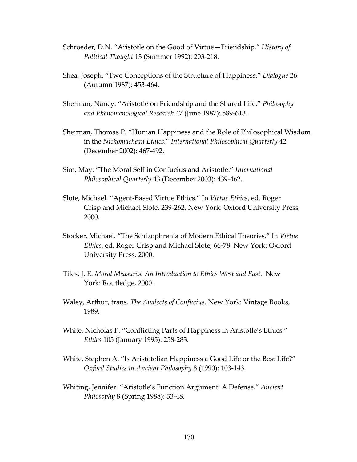- Schroeder, D.N. "Aristotle on the Good of Virtue—Friendship." *History of Political Thought* 13 (Summer 1992): 203‐218.
- Shea, Joseph. "Two Conceptions of the Structure of Happiness." *Dialogue* 26 (Autumn 1987): 453‐464.
- Sherman, Nancy. "Aristotle on Friendship and the Shared Life." *Philosophy and Phenomenological Research* 47 (June 1987): 589‐613.
- Sherman, Thomas P. "Human Happiness and the Role of Philosophical Wisdom in the *Nichomachean Ethics*." *International Philosophical Quarterly* 42 (December 2002): 467‐492.
- Sim, May. "The Moral Self in Confucius and Aristotle." *International Philosophical Quarterly* 43 (December 2003): 439‐462.
- Slote, Michael. "Agent‐Based Virtue Ethics." In *Virtue Ethics*, ed. Roger Crisp and Michael Slote, 239‐262. New York: Oxford University Press, 2000.
- Stocker, Michael. "The Schizophrenia of Modern Ethical Theories." In *Virtue Ethics*, ed. Roger Crisp and Michael Slote, 66‐78. New York: Oxford University Press, 2000.
- Tiles, J. E. *Moral Measures: An Introduction to Ethics West and East*. New York: Routledge, 2000.
- Waley, Arthur, trans. *The Analects of Confucius*. New York: Vintage Books, 1989.
- White, Nicholas P. "Conflicting Parts of Happiness in Aristotle's Ethics." *Ethics* 105 (January 1995): 258‐283.
- White, Stephen A. "Is Aristotelian Happiness a Good Life or the Best Life?" *Oxford Studies in Ancient Philosophy* 8 (1990): 103‐143.
- Whiting, Jennifer. "Aristotle's Function Argument: A Defense." *Ancient Philosophy* 8 (Spring 1988): 33‐48.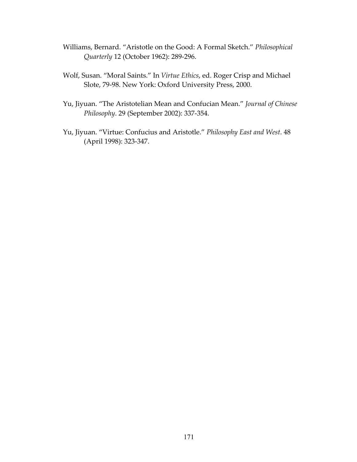- Williams, Bernard. "Aristotle on the Good: A Formal Sketch." *Philosophical Quarterly* 12 (October 1962): 289‐296.
- Wolf, Susan. "Moral Saints." In *Virtue Ethics*, ed. Roger Crisp and Michael Slote, 79‐98. New York: Oxford University Press, 2000.
- Yu, Jiyuan. "The Aristotelian Mean and Confucian Mean." *Journal of Chinese Philosophy*. 29 (September 2002): 337‐354.
- Yu, Jiyuan. "Virtue: Confucius and Aristotle." *Philosophy East and West*. 48 (April 1998): 323‐347.